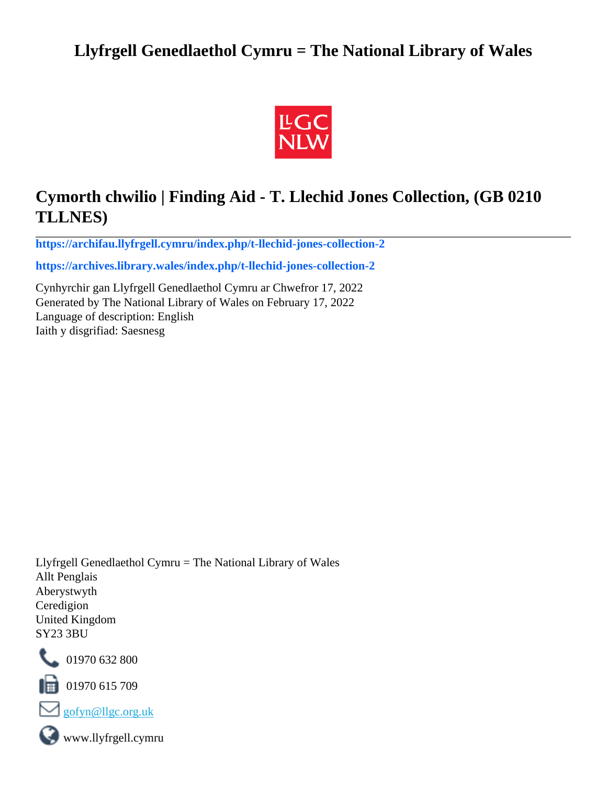# **Llyfrgell Genedlaethol Cymru = The National Library of Wales**



# **Cymorth chwilio | Finding Aid - T. Llechid Jones Collection, (GB 0210 TLLNES)**

**[https://archifau.llyfrgell.cymru/index.php/t-llechid-jones-collection-2](https://archifau.llyfrgell.cymru/index.php/t-llechid-jones-collection-2;isad?sf_culture=cy)**

**[https://archives.library.wales/index.php/t-llechid-jones-collection-2](https://archives.library.wales/index.php/t-llechid-jones-collection-2;isad?sf_culture=en)**

Cynhyrchir gan Llyfrgell Genedlaethol Cymru ar Chwefror 17, 2022 Generated by The National Library of Wales on February 17, 2022 Language of description: English Iaith y disgrifiad: Saesnesg

Llyfrgell Genedlaethol Cymru = The National Library of Wales Allt Penglais Aberystwyth Ceredigion United Kingdom SY23 3BU



101970 632 800

 $\blacksquare$  01970 615 709



www.llyfrgell.cymru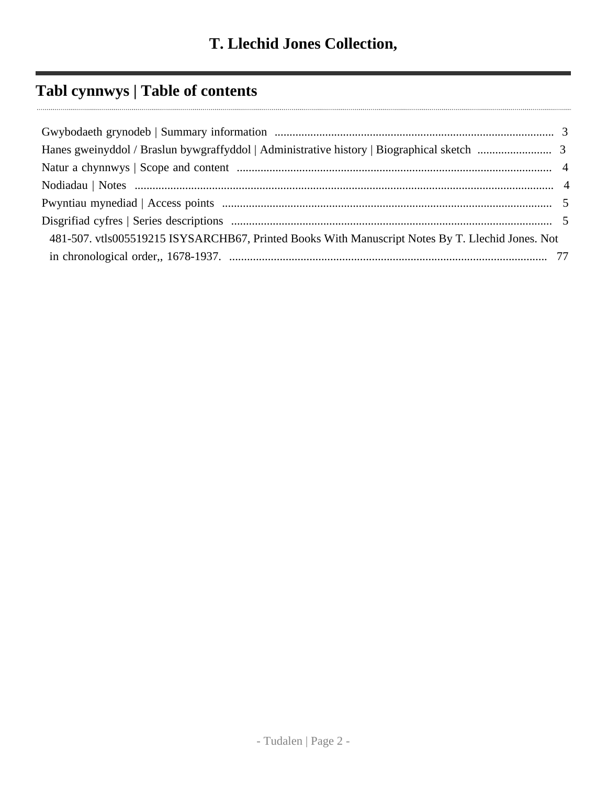# **Tabl cynnwys | Table of contents**

| 481-507. vtls005519215 ISYSARCHB67, Printed Books With Manuscript Notes By T. Llechid Jones. Not |  |
|--------------------------------------------------------------------------------------------------|--|
|                                                                                                  |  |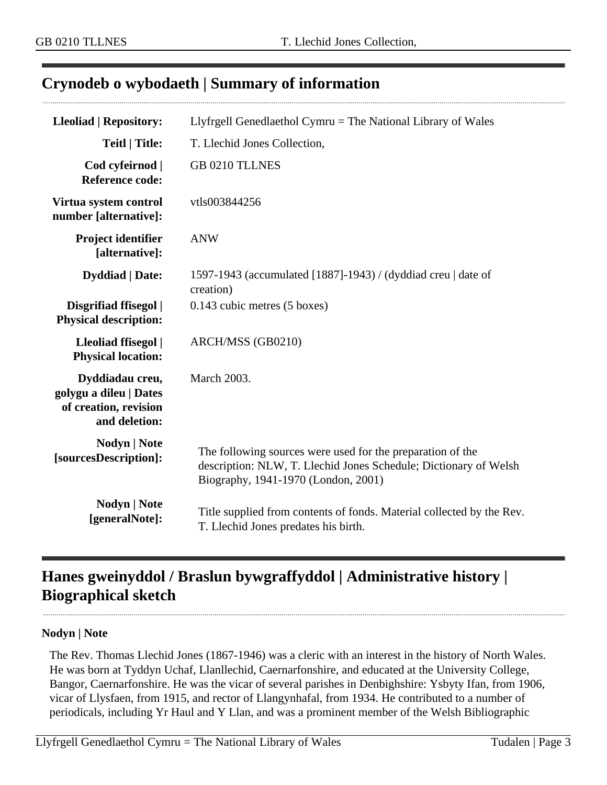## <span id="page-2-0"></span>**Crynodeb o wybodaeth | Summary of information**

| <b>Lleoliad   Repository:</b>                                                       | Llyfrgell Genedlaethol Cymru $=$ The National Library of Wales                                                                                                        |
|-------------------------------------------------------------------------------------|-----------------------------------------------------------------------------------------------------------------------------------------------------------------------|
| <b>Teitl   Title:</b>                                                               | T. Llechid Jones Collection,                                                                                                                                          |
| Cod cyfeirnod  <br><b>Reference code:</b>                                           | <b>GB 0210 TLLNES</b>                                                                                                                                                 |
| Virtua system control<br>number [alternative]:                                      | vtls003844256                                                                                                                                                         |
| <b>Project identifier</b><br>[alternative]:                                         | <b>ANW</b>                                                                                                                                                            |
| <b>Dyddiad</b>   Date:                                                              | 1597-1943 (accumulated [1887]-1943) / (dyddiad creu   date of<br>creation)                                                                                            |
| Disgrifiad ffisegol  <br><b>Physical description:</b>                               | 0.143 cubic metres (5 boxes)                                                                                                                                          |
| Lleoliad ffisegol  <br><b>Physical location:</b>                                    | ARCH/MSS (GB0210)                                                                                                                                                     |
| Dyddiadau creu,<br>golygu a dileu   Dates<br>of creation, revision<br>and deletion: | <b>March 2003.</b>                                                                                                                                                    |
| <b>Nodyn</b>   <b>Note</b><br>[sourcesDescription]:                                 | The following sources were used for the preparation of the<br>description: NLW, T. Llechid Jones Schedule; Dictionary of Welsh<br>Biography, 1941-1970 (London, 2001) |
| <b>Nodyn</b>   <b>Note</b><br>[generalNote]:                                        | Title supplied from contents of fonds. Material collected by the Rev.<br>T. Llechid Jones predates his birth.                                                         |

# <span id="page-2-1"></span>**Hanes gweinyddol / Braslun bywgraffyddol | Administrative history | Biographical sketch**

#### **Nodyn | Note**

The Rev. Thomas Llechid Jones (1867-1946) was a cleric with an interest in the history of North Wales. He was born at Tyddyn Uchaf, Llanllechid, Caernarfonshire, and educated at the University College, Bangor, Caernarfonshire. He was the vicar of several parishes in Denbighshire: Ysbyty Ifan, from 1906, vicar of Llysfaen, from 1915, and rector of Llangynhafal, from 1934. He contributed to a number of periodicals, including Yr Haul and Y Llan, and was a prominent member of the Welsh Bibliographic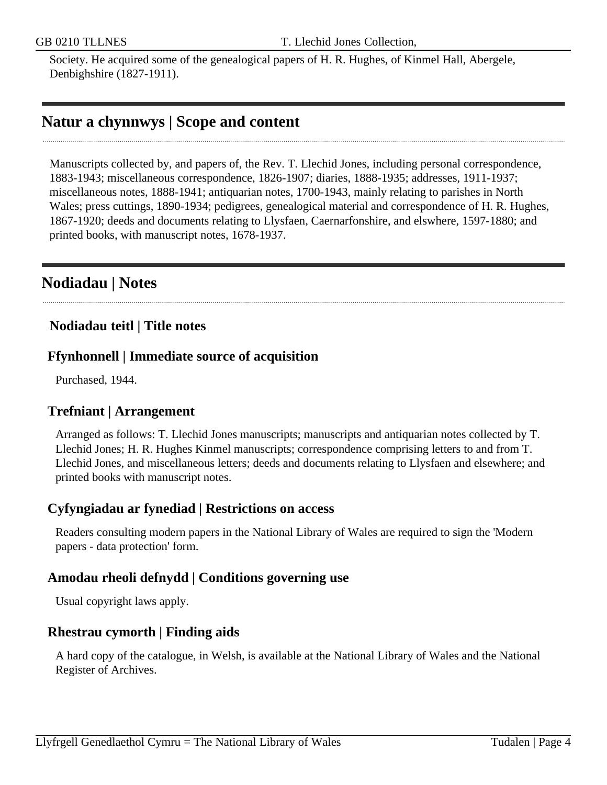Society. He acquired some of the genealogical papers of H. R. Hughes, of Kinmel Hall, Abergele, Denbighshire (1827-1911).

## <span id="page-3-0"></span>**Natur a chynnwys | Scope and content**

Manuscripts collected by, and papers of, the Rev. T. Llechid Jones, including personal correspondence, 1883-1943; miscellaneous correspondence, 1826-1907; diaries, 1888-1935; addresses, 1911-1937; miscellaneous notes, 1888-1941; antiquarian notes, 1700-1943, mainly relating to parishes in North Wales; press cuttings, 1890-1934; pedigrees, genealogical material and correspondence of H. R. Hughes, 1867-1920; deeds and documents relating to Llysfaen, Caernarfonshire, and elswhere, 1597-1880; and printed books, with manuscript notes, 1678-1937.

## <span id="page-3-1"></span>**Nodiadau | Notes**

## **Nodiadau teitl | Title notes**

## **Ffynhonnell | Immediate source of acquisition**

Purchased, 1944.

## **Trefniant | Arrangement**

Arranged as follows: T. Llechid Jones manuscripts; manuscripts and antiquarian notes collected by T. Llechid Jones; H. R. Hughes Kinmel manuscripts; correspondence comprising letters to and from T. Llechid Jones, and miscellaneous letters; deeds and documents relating to Llysfaen and elsewhere; and printed books with manuscript notes.

## **Cyfyngiadau ar fynediad | Restrictions on access**

Readers consulting modern papers in the National Library of Wales are required to sign the 'Modern papers - data protection' form.

## **Amodau rheoli defnydd | Conditions governing use**

Usual copyright laws apply.

## **Rhestrau cymorth | Finding aids**

A hard copy of the catalogue, in Welsh, is available at the National Library of Wales and the National Register of Archives.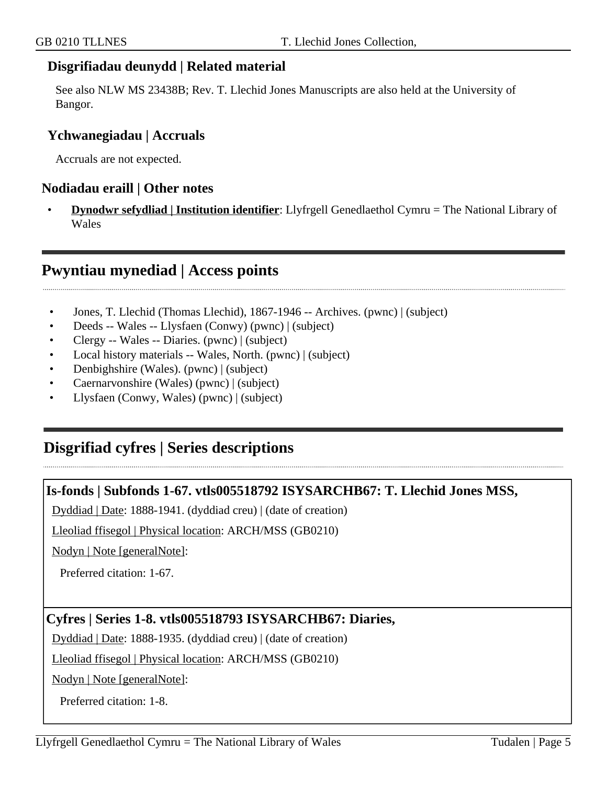## **Disgrifiadau deunydd | Related material**

See also NLW MS 23438B; Rev. T. Llechid Jones Manuscripts are also held at the University of Bangor.

## **Ychwanegiadau | Accruals**

Accruals are not expected.

#### **Nodiadau eraill | Other notes**

• **Dynodwr sefydliad | Institution identifier**: Llyfrgell Genedlaethol Cymru = The National Library of Wales

## <span id="page-4-0"></span>**Pwyntiau mynediad | Access points**

- Jones, T. Llechid (Thomas Llechid), 1867-1946 -- Archives. (pwnc) | (subject)
- Deeds -- Wales -- Llysfaen (Conwy) (pwnc) | (subject)
- Clergy -- Wales -- Diaries. (pwnc) | (subject)
- Local history materials -- Wales, North. (pwnc) | (subject)
- Denbighshire (Wales). (pwnc) | (subject)
- Caernarvonshire (Wales) (pwnc) | (subject)
- Llysfaen (Conwy, Wales) (pwnc) | (subject)

## <span id="page-4-1"></span>**Disgrifiad cyfres | Series descriptions**

#### **Is-fonds | Subfonds 1-67. vtls005518792 ISYSARCHB67: T. Llechid Jones MSS,**

Dyddiad | Date: 1888-1941. (dyddiad creu) | (date of creation)

Lleoliad ffisegol | Physical location: ARCH/MSS (GB0210)

Nodyn | Note [generalNote]:

Preferred citation: 1-67.

## **Cyfres | Series 1-8. vtls005518793 ISYSARCHB67: Diaries,**

Dyddiad | Date: 1888-1935. (dyddiad creu) | (date of creation)

Lleoliad ffisegol | Physical location: ARCH/MSS (GB0210)

Nodyn | Note [generalNote]:

Preferred citation: 1-8.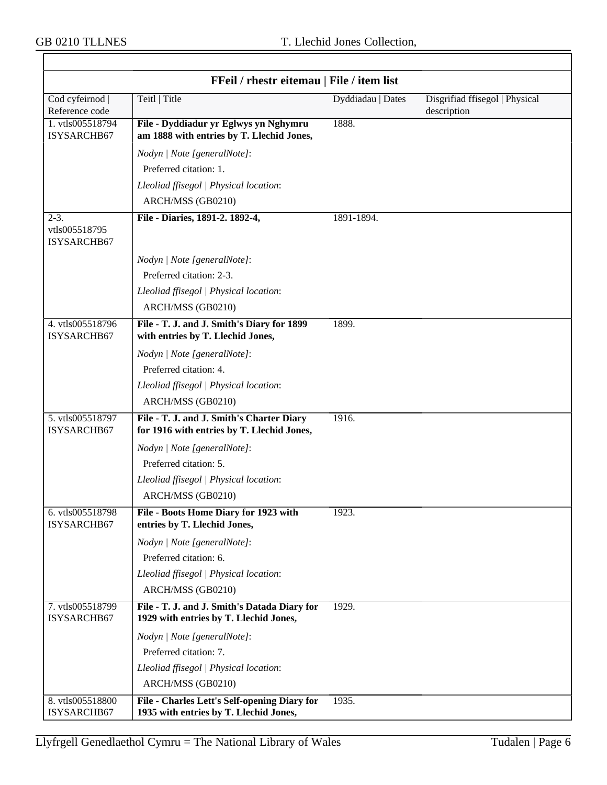$\overline{\mathsf{r}}$ 

| FFeil / rhestr eitemau   File / item list |                                                                                         |                   |                                               |
|-------------------------------------------|-----------------------------------------------------------------------------------------|-------------------|-----------------------------------------------|
| Cod cyfeirnod<br>Reference code           | Teitl   Title                                                                           | Dyddiadau   Dates | Disgrifiad ffisegol   Physical<br>description |
| 1. vtls005518794<br>ISYSARCHB67           | File - Dyddiadur yr Eglwys yn Nghymru<br>am 1888 with entries by T. Llechid Jones,      | 1888.             |                                               |
|                                           | Nodyn   Note [generalNote]:                                                             |                   |                                               |
|                                           | Preferred citation: 1.                                                                  |                   |                                               |
|                                           | Lleoliad ffisegol   Physical location:                                                  |                   |                                               |
|                                           | ARCH/MSS (GB0210)                                                                       |                   |                                               |
| $2-3.$<br>vtls005518795<br>ISYSARCHB67    | File - Diaries, 1891-2. 1892-4,                                                         | 1891-1894.        |                                               |
|                                           | Nodyn   Note [generalNote]:                                                             |                   |                                               |
|                                           | Preferred citation: 2-3.                                                                |                   |                                               |
|                                           | Lleoliad ffisegol   Physical location:                                                  |                   |                                               |
|                                           | ARCH/MSS (GB0210)                                                                       |                   |                                               |
| 4. vtls005518796<br>ISYSARCHB67           | File - T. J. and J. Smith's Diary for 1899<br>with entries by T. Llechid Jones,         | 1899.             |                                               |
|                                           | Nodyn   Note [generalNote]:                                                             |                   |                                               |
|                                           | Preferred citation: 4.                                                                  |                   |                                               |
|                                           | Lleoliad ffisegol   Physical location:                                                  |                   |                                               |
|                                           | ARCH/MSS (GB0210)                                                                       |                   |                                               |
| 5. vtls005518797<br>ISYSARCHB67           | File - T. J. and J. Smith's Charter Diary<br>for 1916 with entries by T. Llechid Jones, | 1916.             |                                               |
|                                           | Nodyn   Note [generalNote]:                                                             |                   |                                               |
|                                           | Preferred citation: 5.                                                                  |                   |                                               |
|                                           | Lleoliad ffisegol   Physical location:                                                  |                   |                                               |
|                                           | ARCH/MSS (GB0210)                                                                       |                   |                                               |
| 6. vtls005518798<br>ISYSARCHB67           | File - Boots Home Diary for 1923 with<br>entries by T. Llechid Jones,                   | 1923.             |                                               |
|                                           | Nodyn   Note [generalNote]:                                                             |                   |                                               |
|                                           | Preferred citation: 6.                                                                  |                   |                                               |
|                                           | Lleoliad ffisegol   Physical location:                                                  |                   |                                               |
|                                           | ARCH/MSS (GB0210)                                                                       |                   |                                               |
| 7. vtls005518799<br>ISYSARCHB67           | File - T. J. and J. Smith's Datada Diary for<br>1929 with entries by T. Llechid Jones,  | 1929.             |                                               |
|                                           | Nodyn   Note [generalNote]:                                                             |                   |                                               |
|                                           | Preferred citation: 7.                                                                  |                   |                                               |
|                                           | Lleoliad ffisegol   Physical location:                                                  |                   |                                               |
|                                           | ARCH/MSS (GB0210)                                                                       |                   |                                               |
| 8. vtls005518800<br>ISYSARCHB67           | File - Charles Lett's Self-opening Diary for<br>1935 with entries by T. Llechid Jones,  | 1935.             |                                               |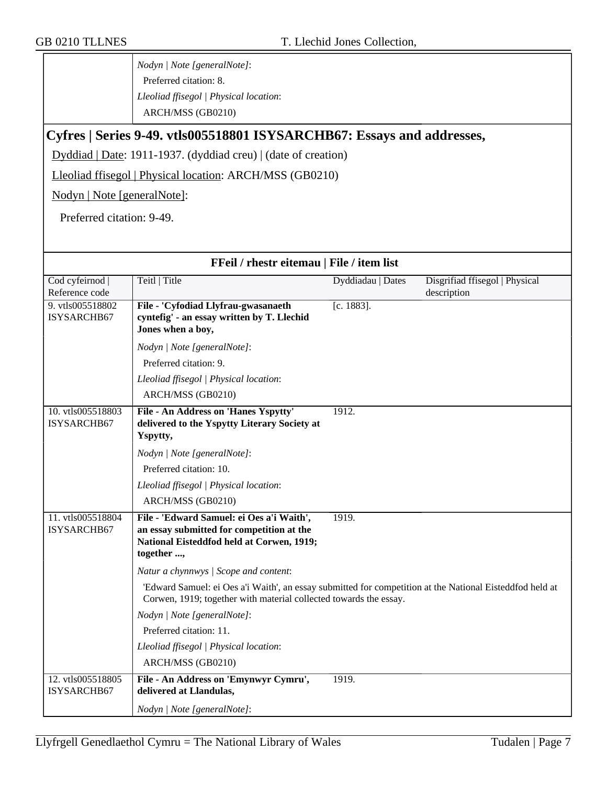*Nodyn | Note [generalNote]*: Preferred citation: 8. *Lleoliad ffisegol | Physical location*: ARCH/MSS (GB0210)

## **Cyfres | Series 9-49. vtls005518801 ISYSARCHB67: Essays and addresses,**

Dyddiad | Date: 1911-1937. (dyddiad creu) | (date of creation)

Lleoliad ffisegol | Physical location: ARCH/MSS (GB0210)

Nodyn | Note [generalNote]:

Preferred citation: 9-49.

| FFeil / rhestr eitemau   File / item list |                                                                                                                                                                               |                   |                                |
|-------------------------------------------|-------------------------------------------------------------------------------------------------------------------------------------------------------------------------------|-------------------|--------------------------------|
| Cod cyfeirnod                             | Teitl   Title                                                                                                                                                                 | Dyddiadau   Dates | Disgrifiad ffisegol   Physical |
| Reference code                            |                                                                                                                                                                               |                   | description                    |
| 9. vtls005518802                          | File - 'Cyfodiad Llyfrau-gwasanaeth                                                                                                                                           | $[c. 1883]$ .     |                                |
| ISYSARCHB67                               | cyntefig' - an essay written by T. Llechid<br>Jones when a boy,                                                                                                               |                   |                                |
|                                           | Nodyn   Note [generalNote]:                                                                                                                                                   |                   |                                |
|                                           | Preferred citation: 9.                                                                                                                                                        |                   |                                |
|                                           | Lleoliad ffisegol   Physical location:                                                                                                                                        |                   |                                |
|                                           | ARCH/MSS (GB0210)                                                                                                                                                             |                   |                                |
| 10. vtls005518803                         | File - An Address on 'Hanes Yspytty'                                                                                                                                          | 1912.             |                                |
| ISYSARCHB67                               | delivered to the Yspytty Literary Society at                                                                                                                                  |                   |                                |
|                                           | Yspytty,                                                                                                                                                                      |                   |                                |
|                                           | Nodyn   Note [generalNote]:                                                                                                                                                   |                   |                                |
|                                           | Preferred citation: 10.                                                                                                                                                       |                   |                                |
|                                           | Lleoliad ffisegol   Physical location:                                                                                                                                        |                   |                                |
|                                           | ARCH/MSS (GB0210)                                                                                                                                                             |                   |                                |
| 11. vtls005518804                         | File - 'Edward Samuel: ei Oes a'i Waith',                                                                                                                                     | 1919.             |                                |
| ISYSARCHB67                               | an essay submitted for competition at the                                                                                                                                     |                   |                                |
|                                           | National Eisteddfod held at Corwen, 1919;                                                                                                                                     |                   |                                |
|                                           | together ,                                                                                                                                                                    |                   |                                |
|                                           | Natur a chynnwys / Scope and content:                                                                                                                                         |                   |                                |
|                                           | 'Edward Samuel: ei Oes a'i Waith', an essay submitted for competition at the National Eisteddfod held at<br>Corwen, 1919; together with material collected towards the essay. |                   |                                |
|                                           | Nodyn   Note [generalNote]:                                                                                                                                                   |                   |                                |
|                                           | Preferred citation: 11.                                                                                                                                                       |                   |                                |
|                                           | Lleoliad ffisegol   Physical location:                                                                                                                                        |                   |                                |
|                                           | ARCH/MSS (GB0210)                                                                                                                                                             |                   |                                |
| 12. vtls005518805<br>ISYSARCHB67          | File - An Address on 'Emynwyr Cymru',<br>delivered at Llandulas,                                                                                                              | 1919.             |                                |
|                                           | Nodyn   Note [generalNote]:                                                                                                                                                   |                   |                                |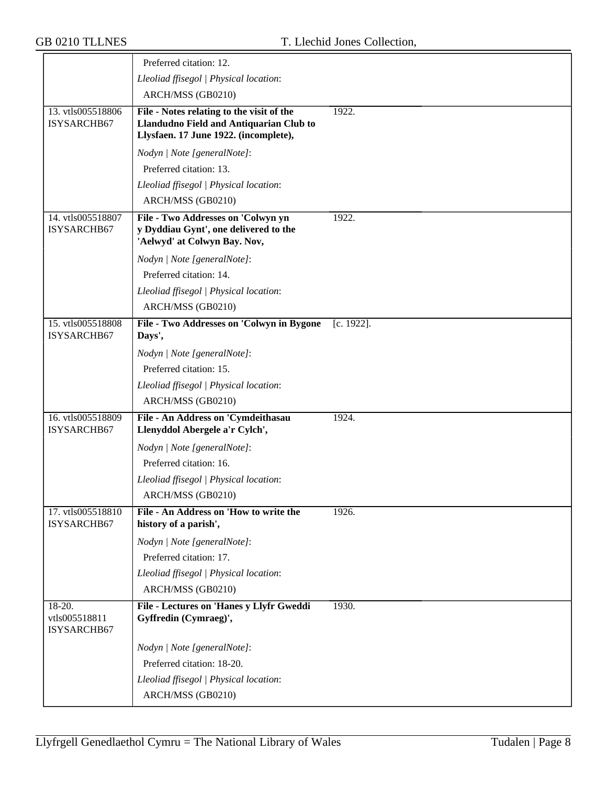|                                        | Preferred citation: 12.                                                                                                       |               |
|----------------------------------------|-------------------------------------------------------------------------------------------------------------------------------|---------------|
|                                        | Lleoliad ffisegol   Physical location:                                                                                        |               |
|                                        | ARCH/MSS (GB0210)                                                                                                             |               |
| 13. vtls005518806<br>ISYSARCHB67       | File - Notes relating to the visit of the<br>Llandudno Field and Antiquarian Club to<br>Llysfaen. 17 June 1922. (incomplete), | 1922.         |
|                                        | Nodyn   Note [generalNote]:                                                                                                   |               |
|                                        | Preferred citation: 13.                                                                                                       |               |
|                                        | Lleoliad ffisegol   Physical location:                                                                                        |               |
|                                        | ARCH/MSS (GB0210)                                                                                                             |               |
| 14. vtls005518807<br>ISYSARCHB67       | File - Two Addresses on 'Colwyn yn<br>y Dyddiau Gynt', one delivered to the<br>'Aelwyd' at Colwyn Bay. Nov,                   | 1922.         |
|                                        | Nodyn   Note [generalNote]:                                                                                                   |               |
|                                        | Preferred citation: 14.                                                                                                       |               |
|                                        | Lleoliad ffisegol   Physical location:                                                                                        |               |
|                                        | ARCH/MSS (GB0210)                                                                                                             |               |
| 15. vtls005518808<br>ISYSARCHB67       | File - Two Addresses on 'Colwyn in Bygone<br>Days',                                                                           | $[c. 1922]$ . |
|                                        | Nodyn   Note [generalNote]:                                                                                                   |               |
|                                        | Preferred citation: 15.                                                                                                       |               |
|                                        | Lleoliad ffisegol   Physical location:                                                                                        |               |
|                                        | ARCH/MSS (GB0210)                                                                                                             |               |
| 16. vtls005518809<br>ISYSARCHB67       | File - An Address on 'Cymdeithasau<br>Llenyddol Abergele a'r Cylch',                                                          | 1924.         |
|                                        | Nodyn   Note [generalNote]:                                                                                                   |               |
|                                        | Preferred citation: 16.                                                                                                       |               |
|                                        | Lleoliad ffisegol   Physical location:                                                                                        |               |
|                                        | ARCH/MSS (GB0210)                                                                                                             |               |
| 17. vtls005518810<br>ISYSARCHB67       | File - An Address on 'How to write the<br>history of a parish',                                                               | 1926.         |
|                                        | Nodyn   Note [generalNote]:                                                                                                   |               |
|                                        | Preferred citation: 17.                                                                                                       |               |
|                                        | Lleoliad ffisegol   Physical location:                                                                                        |               |
|                                        | ARCH/MSS (GB0210)                                                                                                             |               |
| 18-20.<br>vtls005518811<br>ISYSARCHB67 | File - Lectures on 'Hanes y Llyfr Gweddi<br>Gyffredin (Cymraeg)',                                                             | 1930.         |
|                                        | Nodyn   Note [generalNote]:                                                                                                   |               |
|                                        | Preferred citation: 18-20.                                                                                                    |               |
|                                        | Lleoliad ffisegol   Physical location:                                                                                        |               |
|                                        | ARCH/MSS (GB0210)                                                                                                             |               |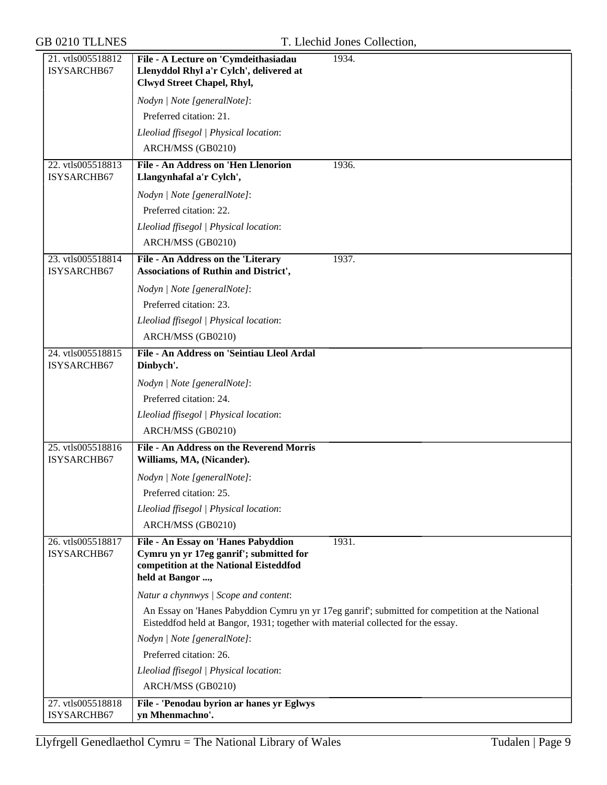| 21. vtls005518812                | File - A Lecture on 'Cymdeithasiadau<br>1934.                                                                                                                                        |
|----------------------------------|--------------------------------------------------------------------------------------------------------------------------------------------------------------------------------------|
| ISYSARCHB67                      | Llenyddol Rhyl a'r Cylch', delivered at                                                                                                                                              |
|                                  | Clwyd Street Chapel, Rhyl,                                                                                                                                                           |
|                                  | Nodyn   Note [generalNote]:                                                                                                                                                          |
|                                  | Preferred citation: 21.                                                                                                                                                              |
|                                  | Lleoliad ffisegol   Physical location:                                                                                                                                               |
|                                  | ARCH/MSS (GB0210)                                                                                                                                                                    |
| 22. vtls005518813<br>ISYSARCHB67 | <b>File - An Address on 'Hen Llenorion</b><br>1936.<br>Llangynhafal a'r Cylch',                                                                                                      |
|                                  | Nodyn   Note [generalNote]:                                                                                                                                                          |
|                                  | Preferred citation: 22.                                                                                                                                                              |
|                                  | Lleoliad ffisegol   Physical location:                                                                                                                                               |
|                                  | ARCH/MSS (GB0210)                                                                                                                                                                    |
| 23. vtls005518814<br>ISYSARCHB67 | 1937.<br>File - An Address on the 'Literary<br><b>Associations of Ruthin and District',</b>                                                                                          |
|                                  | Nodyn   Note [generalNote]:                                                                                                                                                          |
|                                  | Preferred citation: 23.                                                                                                                                                              |
|                                  | Lleoliad ffisegol   Physical location:                                                                                                                                               |
|                                  | ARCH/MSS (GB0210)                                                                                                                                                                    |
| 24. vtls005518815                | File - An Address on 'Seintiau Lleol Ardal                                                                                                                                           |
| ISYSARCHB67                      | Dinbych'.                                                                                                                                                                            |
|                                  | Nodyn   Note [generalNote]:                                                                                                                                                          |
|                                  | Preferred citation: 24.                                                                                                                                                              |
|                                  | Lleoliad ffisegol   Physical location:                                                                                                                                               |
|                                  | ARCH/MSS (GB0210)                                                                                                                                                                    |
| 25. vtls005518816                | <b>File - An Address on the Reverend Morris</b>                                                                                                                                      |
| ISYSARCHB67                      | Williams, MA, (Nicander).                                                                                                                                                            |
|                                  | Nodyn   Note [generalNote]:                                                                                                                                                          |
|                                  | Preferred citation: 25.                                                                                                                                                              |
|                                  | Lleoliad ffisegol   Physical location:                                                                                                                                               |
|                                  | ARCH/MSS (GB0210)                                                                                                                                                                    |
| 26. vtls005518817                | File - An Essay on 'Hanes Pabyddion<br>1931.                                                                                                                                         |
| ISYSARCHB67                      | Cymru yn yr 17eg ganrif'; submitted for                                                                                                                                              |
|                                  | competition at the National Eisteddfod<br>held at Bangor ,                                                                                                                           |
|                                  | Natur a chynnwys / Scope and content:                                                                                                                                                |
|                                  |                                                                                                                                                                                      |
|                                  | An Essay on 'Hanes Pabyddion Cymru yn yr 17eg ganrif'; submitted for competition at the National<br>Eisteddfod held at Bangor, 1931; together with material collected for the essay. |
|                                  | Nodyn   Note [generalNote]:                                                                                                                                                          |
|                                  | Preferred citation: 26.                                                                                                                                                              |
|                                  | Lleoliad ffisegol   Physical location:                                                                                                                                               |
|                                  | ARCH/MSS (GB0210)                                                                                                                                                                    |
| 27. vtls005518818                | File - 'Penodau byrion ar hanes yr Eglwys                                                                                                                                            |
| ISYSARCHB67                      | yn Mhenmachno'.                                                                                                                                                                      |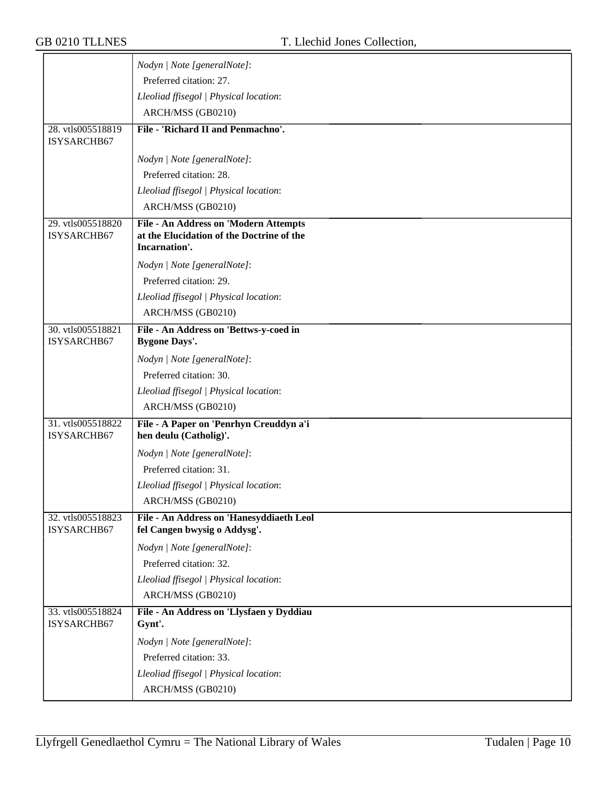|                                  | Nodyn   Note [generalNote]:                                                                         |
|----------------------------------|-----------------------------------------------------------------------------------------------------|
|                                  | Preferred citation: 27.                                                                             |
|                                  | Lleoliad ffisegol   Physical location:                                                              |
|                                  | ARCH/MSS (GB0210)                                                                                   |
| 28. vtls005518819                | File - 'Richard II and Penmachno'.                                                                  |
| ISYSARCHB67                      |                                                                                                     |
|                                  | Nodyn   Note [generalNote]:                                                                         |
|                                  | Preferred citation: 28.                                                                             |
|                                  | Lleoliad ffisegol   Physical location:                                                              |
|                                  | ARCH/MSS (GB0210)                                                                                   |
| 29. vtls005518820<br>ISYSARCHB67 | File - An Address on 'Modern Attempts<br>at the Elucidation of the Doctrine of the<br>Incarnation'. |
|                                  | Nodyn   Note [generalNote]:                                                                         |
|                                  | Preferred citation: 29.                                                                             |
|                                  | Lleoliad ffisegol   Physical location:                                                              |
|                                  | ARCH/MSS (GB0210)                                                                                   |
| 30. vtls005518821                | File - An Address on 'Bettws-y-coed in                                                              |
| ISYSARCHB67                      | <b>Bygone Days'.</b>                                                                                |
|                                  | Nodyn   Note [generalNote]:                                                                         |
|                                  | Preferred citation: 30.                                                                             |
|                                  | Lleoliad ffisegol   Physical location:                                                              |
|                                  | ARCH/MSS (GB0210)                                                                                   |
| 31. vtls005518822<br>ISYSARCHB67 | File - A Paper on 'Penrhyn Creuddyn a'i<br>hen deulu (Catholig)'.                                   |
|                                  | Nodyn   Note [generalNote]:                                                                         |
|                                  | Preferred citation: 31.                                                                             |
|                                  | Lleoliad ffisegol   Physical location:                                                              |
|                                  | ARCH/MSS (GB0210)                                                                                   |
| 32. vtls005518823                | File - An Address on 'Hanesyddiaeth Leol                                                            |
| ISYSARCHB67                      | fel Cangen bwysig o Addysg'.                                                                        |
|                                  | Nodyn   Note [generalNote]:                                                                         |
|                                  | Preferred citation: 32.                                                                             |
|                                  | Lleoliad ffisegol   Physical location:                                                              |
|                                  | ARCH/MSS (GB0210)                                                                                   |
| 33. vtls005518824<br>ISYSARCHB67 | File - An Address on 'Llysfaen y Dyddiau<br>Gynt'.                                                  |
|                                  | Nodyn   Note [generalNote]:                                                                         |
|                                  | Preferred citation: 33.                                                                             |
|                                  | Lleoliad ffisegol   Physical location:                                                              |
|                                  | ARCH/MSS (GB0210)                                                                                   |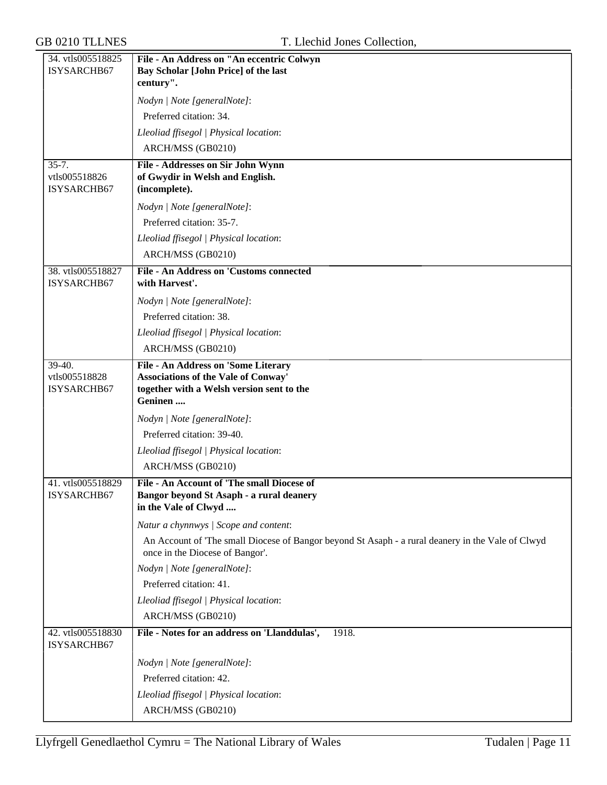| 34. vtls005518825<br>ISYSARCHB67       | File - An Address on "An eccentric Colwyn<br>Bay Scholar [John Price] of the last                                                    |
|----------------------------------------|--------------------------------------------------------------------------------------------------------------------------------------|
|                                        | century".                                                                                                                            |
|                                        | Nodyn   Note [generalNote]:                                                                                                          |
|                                        | Preferred citation: 34.                                                                                                              |
|                                        | Lleoliad ffisegol   Physical location:                                                                                               |
|                                        | ARCH/MSS (GB0210)                                                                                                                    |
| $35 - 7.$                              | File - Addresses on Sir John Wynn                                                                                                    |
| vtls005518826<br>ISYSARCHB67           | of Gwydir in Welsh and English.<br>(incomplete).                                                                                     |
|                                        | Nodyn   Note [generalNote]:                                                                                                          |
|                                        | Preferred citation: 35-7.                                                                                                            |
|                                        | Lleoliad ffisegol   Physical location:                                                                                               |
|                                        | ARCH/MSS (GB0210)                                                                                                                    |
| 38. vtls005518827                      | File - An Address on 'Customs connected                                                                                              |
| ISYSARCHB67                            | with Harvest'.                                                                                                                       |
|                                        | Nodyn   Note [generalNote]:                                                                                                          |
|                                        | Preferred citation: 38.                                                                                                              |
|                                        | Lleoliad ffisegol   Physical location:                                                                                               |
|                                        | ARCH/MSS (GB0210)                                                                                                                    |
| 39-40.<br>vtls005518828<br>ISYSARCHB67 | File - An Address on 'Some Literary<br>Associations of the Vale of Conway'<br>together with a Welsh version sent to the<br>Geninen   |
|                                        | Nodyn   Note [generalNote]:                                                                                                          |
|                                        | Preferred citation: 39-40.                                                                                                           |
|                                        | Lleoliad ffisegol   Physical location:                                                                                               |
|                                        | ARCH/MSS (GB0210)                                                                                                                    |
| 41. vtls005518829<br>ISYSARCHB67       | File - An Account of 'The small Diocese of<br>Bangor beyond St Asaph - a rural deanery<br>in the Vale of Clwyd                       |
|                                        | Natur a chynnwys / Scope and content:                                                                                                |
|                                        | An Account of 'The small Diocese of Bangor beyond St Asaph - a rural deanery in the Vale of Clwyd<br>once in the Diocese of Bangor'. |
|                                        | Nodyn   Note [generalNote]:                                                                                                          |
|                                        | Preferred citation: 41.                                                                                                              |
|                                        | Lleoliad ffisegol   Physical location:                                                                                               |
|                                        | ARCH/MSS (GB0210)                                                                                                                    |
| 42. vtls005518830<br>ISYSARCHB67       | File - Notes for an address on 'Llanddulas',<br>1918.                                                                                |
|                                        | Nodyn   Note [generalNote]:                                                                                                          |
|                                        | Preferred citation: 42.                                                                                                              |
|                                        | Lleoliad ffisegol   Physical location:                                                                                               |
|                                        | ARCH/MSS (GB0210)                                                                                                                    |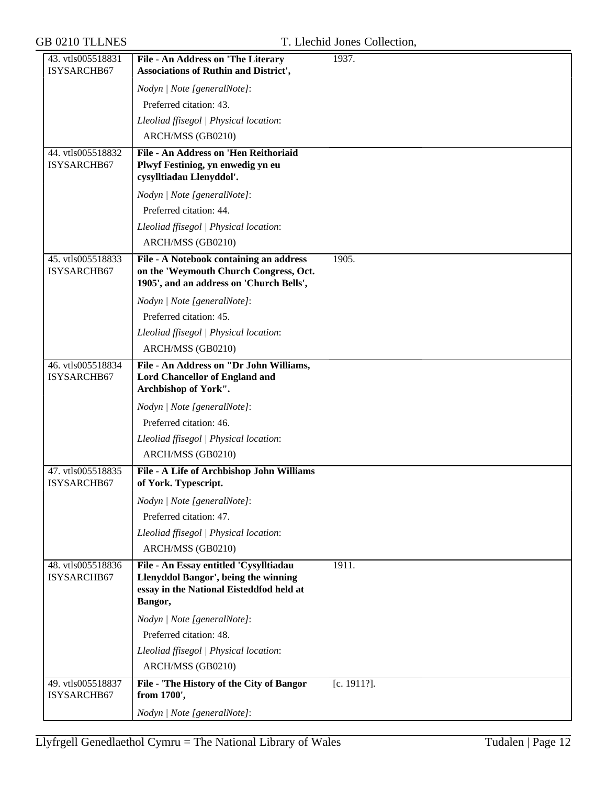| 43. vtls005518831                | File - An Address on 'The Literary                                                 | 1937.          |
|----------------------------------|------------------------------------------------------------------------------------|----------------|
| ISYSARCHB67                      | <b>Associations of Ruthin and District',</b>                                       |                |
|                                  | Nodyn   Note [generalNote]:                                                        |                |
|                                  | Preferred citation: 43.                                                            |                |
|                                  | Lleoliad ffisegol   Physical location:                                             |                |
|                                  | ARCH/MSS (GB0210)                                                                  |                |
| 44. vtls005518832                | File - An Address on 'Hen Reithoriaid                                              |                |
| ISYSARCHB67                      | Plwyf Festiniog, yn enwedig yn eu<br>cysylltiadau Llenyddol'.                      |                |
|                                  | Nodyn   Note [generalNote]:                                                        |                |
|                                  | Preferred citation: 44.                                                            |                |
|                                  | Lleoliad ffisegol   Physical location:                                             |                |
|                                  | ARCH/MSS (GB0210)                                                                  |                |
| 45. vtls005518833                | File - A Notebook containing an address                                            | 1905.          |
| ISYSARCHB67                      | on the 'Weymouth Church Congress, Oct.<br>1905', and an address on 'Church Bells', |                |
|                                  | Nodyn   Note [generalNote]:                                                        |                |
|                                  | Preferred citation: 45.                                                            |                |
|                                  | Lleoliad ffisegol   Physical location:                                             |                |
|                                  | ARCH/MSS (GB0210)                                                                  |                |
| 46. vtls005518834                | File - An Address on "Dr John Williams,                                            |                |
| ISYSARCHB67                      | <b>Lord Chancellor of England and</b><br>Archbishop of York".                      |                |
|                                  | Nodyn   Note [generalNote]:                                                        |                |
|                                  | Preferred citation: 46.                                                            |                |
|                                  | Lleoliad ffisegol   Physical location:                                             |                |
|                                  | ARCH/MSS (GB0210)                                                                  |                |
| 47. vtls005518835<br>ISYSARCHB67 | File - A Life of Archbishop John Williams<br>of York. Typescript.                  |                |
|                                  | Nodyn   Note [generalNote]:                                                        |                |
|                                  | Preferred citation: 47.                                                            |                |
|                                  | Lleoliad ffisegol   Physical location:                                             |                |
|                                  | ARCH/MSS (GB0210)                                                                  |                |
| 48. vtls005518836                | File - An Essay entitled 'Cysylltiadau                                             | 1911.          |
| ISYSARCHB67                      | Llenyddol Bangor', being the winning                                               |                |
|                                  | essay in the National Eisteddfod held at<br>Bangor,                                |                |
|                                  | Nodyn   Note [generalNote]:                                                        |                |
|                                  | Preferred citation: 48.                                                            |                |
|                                  | Lleoliad ffisegol   Physical location:                                             |                |
|                                  | ARCH/MSS (GB0210)                                                                  |                |
| 49. vtls005518837<br>ISYSARCHB67 | File - 'The History of the City of Bangor<br>from 1700',                           | $[c. 1911?]$ . |
|                                  | Nodyn   Note [generalNote]:                                                        |                |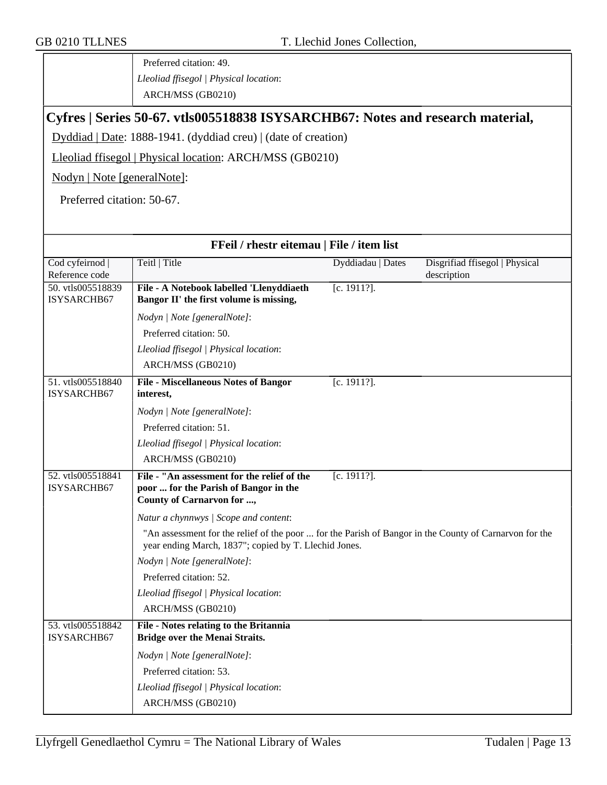Preferred citation: 49. *Lleoliad ffisegol | Physical location*: ARCH/MSS (GB0210)

## **Cyfres | Series 50-67. vtls005518838 ISYSARCHB67: Notes and research material,**

Dyddiad | Date: 1888-1941. (dyddiad creu) | (date of creation)

Lleoliad ffisegol | Physical location: ARCH/MSS (GB0210)

Nodyn | Note [generalNote]:

Preferred citation: 50-67.

| FFeil / rhestr eitemau   File / item list |                                                                                                                                                                 |                   |                                               |
|-------------------------------------------|-----------------------------------------------------------------------------------------------------------------------------------------------------------------|-------------------|-----------------------------------------------|
| Cod cyfeirnod  <br>Reference code         | Teitl   Title                                                                                                                                                   | Dyddiadau   Dates | Disgrifiad ffisegol   Physical<br>description |
| 50. vtls005518839<br>ISYSARCHB67          | File - A Notebook labelled 'Llenyddiaeth<br>Bangor II' the first volume is missing,                                                                             | $[c. 1911?]$ .    |                                               |
|                                           | Nodyn   Note [generalNote]:                                                                                                                                     |                   |                                               |
|                                           | Preferred citation: 50.                                                                                                                                         |                   |                                               |
|                                           | Lleoliad ffisegol   Physical location:                                                                                                                          |                   |                                               |
|                                           | ARCH/MSS (GB0210)                                                                                                                                               |                   |                                               |
| 51. vtls005518840<br>ISYSARCHB67          | <b>File - Miscellaneous Notes of Bangor</b><br>interest,                                                                                                        | $[c. 1911?]$ .    |                                               |
|                                           | Nodyn   Note [generalNote]:                                                                                                                                     |                   |                                               |
|                                           | Preferred citation: 51.                                                                                                                                         |                   |                                               |
|                                           | Lleoliad ffisegol   Physical location:                                                                                                                          |                   |                                               |
|                                           | ARCH/MSS (GB0210)                                                                                                                                               |                   |                                               |
| 52. vtls005518841<br>ISYSARCHB67          | File - "An assessment for the relief of the<br>poor  for the Parish of Bangor in the<br>County of Carnarvon for ,                                               | $[c. 1911?]$ .    |                                               |
|                                           | Natur a chynnwys / Scope and content:                                                                                                                           |                   |                                               |
|                                           | "An assessment for the relief of the poor  for the Parish of Bangor in the County of Carnarvon for the<br>year ending March, 1837"; copied by T. Llechid Jones. |                   |                                               |
|                                           | Nodyn   Note [generalNote]:                                                                                                                                     |                   |                                               |
|                                           | Preferred citation: 52.                                                                                                                                         |                   |                                               |
|                                           | Lleoliad ffisegol   Physical location:                                                                                                                          |                   |                                               |
|                                           | ARCH/MSS (GB0210)                                                                                                                                               |                   |                                               |
| 53. vtls005518842<br>ISYSARCHB67          | File - Notes relating to the Britannia<br><b>Bridge over the Menai Straits.</b>                                                                                 |                   |                                               |
|                                           | Nodyn   Note [generalNote]:                                                                                                                                     |                   |                                               |
|                                           | Preferred citation: 53.                                                                                                                                         |                   |                                               |
|                                           | Lleoliad ffisegol   Physical location:                                                                                                                          |                   |                                               |
|                                           | ARCH/MSS (GB0210)                                                                                                                                               |                   |                                               |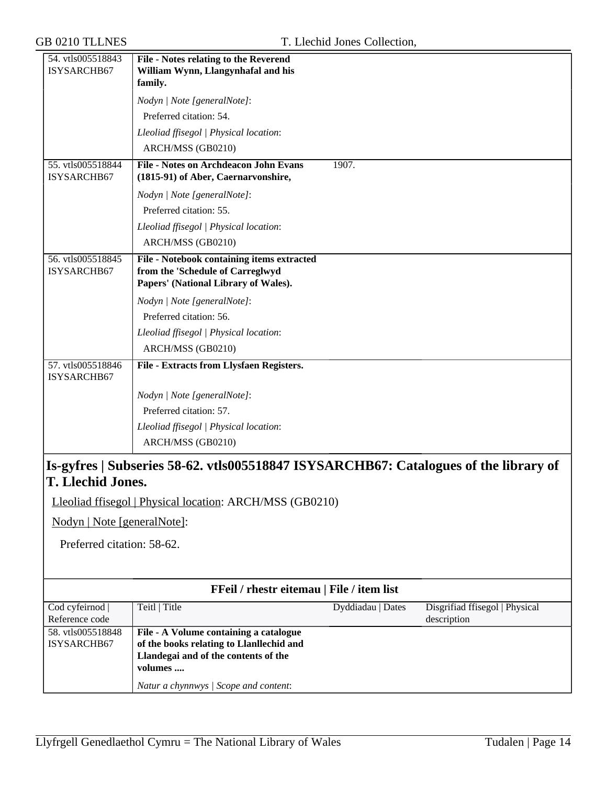| 54. vtls005518843<br>ISYSARCHB67                                                                                                                                             | File - Notes relating to the Reverend<br>William Wynn, Llangynhafal and his<br>family.                                 |
|------------------------------------------------------------------------------------------------------------------------------------------------------------------------------|------------------------------------------------------------------------------------------------------------------------|
|                                                                                                                                                                              | Nodyn   Note [generalNote]:                                                                                            |
|                                                                                                                                                                              | Preferred citation: 54.                                                                                                |
|                                                                                                                                                                              | Lleoliad ffisegol   Physical location:                                                                                 |
|                                                                                                                                                                              | ARCH/MSS (GB0210)                                                                                                      |
| 55. vtls005518844<br>ISYSARCHB67                                                                                                                                             | <b>File - Notes on Archdeacon John Evans</b><br>1907.                                                                  |
|                                                                                                                                                                              | (1815-91) of Aber, Caernarvonshire,                                                                                    |
|                                                                                                                                                                              | Nodyn   Note [generalNote]:<br>Preferred citation: 55.                                                                 |
|                                                                                                                                                                              |                                                                                                                        |
|                                                                                                                                                                              | Lleoliad ffisegol   Physical location:<br>ARCH/MSS (GB0210)                                                            |
| 56. vtls005518845                                                                                                                                                            |                                                                                                                        |
| ISYSARCHB67                                                                                                                                                                  | File - Notebook containing items extracted<br>from the 'Schedule of Carreglwyd<br>Papers' (National Library of Wales). |
|                                                                                                                                                                              | Nodyn   Note [generalNote]:                                                                                            |
|                                                                                                                                                                              | Preferred citation: 56.                                                                                                |
|                                                                                                                                                                              | Lleoliad ffisegol   Physical location:                                                                                 |
|                                                                                                                                                                              | ARCH/MSS (GB0210)                                                                                                      |
| 57. vtls005518846<br>ISYSARCHB67                                                                                                                                             | File - Extracts from Llysfaen Registers.                                                                               |
|                                                                                                                                                                              | Nodyn   Note [generalNote]:                                                                                            |
|                                                                                                                                                                              | Preferred citation: 57.                                                                                                |
|                                                                                                                                                                              | Lleoliad ffisegol   Physical location:                                                                                 |
|                                                                                                                                                                              | ARCH/MSS (GB0210)                                                                                                      |
| Is-gyfres   Subseries 58-62. vtls005518847 ISYSARCHB67: Catalogues of the library of<br><b>T. Llechid Jones.</b><br>Lleoliad ffisegol   Physical location: ARCH/MSS (GB0210) |                                                                                                                        |
|                                                                                                                                                                              |                                                                                                                        |
| Nodyn   Note [generalNote]:                                                                                                                                                  |                                                                                                                        |
| Preferred citation: 58-62.                                                                                                                                                   |                                                                                                                        |
|                                                                                                                                                                              | FFeil / rhestr eitemau   File / item list                                                                              |
| Cod cyfeirnod                                                                                                                                                                | Teitl   Title<br>Dyddiadau   Dates<br>Disgrifiad ffisegol   Physical                                                   |
| Reference code<br>58. vtls005518848                                                                                                                                          | description<br>File - A Volume containing a catalogue                                                                  |
| ISYSARCHB67                                                                                                                                                                  | of the books relating to Llanllechid and                                                                               |
|                                                                                                                                                                              | Llandegai and of the contents of the<br>volumes                                                                        |
|                                                                                                                                                                              | Natur a chynnwys / Scope and content:                                                                                  |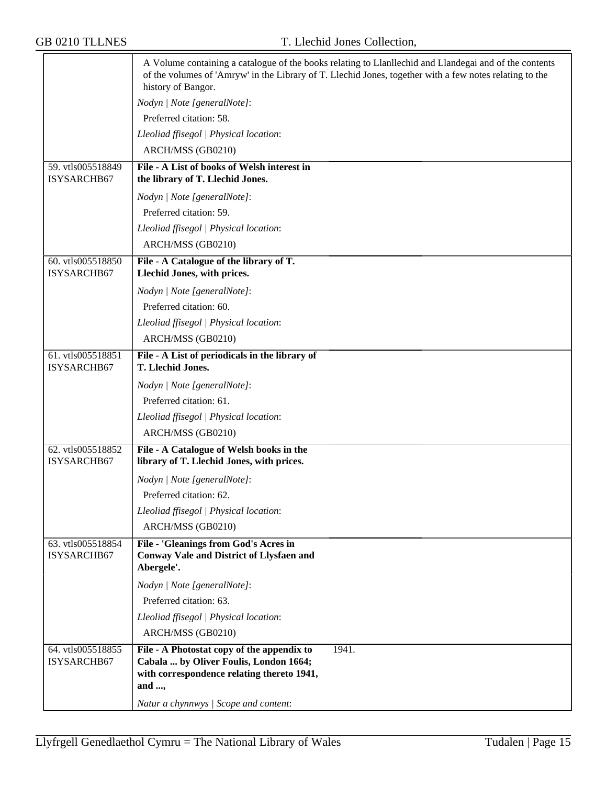|                                  | A Volume containing a catalogue of the books relating to Llanllechid and Llandegai and of the contents<br>of the volumes of 'Amryw' in the Library of T. Llechid Jones, together with a few notes relating to the<br>history of Bangor. |
|----------------------------------|-----------------------------------------------------------------------------------------------------------------------------------------------------------------------------------------------------------------------------------------|
|                                  | Nodyn   Note [generalNote]:                                                                                                                                                                                                             |
|                                  | Preferred citation: 58.                                                                                                                                                                                                                 |
|                                  | Lleoliad ffisegol   Physical location:                                                                                                                                                                                                  |
|                                  | ARCH/MSS (GB0210)                                                                                                                                                                                                                       |
| 59. vtls005518849<br>ISYSARCHB67 | File - A List of books of Welsh interest in<br>the library of T. Llechid Jones.                                                                                                                                                         |
|                                  | Nodyn   Note [generalNote]:                                                                                                                                                                                                             |
|                                  | Preferred citation: 59.                                                                                                                                                                                                                 |
|                                  | Lleoliad ffisegol   Physical location:                                                                                                                                                                                                  |
|                                  | ARCH/MSS (GB0210)                                                                                                                                                                                                                       |
| 60. vtls005518850<br>ISYSARCHB67 | File - A Catalogue of the library of T.<br>Llechid Jones, with prices.                                                                                                                                                                  |
|                                  | Nodyn   Note [generalNote]:                                                                                                                                                                                                             |
|                                  | Preferred citation: 60.                                                                                                                                                                                                                 |
|                                  | Lleoliad ffisegol   Physical location:                                                                                                                                                                                                  |
|                                  | ARCH/MSS (GB0210)                                                                                                                                                                                                                       |
| 61. vtls005518851<br>ISYSARCHB67 | File - A List of periodicals in the library of<br>T. Llechid Jones.                                                                                                                                                                     |
|                                  | Nodyn   Note [generalNote]:                                                                                                                                                                                                             |
|                                  | Preferred citation: 61.                                                                                                                                                                                                                 |
|                                  | Lleoliad ffisegol   Physical location:                                                                                                                                                                                                  |
|                                  | ARCH/MSS (GB0210)                                                                                                                                                                                                                       |
| 62. vtls005518852<br>ISYSARCHB67 | File - A Catalogue of Welsh books in the<br>library of T. Llechid Jones, with prices.                                                                                                                                                   |
|                                  | Nodyn   Note [generalNote]:                                                                                                                                                                                                             |
|                                  | Preferred citation: 62.                                                                                                                                                                                                                 |
|                                  | Lleoliad ffisegol   Physical location:                                                                                                                                                                                                  |
|                                  | ARCH/MSS (GB0210)                                                                                                                                                                                                                       |
| 63. vtls005518854                | File - 'Gleanings from God's Acres in                                                                                                                                                                                                   |
| ISYSARCHB67                      | <b>Conway Vale and District of Llysfaen and</b><br>Abergele'.                                                                                                                                                                           |
|                                  | Nodyn   Note [generalNote]:                                                                                                                                                                                                             |
|                                  | Preferred citation: 63.                                                                                                                                                                                                                 |
|                                  | Lleoliad ffisegol   Physical location:                                                                                                                                                                                                  |
|                                  | ARCH/MSS (GB0210)                                                                                                                                                                                                                       |
| 64. vtls005518855                | 1941.<br>File - A Photostat copy of the appendix to                                                                                                                                                                                     |
| ISYSARCHB67                      | Cabala  by Oliver Foulis, London 1664;<br>with correspondence relating thereto 1941,                                                                                                                                                    |
|                                  | and ,                                                                                                                                                                                                                                   |
|                                  | Natur a chynnwys / Scope and content:                                                                                                                                                                                                   |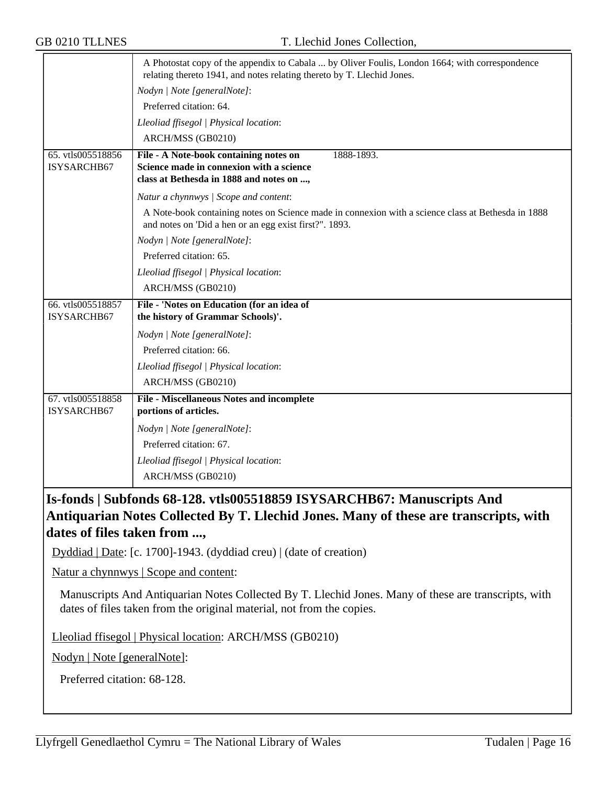|                                  | A Photostat copy of the appendix to Cabala  by Oliver Foulis, London 1664; with correspondence<br>relating thereto 1941, and notes relating thereto by T. Llechid Jones. |
|----------------------------------|--------------------------------------------------------------------------------------------------------------------------------------------------------------------------|
|                                  | Nodyn   Note [generalNote]:                                                                                                                                              |
|                                  | Preferred citation: 64.                                                                                                                                                  |
|                                  | Lleoliad ffisegol   Physical location:                                                                                                                                   |
|                                  | ARCH/MSS (GB0210)                                                                                                                                                        |
| 65. vtls005518856<br>ISYSARCHB67 | 1888-1893.<br>File - A Note-book containing notes on<br>Science made in connexion with a science<br>class at Bethesda in 1888 and notes on ,                             |
|                                  | Natur a chynnwys / Scope and content:                                                                                                                                    |
|                                  | A Note-book containing notes on Science made in connexion with a science class at Bethesda in 1888<br>and notes on 'Did a hen or an egg exist first?". 1893.             |
|                                  | Nodyn   Note [generalNote]:                                                                                                                                              |
|                                  | Preferred citation: 65.                                                                                                                                                  |
|                                  | Lleoliad ffisegol   Physical location:                                                                                                                                   |
|                                  | ARCH/MSS (GB0210)                                                                                                                                                        |
| 66. vtls005518857<br>ISYSARCHB67 | File - 'Notes on Education (for an idea of<br>the history of Grammar Schools)'.                                                                                          |
|                                  | Nodyn   Note [generalNote]:                                                                                                                                              |
|                                  | Preferred citation: 66.                                                                                                                                                  |
|                                  | Lleoliad ffisegol   Physical location:                                                                                                                                   |
|                                  | ARCH/MSS (GB0210)                                                                                                                                                        |
| 67. vtls005518858<br>ISYSARCHB67 | <b>File - Miscellaneous Notes and incomplete</b><br>portions of articles.                                                                                                |
|                                  | Nodyn   Note [generalNote]:                                                                                                                                              |
|                                  | Preferred citation: 67.                                                                                                                                                  |
|                                  | Lleoliad ffisegol   Physical location:                                                                                                                                   |
|                                  | ARCH/MSS (GB0210)                                                                                                                                                        |

## **Is-fonds | Subfonds 68-128. vtls005518859 ISYSARCHB67: Manuscripts And Antiquarian Notes Collected By T. Llechid Jones. Many of these are transcripts, with dates of files taken from ...,**

Dyddiad | Date: [c. 1700]-1943. (dyddiad creu) | (date of creation)

Natur a chynnwys | Scope and content:

Manuscripts And Antiquarian Notes Collected By T. Llechid Jones. Many of these are transcripts, with dates of files taken from the original material, not from the copies.

Lleoliad ffisegol | Physical location: ARCH/MSS (GB0210)

Nodyn | Note [generalNote]:

Preferred citation: 68-128.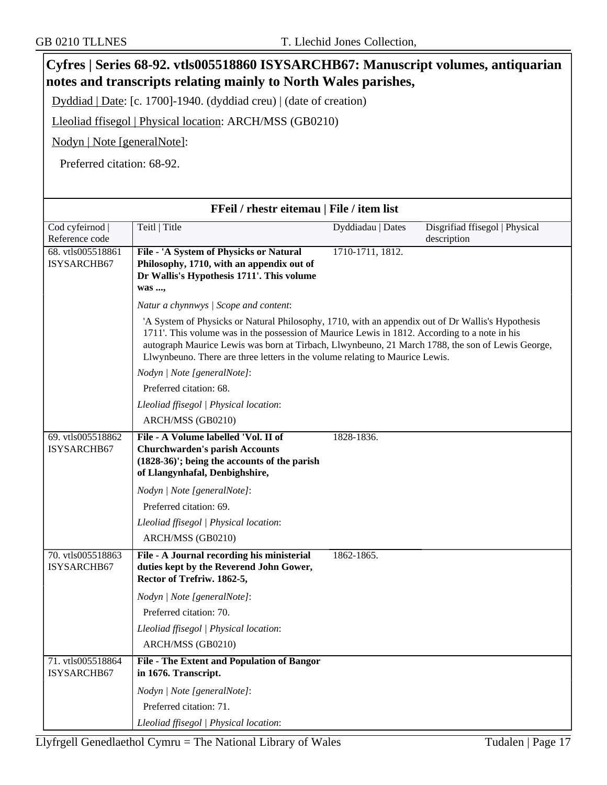| Cyfres   Series 68-92. vtls005518860 ISYSARCHB67: Manuscript volumes, antiquarian<br>notes and transcripts relating mainly to North Wales parishes, |                                                                                                                                                                                                                                                                                                                                                                                        |                   |                                               |
|-----------------------------------------------------------------------------------------------------------------------------------------------------|----------------------------------------------------------------------------------------------------------------------------------------------------------------------------------------------------------------------------------------------------------------------------------------------------------------------------------------------------------------------------------------|-------------------|-----------------------------------------------|
|                                                                                                                                                     |                                                                                                                                                                                                                                                                                                                                                                                        |                   |                                               |
| Dyddiad   Date: [c. 1700]-1940. (dyddiad creu)   (date of creation)                                                                                 |                                                                                                                                                                                                                                                                                                                                                                                        |                   |                                               |
|                                                                                                                                                     | Lleoliad ffisegol   Physical location: ARCH/MSS (GB0210)                                                                                                                                                                                                                                                                                                                               |                   |                                               |
| Nodyn   Note [generalNote]:                                                                                                                         |                                                                                                                                                                                                                                                                                                                                                                                        |                   |                                               |
| Preferred citation: 68-92.                                                                                                                          |                                                                                                                                                                                                                                                                                                                                                                                        |                   |                                               |
|                                                                                                                                                     |                                                                                                                                                                                                                                                                                                                                                                                        |                   |                                               |
|                                                                                                                                                     | FFeil / rhestr eitemau   File / item list                                                                                                                                                                                                                                                                                                                                              |                   |                                               |
| Cod cyfeirnod  <br>Reference code                                                                                                                   | Teitl   Title                                                                                                                                                                                                                                                                                                                                                                          | Dyddiadau   Dates | Disgrifiad ffisegol   Physical<br>description |
| 68. vtls005518861<br>ISYSARCHB67                                                                                                                    | File - 'A System of Physicks or Natural<br>Philosophy, 1710, with an appendix out of<br>Dr Wallis's Hypothesis 1711'. This volume<br>was ,                                                                                                                                                                                                                                             | 1710-1711, 1812.  |                                               |
|                                                                                                                                                     | Natur a chynnwys / Scope and content:                                                                                                                                                                                                                                                                                                                                                  |                   |                                               |
|                                                                                                                                                     | 'A System of Physicks or Natural Philosophy, 1710, with an appendix out of Dr Wallis's Hypothesis<br>1711'. This volume was in the possession of Maurice Lewis in 1812. According to a note in his<br>autograph Maurice Lewis was born at Tirbach, Llwynbeuno, 21 March 1788, the son of Lewis George,<br>Llwynbeuno. There are three letters in the volume relating to Maurice Lewis. |                   |                                               |
|                                                                                                                                                     | Nodyn   Note [generalNote]:                                                                                                                                                                                                                                                                                                                                                            |                   |                                               |
|                                                                                                                                                     | Preferred citation: 68.                                                                                                                                                                                                                                                                                                                                                                |                   |                                               |
|                                                                                                                                                     | Lleoliad ffisegol   Physical location:                                                                                                                                                                                                                                                                                                                                                 |                   |                                               |
|                                                                                                                                                     | ARCH/MSS (GB0210)                                                                                                                                                                                                                                                                                                                                                                      |                   |                                               |
| 69. vtls005518862<br>ISYSARCHB67                                                                                                                    | File - A Volume labelled 'Vol. II of<br><b>Churchwarden's parish Accounts</b><br>(1828-36)'; being the accounts of the parish<br>of Llangynhafal, Denbighshire,                                                                                                                                                                                                                        | 1828-1836.        |                                               |
|                                                                                                                                                     | Nodyn   Note [generalNote]:                                                                                                                                                                                                                                                                                                                                                            |                   |                                               |
|                                                                                                                                                     | Preferred citation: 69.                                                                                                                                                                                                                                                                                                                                                                |                   |                                               |
|                                                                                                                                                     | Lleoliad ffisegol   Physical location:                                                                                                                                                                                                                                                                                                                                                 |                   |                                               |
|                                                                                                                                                     | ARCH/MSS (GB0210)                                                                                                                                                                                                                                                                                                                                                                      |                   |                                               |
| 70. vtls005518863<br>ISYSARCHB67                                                                                                                    | File - A Journal recording his ministerial<br>duties kept by the Reverend John Gower,<br>Rector of Trefriw. 1862-5,                                                                                                                                                                                                                                                                    | 1862-1865.        |                                               |
|                                                                                                                                                     | Nodyn   Note [generalNote]:                                                                                                                                                                                                                                                                                                                                                            |                   |                                               |
|                                                                                                                                                     | Preferred citation: 70.                                                                                                                                                                                                                                                                                                                                                                |                   |                                               |
|                                                                                                                                                     | Lleoliad ffisegol   Physical location:                                                                                                                                                                                                                                                                                                                                                 |                   |                                               |
|                                                                                                                                                     | ARCH/MSS (GB0210)                                                                                                                                                                                                                                                                                                                                                                      |                   |                                               |
| 71. vtls005518864<br>ISYSARCHB67                                                                                                                    | File - The Extent and Population of Bangor<br>in 1676. Transcript.                                                                                                                                                                                                                                                                                                                     |                   |                                               |
|                                                                                                                                                     | Nodyn   Note [generalNote]:                                                                                                                                                                                                                                                                                                                                                            |                   |                                               |
|                                                                                                                                                     | Preferred citation: 71.                                                                                                                                                                                                                                                                                                                                                                |                   |                                               |
|                                                                                                                                                     | Lleoliad ffisegol   Physical location:                                                                                                                                                                                                                                                                                                                                                 |                   |                                               |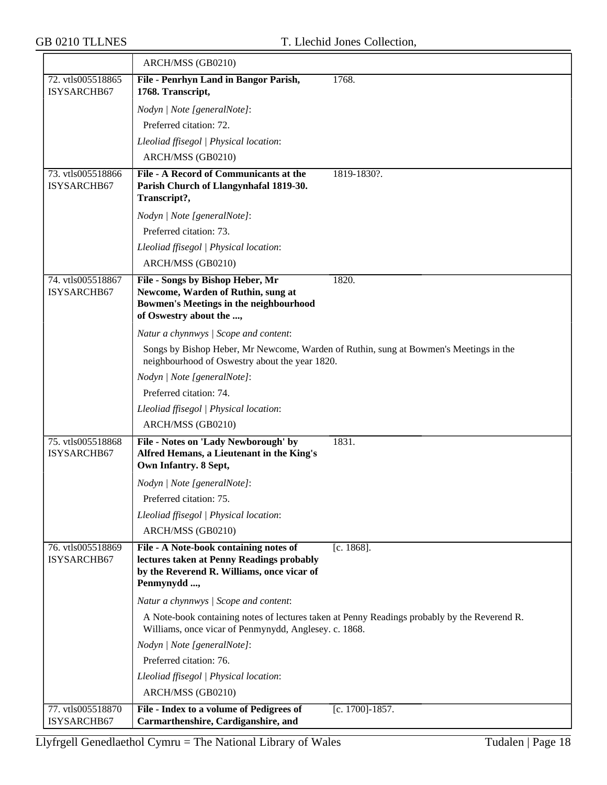|                                  | ARCH/MSS (GB0210)                                                                                                                                  |                                                                                              |
|----------------------------------|----------------------------------------------------------------------------------------------------------------------------------------------------|----------------------------------------------------------------------------------------------|
| 72. vtls005518865                | File - Penrhyn Land in Bangor Parish,                                                                                                              | 1768.                                                                                        |
| ISYSARCHB67                      | 1768. Transcript,                                                                                                                                  |                                                                                              |
|                                  | Nodyn   Note [generalNote]:                                                                                                                        |                                                                                              |
|                                  | Preferred citation: 72.                                                                                                                            |                                                                                              |
|                                  | Lleoliad ffisegol   Physical location:                                                                                                             |                                                                                              |
|                                  | ARCH/MSS (GB0210)                                                                                                                                  |                                                                                              |
| 73. vtls005518866<br>ISYSARCHB67 | File - A Record of Communicants at the<br>Parish Church of Llangynhafal 1819-30.<br>Transcript?,                                                   | 1819-1830?.                                                                                  |
|                                  | Nodyn   Note [generalNote]:                                                                                                                        |                                                                                              |
|                                  | Preferred citation: 73.                                                                                                                            |                                                                                              |
|                                  | Lleoliad ffisegol   Physical location:                                                                                                             |                                                                                              |
|                                  | ARCH/MSS (GB0210)                                                                                                                                  |                                                                                              |
| 74. vtls005518867<br>ISYSARCHB67 | File - Songs by Bishop Heber, Mr<br>Newcome, Warden of Ruthin, sung at<br><b>Bowmen's Meetings in the neighbourhood</b><br>of Oswestry about the , | 1820.                                                                                        |
|                                  | Natur a chynnwys / Scope and content:                                                                                                              |                                                                                              |
|                                  | neighbourhood of Oswestry about the year 1820.                                                                                                     | Songs by Bishop Heber, Mr Newcome, Warden of Ruthin, sung at Bowmen's Meetings in the        |
|                                  | Nodyn   Note [generalNote]:                                                                                                                        |                                                                                              |
|                                  | Preferred citation: 74.                                                                                                                            |                                                                                              |
|                                  | Lleoliad ffisegol   Physical location:                                                                                                             |                                                                                              |
|                                  | ARCH/MSS (GB0210)                                                                                                                                  |                                                                                              |
| 75. vtls005518868<br>ISYSARCHB67 | File - Notes on 'Lady Newborough' by<br>Alfred Hemans, a Lieutenant in the King's<br>Own Infantry. 8 Sept,                                         | 1831.                                                                                        |
|                                  | Nodyn   Note [generalNote]:                                                                                                                        |                                                                                              |
|                                  | Preferred citation: 75.                                                                                                                            |                                                                                              |
|                                  | Lleoliad ffisegol   Physical location:                                                                                                             |                                                                                              |
|                                  | ARCH/MSS (GB0210)                                                                                                                                  |                                                                                              |
| 76. vtls005518869<br>ISYSARCHB67 | File - A Note-book containing notes of<br>lectures taken at Penny Readings probably<br>by the Reverend R. Williams, once vicar of<br>Penmynydd ,   | $[c. 1868]$ .                                                                                |
|                                  | Natur a chynnwys / Scope and content:                                                                                                              |                                                                                              |
|                                  | Williams, once vicar of Penmynydd, Anglesey. c. 1868.                                                                                              | A Note-book containing notes of lectures taken at Penny Readings probably by the Reverend R. |
|                                  | Nodyn   Note [generalNote]:                                                                                                                        |                                                                                              |
|                                  | Preferred citation: 76.                                                                                                                            |                                                                                              |
|                                  | Lleoliad ffisegol   Physical location:                                                                                                             |                                                                                              |
|                                  | ARCH/MSS (GB0210)                                                                                                                                  |                                                                                              |
| 77. vtls005518870<br>ISYSARCHB67 | File - Index to a volume of Pedigrees of<br>Carmarthenshire, Cardiganshire, and                                                                    | [c. 1700]-1857.                                                                              |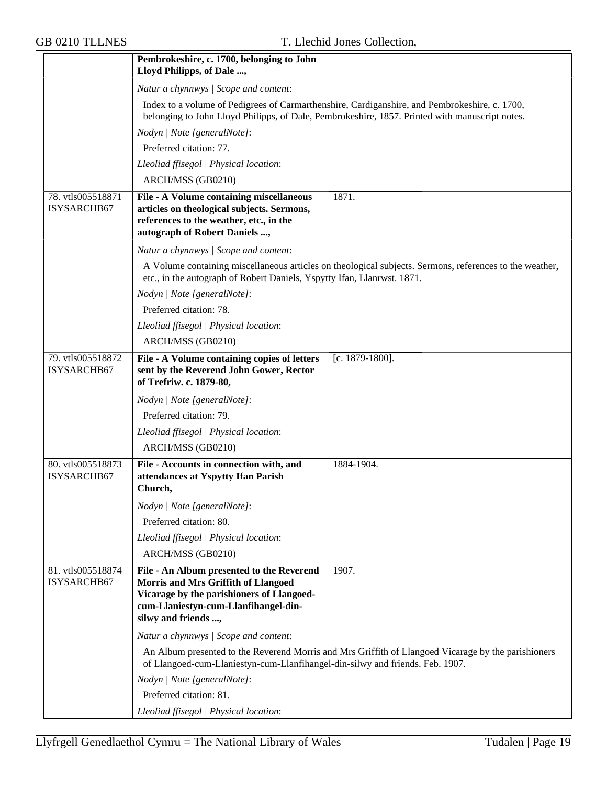|                                  | Pembrokeshire, c. 1700, belonging to John                                                                                                                                                             |
|----------------------------------|-------------------------------------------------------------------------------------------------------------------------------------------------------------------------------------------------------|
|                                  | Lloyd Philipps, of Dale ,                                                                                                                                                                             |
|                                  | Natur a chynnwys / Scope and content:                                                                                                                                                                 |
|                                  | Index to a volume of Pedigrees of Carmarthenshire, Cardiganshire, and Pembrokeshire, c. 1700,<br>belonging to John Lloyd Philipps, of Dale, Pembrokeshire, 1857. Printed with manuscript notes.       |
|                                  | Nodyn   Note [generalNote]:                                                                                                                                                                           |
|                                  | Preferred citation: 77.                                                                                                                                                                               |
|                                  | Lleoliad ffisegol   Physical location:                                                                                                                                                                |
|                                  | ARCH/MSS (GB0210)                                                                                                                                                                                     |
| 78. vtls005518871<br>ISYSARCHB67 | 1871.<br>File - A Volume containing miscellaneous<br>articles on theological subjects. Sermons,<br>references to the weather, etc., in the<br>autograph of Robert Daniels ,                           |
|                                  | Natur a chynnwys / Scope and content:                                                                                                                                                                 |
|                                  | A Volume containing miscellaneous articles on theological subjects. Sermons, references to the weather,<br>etc., in the autograph of Robert Daniels, Yspytty Ifan, Llanrwst. 1871.                    |
|                                  | Nodyn   Note [generalNote]:                                                                                                                                                                           |
|                                  | Preferred citation: 78.                                                                                                                                                                               |
|                                  | Lleoliad ffisegol   Physical location:                                                                                                                                                                |
|                                  | ARCH/MSS (GB0210)                                                                                                                                                                                     |
| 79. vtls005518872<br>ISYSARCHB67 | File - A Volume containing copies of letters<br>[c. 1879-1800].<br>sent by the Reverend John Gower, Rector<br>of Trefriw. c. 1879-80,                                                                 |
|                                  | Nodyn   Note [generalNote]:                                                                                                                                                                           |
|                                  | Preferred citation: 79.                                                                                                                                                                               |
|                                  | Lleoliad ffisegol   Physical location:                                                                                                                                                                |
|                                  | ARCH/MSS (GB0210)                                                                                                                                                                                     |
| 80. vtls005518873<br>ISYSARCHB67 | File - Accounts in connection with, and<br>1884-1904.<br>attendances at Yspytty Ifan Parish<br>Church,                                                                                                |
|                                  | Nodyn   Note [generalNote]:                                                                                                                                                                           |
|                                  | Preferred citation: 80.                                                                                                                                                                               |
|                                  | Lleoliad ffisegol   Physical location:                                                                                                                                                                |
|                                  | ARCH/MSS (GB0210)                                                                                                                                                                                     |
| 81. vtls005518874<br>ISYSARCHB67 | File - An Album presented to the Reverend<br>1907.<br>Morris and Mrs Griffith of Llangoed<br>Vicarage by the parishioners of Llangoed-<br>cum-Llaniestyn-cum-Llanfihangel-din-<br>silwy and friends , |
|                                  |                                                                                                                                                                                                       |
|                                  | Natur a chynnwys / Scope and content:<br>An Album presented to the Reverend Morris and Mrs Griffith of Llangoed Vicarage by the parishioners                                                          |
|                                  | of Llangoed-cum-Llaniestyn-cum-Llanfihangel-din-silwy and friends. Feb. 1907.                                                                                                                         |
|                                  | Nodyn   Note [generalNote]:                                                                                                                                                                           |
|                                  | Preferred citation: 81.                                                                                                                                                                               |
|                                  | Lleoliad ffisegol   Physical location:                                                                                                                                                                |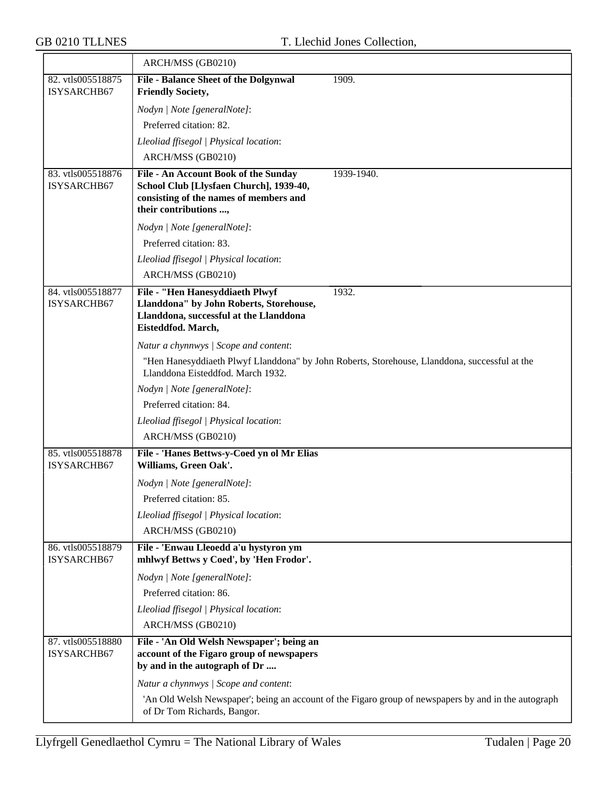|                                  | ARCH/MSS (GB0210)                                                                                                                                  |                                                                                                      |
|----------------------------------|----------------------------------------------------------------------------------------------------------------------------------------------------|------------------------------------------------------------------------------------------------------|
| 82. vtls005518875<br>ISYSARCHB67 | <b>File - Balance Sheet of the Dolgynwal</b><br><b>Friendly Society,</b>                                                                           | 1909.                                                                                                |
|                                  | Nodyn   Note [generalNote]:                                                                                                                        |                                                                                                      |
|                                  | Preferred citation: 82.                                                                                                                            |                                                                                                      |
|                                  | Lleoliad ffisegol   Physical location:                                                                                                             |                                                                                                      |
|                                  | ARCH/MSS (GB0210)                                                                                                                                  |                                                                                                      |
| 83. vtls005518876<br>ISYSARCHB67 | File - An Account Book of the Sunday<br>School Club [Llysfaen Church], 1939-40,<br>consisting of the names of members and<br>their contributions , | 1939-1940.                                                                                           |
|                                  | Nodyn   Note [generalNote]:                                                                                                                        |                                                                                                      |
|                                  | Preferred citation: 83.                                                                                                                            |                                                                                                      |
|                                  | Lleoliad ffisegol   Physical location:                                                                                                             |                                                                                                      |
|                                  | ARCH/MSS (GB0210)                                                                                                                                  |                                                                                                      |
| 84. vtls005518877<br>ISYSARCHB67 | File - "Hen Hanesyddiaeth Plwyf<br>Llanddona" by John Roberts, Storehouse,<br>Llanddona, successful at the Llanddona<br>Eisteddfod. March,         | 1932.                                                                                                |
|                                  | Natur a chynnwys / Scope and content:                                                                                                              |                                                                                                      |
|                                  | Llanddona Eisteddfod. March 1932.                                                                                                                  | "Hen Hanesyddiaeth Plwyf Llanddona" by John Roberts, Storehouse, Llanddona, successful at the        |
|                                  | Nodyn   Note [generalNote]:                                                                                                                        |                                                                                                      |
|                                  | Preferred citation: 84.                                                                                                                            |                                                                                                      |
|                                  | Lleoliad ffisegol   Physical location:                                                                                                             |                                                                                                      |
|                                  | ARCH/MSS (GB0210)                                                                                                                                  |                                                                                                      |
| 85. vtls005518878<br>ISYSARCHB67 | File - 'Hanes Bettws-y-Coed yn ol Mr Elias<br>Williams, Green Oak'.                                                                                |                                                                                                      |
|                                  | Nodyn   Note [generalNote]:                                                                                                                        |                                                                                                      |
|                                  | Preferred citation: 85.                                                                                                                            |                                                                                                      |
|                                  | Lleoliad ffisegol   Physical location:                                                                                                             |                                                                                                      |
|                                  | ARCH/MSS (GB0210)                                                                                                                                  |                                                                                                      |
| 86. vtls005518879<br>ISYSARCHB67 | File - 'Enwau Lleoedd a'u hystyron ym<br>mhlwyf Bettws y Coed', by 'Hen Frodor'.                                                                   |                                                                                                      |
|                                  | Nodyn   Note [generalNote]:                                                                                                                        |                                                                                                      |
|                                  | Preferred citation: 86.                                                                                                                            |                                                                                                      |
|                                  | Lleoliad ffisegol   Physical location:                                                                                                             |                                                                                                      |
|                                  | ARCH/MSS (GB0210)                                                                                                                                  |                                                                                                      |
| 87. vtls005518880<br>ISYSARCHB67 | File - 'An Old Welsh Newspaper'; being an<br>account of the Figaro group of newspapers<br>by and in the autograph of Dr                            |                                                                                                      |
|                                  | Natur a chynnwys / Scope and content:                                                                                                              |                                                                                                      |
|                                  | of Dr Tom Richards, Bangor.                                                                                                                        | 'An Old Welsh Newspaper'; being an account of the Figaro group of newspapers by and in the autograph |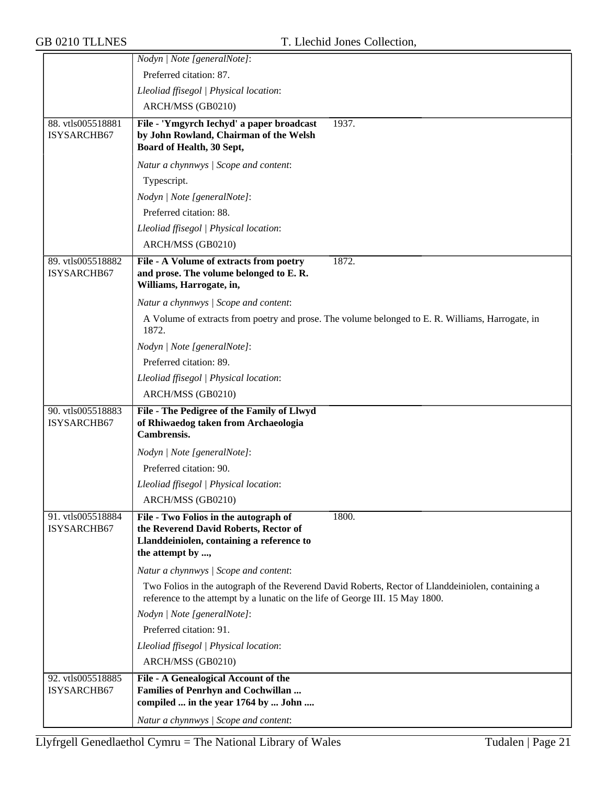|                                  | Nodyn   Note [generalNote]:                                                                                                                                                        |
|----------------------------------|------------------------------------------------------------------------------------------------------------------------------------------------------------------------------------|
|                                  | Preferred citation: 87.                                                                                                                                                            |
|                                  | Lleoliad ffisegol   Physical location:                                                                                                                                             |
|                                  | ARCH/MSS (GB0210)                                                                                                                                                                  |
| 88. vtls005518881<br>ISYSARCHB67 | File - 'Ymgyrch Iechyd' a paper broadcast<br>1937.<br>by John Rowland, Chairman of the Welsh<br>Board of Health, 30 Sept,                                                          |
|                                  | Natur a chynnwys / Scope and content:                                                                                                                                              |
|                                  | Typescript.                                                                                                                                                                        |
|                                  | Nodyn   Note [generalNote]:                                                                                                                                                        |
|                                  | Preferred citation: 88.                                                                                                                                                            |
|                                  | Lleoliad ffisegol   Physical location:                                                                                                                                             |
|                                  | ARCH/MSS (GB0210)                                                                                                                                                                  |
| 89. vtls005518882                | 1872.<br>File - A Volume of extracts from poetry                                                                                                                                   |
| ISYSARCHB67                      | and prose. The volume belonged to E. R.<br>Williams, Harrogate, in,                                                                                                                |
|                                  | Natur a chynnwys / Scope and content:                                                                                                                                              |
|                                  | A Volume of extracts from poetry and prose. The volume belonged to E. R. Williams, Harrogate, in<br>1872.                                                                          |
|                                  | Nodyn   Note [generalNote]:                                                                                                                                                        |
|                                  | Preferred citation: 89.                                                                                                                                                            |
|                                  | Lleoliad ffisegol   Physical location:                                                                                                                                             |
|                                  | ARCH/MSS (GB0210)                                                                                                                                                                  |
| 90. vtls005518883                | File - The Pedigree of the Family of Llwyd                                                                                                                                         |
| ISYSARCHB67                      | of Rhiwaedog taken from Archaeologia<br>Cambrensis.                                                                                                                                |
|                                  | Nodyn   Note [generalNote]:                                                                                                                                                        |
|                                  | Preferred citation: 90.                                                                                                                                                            |
|                                  | Lleoliad ffisegol   Physical location:                                                                                                                                             |
|                                  | ARCH/MSS (GB0210)                                                                                                                                                                  |
| 91. vtls005518884<br>ISYSARCHB67 | 1800.<br>File - Two Folios in the autograph of<br>the Reverend David Roberts, Rector of                                                                                            |
|                                  | Llanddeiniolen, containing a reference to<br>the attempt by ,                                                                                                                      |
|                                  | Natur a chynnwys / Scope and content:                                                                                                                                              |
|                                  | Two Folios in the autograph of the Reverend David Roberts, Rector of Llanddeiniolen, containing a<br>reference to the attempt by a lunatic on the life of George III. 15 May 1800. |
|                                  | Nodyn   Note [generalNote]:                                                                                                                                                        |
|                                  | Preferred citation: 91.                                                                                                                                                            |
|                                  | Lleoliad ffisegol   Physical location:                                                                                                                                             |
|                                  | ARCH/MSS (GB0210)                                                                                                                                                                  |
| 92. vtls005518885<br>ISYSARCHB67 | File - A Genealogical Account of the<br><b>Families of Penrhyn and Cochwillan</b><br>compiled  in the year 1764 by  John                                                           |
|                                  | Natur a chynnwys / Scope and content:                                                                                                                                              |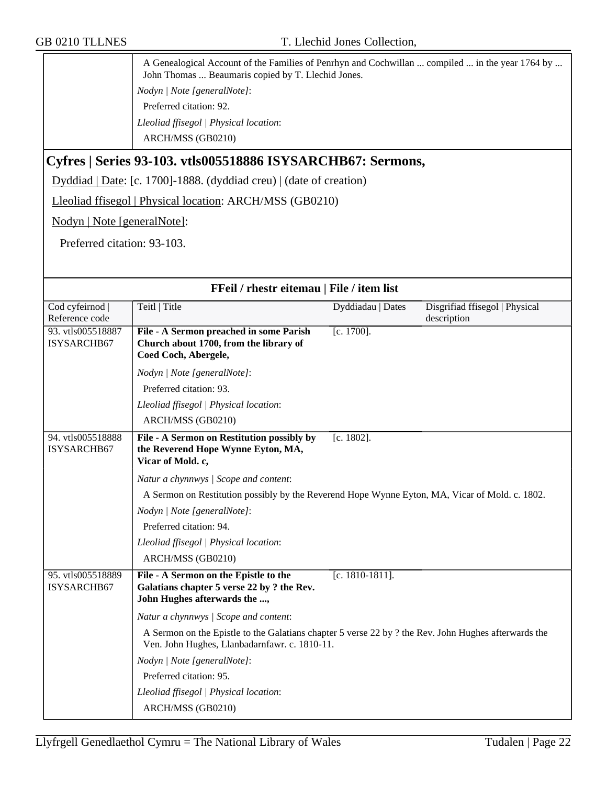| A Genealogical Account of the Families of Penrhyn and Cochwillan  compiled  in the year 1764 by<br>John Thomas  Beaumaris copied by T. Llechid Jones. |
|-------------------------------------------------------------------------------------------------------------------------------------------------------|
| $\mid Nodyn \mid Note [generalNote]:$                                                                                                                 |
| Preferred citation: 92.                                                                                                                               |
| Lleoliad ffisegol   Physical location:                                                                                                                |
| ARCH/MSS (GB0210)                                                                                                                                     |

## **Cyfres | Series 93-103. vtls005518886 ISYSARCHB67: Sermons,**

Dyddiad | Date: [c. 1700]-1888. (dyddiad creu) | (date of creation)

Lleoliad ffisegol | Physical location: ARCH/MSS (GB0210)

Nodyn | Note [generalNote]:

Preferred citation: 93-103.

| FFeil / rhestr eitemau   File / item list |                                                                                                                                                       |                    |                                               |
|-------------------------------------------|-------------------------------------------------------------------------------------------------------------------------------------------------------|--------------------|-----------------------------------------------|
| Cod cyfeirnod<br>Reference code           | Teitl   Title                                                                                                                                         | Dyddiadau   Dates  | Disgrifiad ffisegol   Physical<br>description |
| 93. vtls005518887<br>ISYSARCHB67          | File - A Sermon preached in some Parish<br>Church about 1700, from the library of<br>Coed Coch, Abergele,                                             | $[c. 1700]$ .      |                                               |
|                                           | Nodyn   Note [generalNote]:                                                                                                                           |                    |                                               |
|                                           | Preferred citation: 93.                                                                                                                               |                    |                                               |
|                                           | Lleoliad ffisegol   Physical location:                                                                                                                |                    |                                               |
|                                           | ARCH/MSS (GB0210)                                                                                                                                     |                    |                                               |
| 94. vtls005518888<br>ISYSARCHB67          | File - A Sermon on Restitution possibly by<br>the Reverend Hope Wynne Eyton, MA,<br>Vicar of Mold. c,                                                 | $[c. 1802]$ .      |                                               |
|                                           | Natur a chynnwys / Scope and content:                                                                                                                 |                    |                                               |
|                                           | A Sermon on Restitution possibly by the Reverend Hope Wynne Eyton, MA, Vicar of Mold. c. 1802.                                                        |                    |                                               |
|                                           | Nodyn   Note [generalNote]:                                                                                                                           |                    |                                               |
|                                           | Preferred citation: 94.                                                                                                                               |                    |                                               |
|                                           | Lleoliad ffisegol   Physical location:                                                                                                                |                    |                                               |
|                                           | ARCH/MSS (GB0210)                                                                                                                                     |                    |                                               |
| 95. vtls005518889<br>ISYSARCHB67          | File - A Sermon on the Epistle to the<br>Galatians chapter 5 verse 22 by ? the Rev.<br>John Hughes afterwards the ,                                   | $[c. 1810-1811]$ . |                                               |
|                                           | Natur a chynnwys / Scope and content:                                                                                                                 |                    |                                               |
|                                           | A Sermon on the Epistle to the Galatians chapter 5 verse 22 by ? the Rev. John Hughes afterwards the<br>Ven. John Hughes, Llanbadarnfawr. c. 1810-11. |                    |                                               |
|                                           | Nodyn   Note [generalNote]:                                                                                                                           |                    |                                               |
|                                           | Preferred citation: 95.                                                                                                                               |                    |                                               |
|                                           | Lleoliad ffisegol   Physical location:                                                                                                                |                    |                                               |
|                                           | ARCH/MSS (GB0210)                                                                                                                                     |                    |                                               |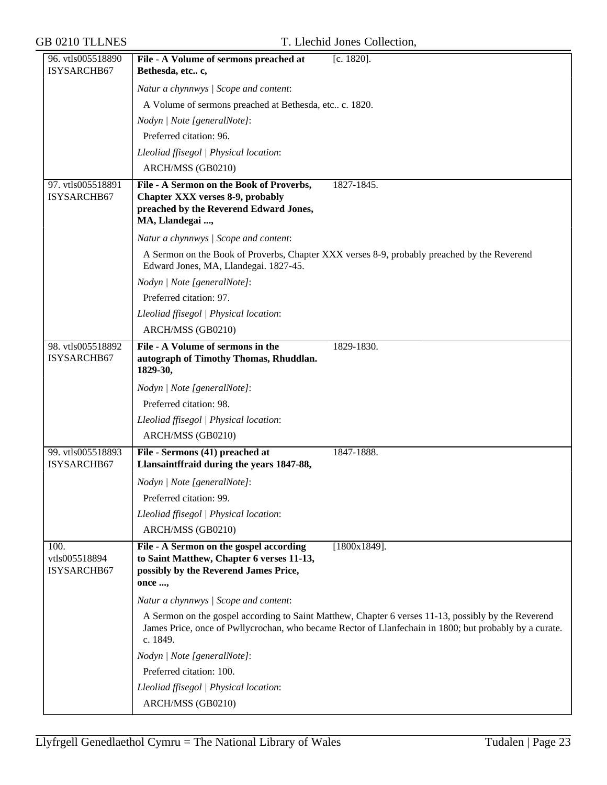| 96. vtls005518890                    | $[c. 1820]$ .<br>File - A Volume of sermons preached at                                                                                                                                                                   |
|--------------------------------------|---------------------------------------------------------------------------------------------------------------------------------------------------------------------------------------------------------------------------|
| ISYSARCHB67                          | Bethesda, etc c,                                                                                                                                                                                                          |
|                                      | Natur a chynnwys / Scope and content:                                                                                                                                                                                     |
|                                      | A Volume of sermons preached at Bethesda, etc., c. 1820.                                                                                                                                                                  |
|                                      | Nodyn   Note [generalNote]:                                                                                                                                                                                               |
|                                      | Preferred citation: 96.                                                                                                                                                                                                   |
|                                      | Lleoliad ffisegol   Physical location:                                                                                                                                                                                    |
|                                      | ARCH/MSS (GB0210)                                                                                                                                                                                                         |
| 97. vtls005518891                    | File - A Sermon on the Book of Proverbs,<br>1827-1845.                                                                                                                                                                    |
| ISYSARCHB67                          | <b>Chapter XXX verses 8-9, probably</b><br>preached by the Reverend Edward Jones,                                                                                                                                         |
|                                      | MA, Llandegai ,                                                                                                                                                                                                           |
|                                      | Natur a chynnwys / Scope and content:                                                                                                                                                                                     |
|                                      | A Sermon on the Book of Proverbs, Chapter XXX verses 8-9, probably preached by the Reverend<br>Edward Jones, MA, Llandegai. 1827-45.                                                                                      |
|                                      | Nodyn   Note [generalNote]:                                                                                                                                                                                               |
|                                      | Preferred citation: 97.                                                                                                                                                                                                   |
|                                      | Lleoliad ffisegol   Physical location:                                                                                                                                                                                    |
|                                      | ARCH/MSS (GB0210)                                                                                                                                                                                                         |
| 98. vtls005518892<br>ISYSARCHB67     | File - A Volume of sermons in the<br>1829-1830.<br>autograph of Timothy Thomas, Rhuddlan.                                                                                                                                 |
|                                      | 1829-30,                                                                                                                                                                                                                  |
|                                      | Nodyn   Note [generalNote]:                                                                                                                                                                                               |
|                                      | Preferred citation: 98.                                                                                                                                                                                                   |
|                                      | Lleoliad ffisegol   Physical location:                                                                                                                                                                                    |
|                                      | ARCH/MSS (GB0210)                                                                                                                                                                                                         |
| 99. vtls005518893<br>ISYSARCHB67     | File - Sermons (41) preached at<br>1847-1888.<br>Llansaintffraid during the years 1847-88,                                                                                                                                |
|                                      | Nodyn   Note [generalNote]:                                                                                                                                                                                               |
|                                      | Preferred citation: 99.                                                                                                                                                                                                   |
|                                      | Lleoliad ffisegol   Physical location:                                                                                                                                                                                    |
|                                      | ARCH/MSS (GB0210)                                                                                                                                                                                                         |
| 100.<br>vtls005518894<br>ISYSARCHB67 | File - A Sermon on the gospel according<br>$[1800x1849]$ .<br>to Saint Matthew, Chapter 6 verses 11-13,<br>possibly by the Reverend James Price,<br>once ,                                                                |
|                                      | Natur a chynnwys / Scope and content:                                                                                                                                                                                     |
|                                      | A Sermon on the gospel according to Saint Matthew, Chapter 6 verses 11-13, possibly by the Reverend<br>James Price, once of Pwllycrochan, who became Rector of Llanfechain in 1800; but probably by a curate.<br>c. 1849. |
|                                      | Nodyn   Note [generalNote]:                                                                                                                                                                                               |
|                                      | Preferred citation: 100.                                                                                                                                                                                                  |
|                                      | Lleoliad ffisegol   Physical location:                                                                                                                                                                                    |
|                                      | ARCH/MSS (GB0210)                                                                                                                                                                                                         |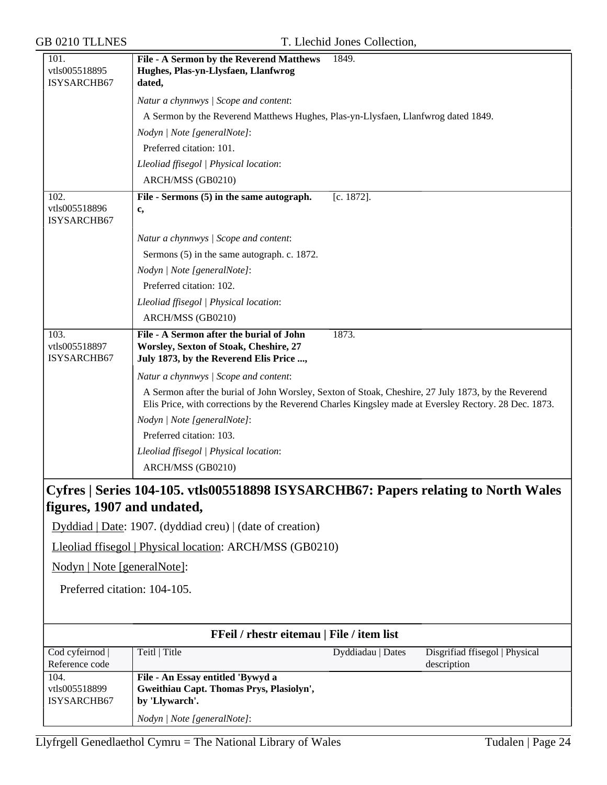| <b>GB 0210 TLLNES</b>                |                                                                                                                                                                                                              | T. Llechid Jones Collection, |                                               |
|--------------------------------------|--------------------------------------------------------------------------------------------------------------------------------------------------------------------------------------------------------------|------------------------------|-----------------------------------------------|
| 101.<br>vtls005518895<br>ISYSARCHB67 | File - A Sermon by the Reverend Matthews<br>Hughes, Plas-yn-Llysfaen, Llanfwrog<br>dated,                                                                                                                    | 1849.                        |                                               |
|                                      | Natur a chynnwys / Scope and content:                                                                                                                                                                        |                              |                                               |
|                                      | A Sermon by the Reverend Matthews Hughes, Plas-yn-Llysfaen, Llanfwrog dated 1849.                                                                                                                            |                              |                                               |
|                                      | Nodyn   Note [generalNote]:                                                                                                                                                                                  |                              |                                               |
|                                      | Preferred citation: 101.                                                                                                                                                                                     |                              |                                               |
|                                      | Lleoliad ffisegol   Physical location:                                                                                                                                                                       |                              |                                               |
|                                      | ARCH/MSS (GB0210)                                                                                                                                                                                            |                              |                                               |
| 102.<br>vtls005518896<br>ISYSARCHB67 | File - Sermons (5) in the same autograph.<br>c,                                                                                                                                                              | $[c. 1872]$ .                |                                               |
|                                      | Natur a chynnwys / Scope and content:                                                                                                                                                                        |                              |                                               |
|                                      | Sermons (5) in the same autograph. c. 1872.                                                                                                                                                                  |                              |                                               |
|                                      | Nodyn   Note [generalNote]:                                                                                                                                                                                  |                              |                                               |
|                                      | Preferred citation: 102.                                                                                                                                                                                     |                              |                                               |
|                                      | Lleoliad ffisegol   Physical location:                                                                                                                                                                       |                              |                                               |
|                                      | ARCH/MSS (GB0210)                                                                                                                                                                                            |                              |                                               |
| 103.<br>vtls005518897<br>ISYSARCHB67 | File - A Sermon after the burial of John<br>Worsley, Sexton of Stoak, Cheshire, 27<br>July 1873, by the Reverend Elis Price ,                                                                                | 1873.                        |                                               |
|                                      | Natur a chynnwys / Scope and content:                                                                                                                                                                        |                              |                                               |
|                                      | A Sermon after the burial of John Worsley, Sexton of Stoak, Cheshire, 27 July 1873, by the Reverend<br>Elis Price, with corrections by the Reverend Charles Kingsley made at Eversley Rectory. 28 Dec. 1873. |                              |                                               |
|                                      | Nodyn   Note [generalNote]:                                                                                                                                                                                  |                              |                                               |
|                                      | Preferred citation: 103.                                                                                                                                                                                     |                              |                                               |
|                                      | Lleoliad ffisegol   Physical location:                                                                                                                                                                       |                              |                                               |
|                                      | ARCH/MSS (GB0210)                                                                                                                                                                                            |                              |                                               |
| figures, 1907 and undated,           | Cyfres   Series 104-105. vtls005518898 ISYSARCHB67: Papers relating to North Wales                                                                                                                           |                              |                                               |
|                                      | Dyddiad   Date: 1907. (dyddiad creu)   (date of creation)                                                                                                                                                    |                              |                                               |
|                                      | Lleoliad ffisegol   Physical location: ARCH/MSS (GB0210)                                                                                                                                                     |                              |                                               |
| Nodyn   Note [generalNote]:          |                                                                                                                                                                                                              |                              |                                               |
| Preferred citation: 104-105.         |                                                                                                                                                                                                              |                              |                                               |
|                                      |                                                                                                                                                                                                              |                              |                                               |
|                                      | FFeil / rhestr eitemau   File / item list                                                                                                                                                                    |                              |                                               |
| Cod cyfeirnod  <br>Reference code    | Teitl   Title                                                                                                                                                                                                | Dyddiadau   Dates            | Disgrifiad ffisegol   Physical<br>description |
| 104.<br>vtls005518899<br>ISYSARCHB67 | File - An Essay entitled 'Bywyd a<br>Gweithiau Capt. Thomas Prys, Plasiolyn',<br>by 'Llywarch'.                                                                                                              |                              |                                               |
|                                      | Nodyn   Note [generalNote]:                                                                                                                                                                                  |                              |                                               |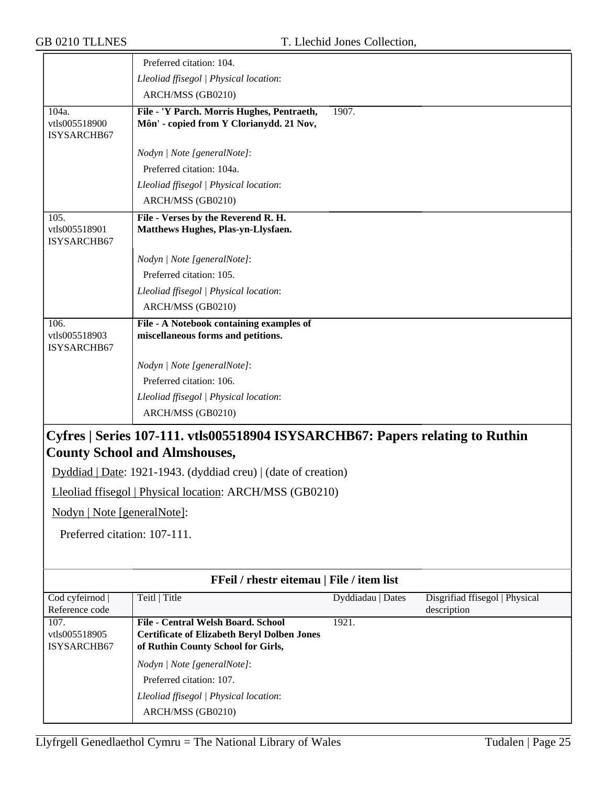|                                                                | Preferred citation: 104.                                                                                                              |                   |                                               |
|----------------------------------------------------------------|---------------------------------------------------------------------------------------------------------------------------------------|-------------------|-----------------------------------------------|
|                                                                | Lleoliad ffisegol   Physical location:                                                                                                |                   |                                               |
|                                                                | ARCH/MSS (GB0210)                                                                                                                     |                   |                                               |
| 104a.<br>vtls005518900<br>ISYSARCHB67                          | File - 'Y Parch. Morris Hughes, Pentraeth,<br>Môn' - copied from Y Clorianydd. 21 Nov,                                                | 1907.             |                                               |
|                                                                | Nodyn   Note [generalNote]:                                                                                                           |                   |                                               |
|                                                                | Preferred citation: 104a.                                                                                                             |                   |                                               |
|                                                                | Lleoliad ffisegol   Physical location:                                                                                                |                   |                                               |
|                                                                | ARCH/MSS (GB0210)                                                                                                                     |                   |                                               |
| 105.<br>vtls005518901<br>ISYSARCHB67                           | File - Verses by the Reverend R. H.<br>Matthews Hughes, Plas-yn-Llysfaen.                                                             |                   |                                               |
|                                                                | Nodyn   Note [generalNote]:                                                                                                           |                   |                                               |
|                                                                | Preferred citation: 105.                                                                                                              |                   |                                               |
|                                                                | Lleoliad ffisegol   Physical location:                                                                                                |                   |                                               |
|                                                                | ARCH/MSS (GB0210)                                                                                                                     |                   |                                               |
| 106.<br>vtls005518903<br>ISYSARCHB67                           | File - A Notebook containing examples of<br>miscellaneous forms and petitions.                                                        |                   |                                               |
|                                                                | Nodyn   Note [generalNote]:                                                                                                           |                   |                                               |
|                                                                | Preferred citation: 106.                                                                                                              |                   |                                               |
|                                                                | Lleoliad ffisegol   Physical location:                                                                                                |                   |                                               |
|                                                                | ARCH/MSS (GB0210)                                                                                                                     |                   |                                               |
|                                                                | Cyfres   Series 107-111. vtls005518904 ISYSARCHB67: Papers relating to Ruthin<br><b>County School and Almshouses,</b>                 |                   |                                               |
|                                                                |                                                                                                                                       |                   |                                               |
| Dyddiad   Date: 1921-1943. (dyddiad creu)   (date of creation) |                                                                                                                                       |                   |                                               |
|                                                                | Lleoliad ffisegol   Physical location: ARCH/MSS (GB0210)                                                                              |                   |                                               |
| Nodyn   Note [generalNote]:                                    |                                                                                                                                       |                   |                                               |
| Preferred citation: 107-111.                                   |                                                                                                                                       |                   |                                               |
|                                                                |                                                                                                                                       |                   |                                               |
|                                                                | FFeil / rhestr eitemau   File / item list                                                                                             |                   |                                               |
| Cod cyfeirnod<br>Reference code                                | Teitl   Title                                                                                                                         | Dyddiadau   Dates | Disgrifiad ffisegol   Physical<br>description |
| 107.<br>vtls005518905<br>ISYSARCHB67                           | <b>File - Central Welsh Board. School</b><br><b>Certificate of Elizabeth Beryl Dolben Jones</b><br>of Ruthin County School for Girls, | 1921.             |                                               |
|                                                                | Nodyn   Note [generalNote]:                                                                                                           |                   |                                               |
|                                                                | Preferred citation: 107.                                                                                                              |                   |                                               |
|                                                                | Lleoliad ffisegol   Physical location:                                                                                                |                   |                                               |
|                                                                | ARCH/MSS (GB0210)                                                                                                                     |                   |                                               |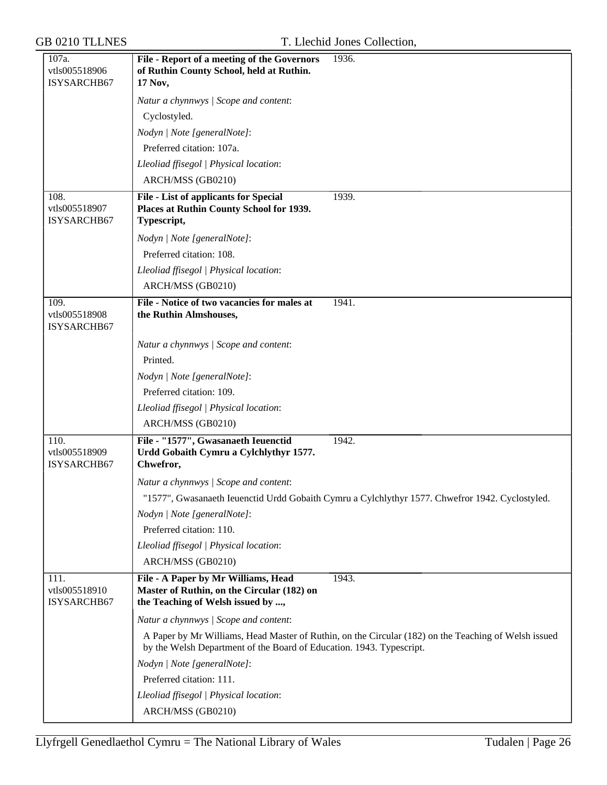| 107a.<br>vtls005518906               | File - Report of a meeting of the Governors<br>1936.<br>of Ruthin County School, held at Ruthin.                                                                             |
|--------------------------------------|------------------------------------------------------------------------------------------------------------------------------------------------------------------------------|
| ISYSARCHB67                          | 17 Nov,                                                                                                                                                                      |
|                                      | Natur a chynnwys / Scope and content:                                                                                                                                        |
|                                      | Cyclostyled.                                                                                                                                                                 |
|                                      | Nodyn   Note [generalNote]:                                                                                                                                                  |
|                                      | Preferred citation: 107a.                                                                                                                                                    |
|                                      | Lleoliad ffisegol   Physical location:                                                                                                                                       |
|                                      | ARCH/MSS (GB0210)                                                                                                                                                            |
| 108.                                 | <b>File - List of applicants for Special</b><br>1939.                                                                                                                        |
| vtls005518907<br>ISYSARCHB67         | Places at Ruthin County School for 1939.<br>Typescript,                                                                                                                      |
|                                      | Nodyn   Note [generalNote]:                                                                                                                                                  |
|                                      | Preferred citation: 108.                                                                                                                                                     |
|                                      | Lleoliad ffisegol   Physical location:                                                                                                                                       |
|                                      | ARCH/MSS (GB0210)                                                                                                                                                            |
| 109.<br>vtls005518908<br>ISYSARCHB67 | File - Notice of two vacancies for males at<br>1941.<br>the Ruthin Almshouses,                                                                                               |
|                                      | Natur a chynnwys / Scope and content:                                                                                                                                        |
|                                      | Printed.                                                                                                                                                                     |
|                                      | Nodyn   Note [generalNote]:                                                                                                                                                  |
|                                      | Preferred citation: 109.                                                                                                                                                     |
|                                      | Lleoliad ffisegol   Physical location:                                                                                                                                       |
|                                      | ARCH/MSS (GB0210)                                                                                                                                                            |
| 110.<br>vtls005518909<br>ISYSARCHB67 | File - "1577", Gwasanaeth Ieuenctid<br>1942.<br>Urdd Gobaith Cymru a Cylchlythyr 1577.<br>Chwefror,                                                                          |
|                                      | Natur a chynnwys / Scope and content:                                                                                                                                        |
|                                      | "1577", Gwasanaeth Ieuenctid Urdd Gobaith Cymru a Cylchlythyr 1577. Chwefror 1942. Cyclostyled.                                                                              |
|                                      | Nodyn   Note [generalNote]:                                                                                                                                                  |
|                                      | Preferred citation: 110.                                                                                                                                                     |
|                                      | Lleoliad ffisegol   Physical location:                                                                                                                                       |
|                                      | ARCH/MSS (GB0210)                                                                                                                                                            |
| 111.<br>vtls005518910<br>ISYSARCHB67 | File - A Paper by Mr Williams, Head<br>1943.<br>Master of Ruthin, on the Circular (182) on<br>the Teaching of Welsh issued by ,                                              |
|                                      | Natur a chynnwys / Scope and content:                                                                                                                                        |
|                                      | A Paper by Mr Williams, Head Master of Ruthin, on the Circular (182) on the Teaching of Welsh issued<br>by the Welsh Department of the Board of Education. 1943. Typescript. |
|                                      | Nodyn   Note [generalNote]:                                                                                                                                                  |
|                                      | Preferred citation: 111.                                                                                                                                                     |
|                                      | Lleoliad ffisegol   Physical location:                                                                                                                                       |
|                                      | ARCH/MSS (GB0210)                                                                                                                                                            |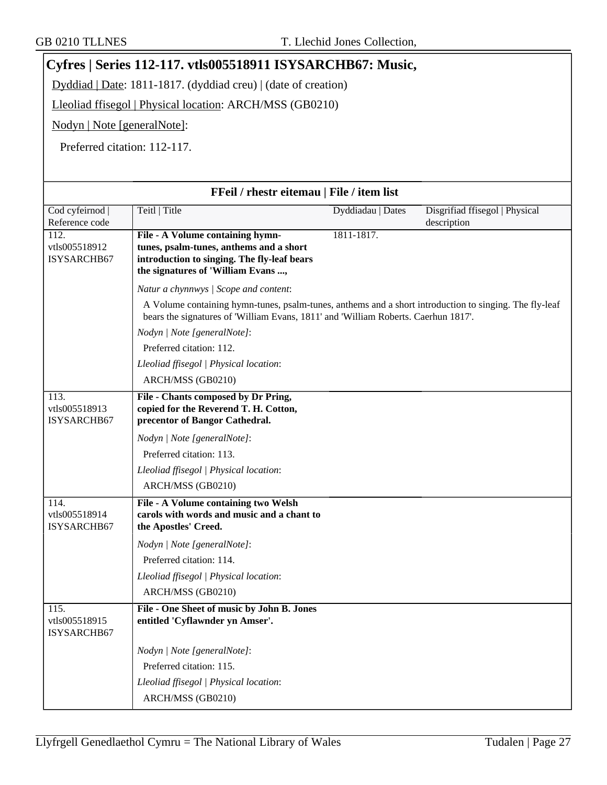# **Cyfres | Series 112-117. vtls005518911 ISYSARCHB67: Music,**

Dyddiad | Date: 1811-1817. (dyddiad creu) | (date of creation)

Lleoliad ffisegol | Physical location: ARCH/MSS (GB0210)

Nodyn | Note [generalNote]:

Preferred citation: 112-117.

| FFeil / rhestr eitemau   File / item list |                                                                                                                                                                                              |                   |                                               |
|-------------------------------------------|----------------------------------------------------------------------------------------------------------------------------------------------------------------------------------------------|-------------------|-----------------------------------------------|
| Cod cyfeirnod  <br>Reference code         | Teitl   Title                                                                                                                                                                                | Dyddiadau   Dates | Disgrifiad ffisegol   Physical<br>description |
| 112.<br>vtls005518912<br>ISYSARCHB67      | File - A Volume containing hymn-<br>tunes, psalm-tunes, anthems and a short<br>introduction to singing. The fly-leaf bears<br>the signatures of 'William Evans,                              | 1811-1817.        |                                               |
|                                           | Natur a chynnwys / Scope and content:                                                                                                                                                        |                   |                                               |
|                                           | A Volume containing hymn-tunes, psalm-tunes, anthems and a short introduction to singing. The fly-leaf<br>bears the signatures of 'William Evans, 1811' and 'William Roberts. Caerhun 1817'. |                   |                                               |
|                                           | Nodyn   Note [generalNote]:                                                                                                                                                                  |                   |                                               |
|                                           | Preferred citation: 112.                                                                                                                                                                     |                   |                                               |
|                                           | Lleoliad ffisegol   Physical location:                                                                                                                                                       |                   |                                               |
|                                           | ARCH/MSS (GB0210)                                                                                                                                                                            |                   |                                               |
| 113.<br>vtls005518913<br>ISYSARCHB67      | File - Chants composed by Dr Pring,<br>copied for the Reverend T. H. Cotton,<br>precentor of Bangor Cathedral.                                                                               |                   |                                               |
|                                           | Nodyn   Note [generalNote]:                                                                                                                                                                  |                   |                                               |
|                                           | Preferred citation: 113.                                                                                                                                                                     |                   |                                               |
|                                           | Lleoliad ffisegol   Physical location:                                                                                                                                                       |                   |                                               |
|                                           | ARCH/MSS (GB0210)                                                                                                                                                                            |                   |                                               |
| 114.<br>vtls005518914<br>ISYSARCHB67      | File - A Volume containing two Welsh<br>carols with words and music and a chant to<br>the Apostles' Creed.                                                                                   |                   |                                               |
|                                           | Nodyn   Note [generalNote]:                                                                                                                                                                  |                   |                                               |
|                                           | Preferred citation: 114.                                                                                                                                                                     |                   |                                               |
|                                           | Lleoliad ffisegol   Physical location:                                                                                                                                                       |                   |                                               |
|                                           | ARCH/MSS (GB0210)                                                                                                                                                                            |                   |                                               |
| 115.<br>vtls005518915<br>ISYSARCHB67      | File - One Sheet of music by John B. Jones<br>entitled 'Cyflawnder yn Amser'.                                                                                                                |                   |                                               |
|                                           | Nodyn   Note [generalNote]:                                                                                                                                                                  |                   |                                               |
|                                           | Preferred citation: 115.                                                                                                                                                                     |                   |                                               |
|                                           | Lleoliad ffisegol   Physical location:                                                                                                                                                       |                   |                                               |
|                                           | ARCH/MSS (GB0210)                                                                                                                                                                            |                   |                                               |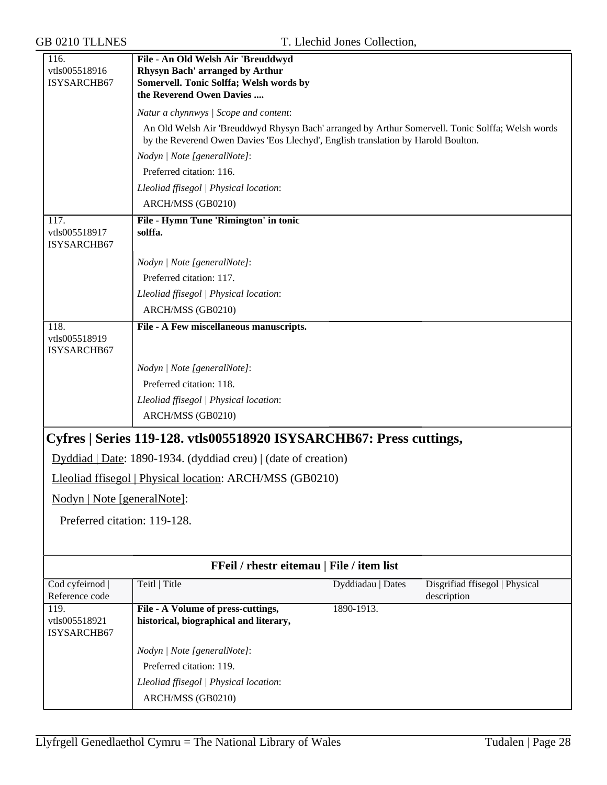| <b>GB 0210 TLLNES</b>                              |                                                                                                                                                                                       | T. Llechid Jones Collection, |                                               |
|----------------------------------------------------|---------------------------------------------------------------------------------------------------------------------------------------------------------------------------------------|------------------------------|-----------------------------------------------|
| 116.<br>vtls005518916<br>ISYSARCHB67               | File - An Old Welsh Air 'Breuddwyd<br>Rhysyn Bach' arranged by Arthur<br>Somervell. Tonic Solffa; Welsh words by<br>the Reverend Owen Davies                                          |                              |                                               |
|                                                    | Natur a chynnwys / Scope and content:                                                                                                                                                 |                              |                                               |
|                                                    | An Old Welsh Air 'Breuddwyd Rhysyn Bach' arranged by Arthur Somervell. Tonic Solffa; Welsh words<br>by the Reverend Owen Davies 'Eos Llechyd', English translation by Harold Boulton. |                              |                                               |
|                                                    | Nodyn   Note [generalNote]:                                                                                                                                                           |                              |                                               |
|                                                    | Preferred citation: 116.                                                                                                                                                              |                              |                                               |
|                                                    | Lleoliad ffisegol   Physical location:                                                                                                                                                |                              |                                               |
|                                                    | ARCH/MSS (GB0210)                                                                                                                                                                     |                              |                                               |
| 117.<br>vtls005518917<br>ISYSARCHB67               | File - Hymn Tune 'Rimington' in tonic<br>solffa.                                                                                                                                      |                              |                                               |
|                                                    | Nodyn   Note [generalNote]:                                                                                                                                                           |                              |                                               |
|                                                    | Preferred citation: 117.                                                                                                                                                              |                              |                                               |
|                                                    | Lleoliad ffisegol   Physical location:                                                                                                                                                |                              |                                               |
|                                                    | ARCH/MSS (GB0210)                                                                                                                                                                     |                              |                                               |
| 118.<br>vtls005518919<br>ISYSARCHB67               | File - A Few miscellaneous manuscripts.                                                                                                                                               |                              |                                               |
|                                                    | Nodyn   Note [generalNote]:                                                                                                                                                           |                              |                                               |
|                                                    | Preferred citation: 118.                                                                                                                                                              |                              |                                               |
|                                                    | Lleoliad ffisegol   Physical location:                                                                                                                                                |                              |                                               |
|                                                    | ARCH/MSS (GB0210)                                                                                                                                                                     |                              |                                               |
|                                                    | Cyfres   Series 119-128. vtls005518920 ISYSARCHB67: Press cuttings,                                                                                                                   |                              |                                               |
|                                                    | Dyddiad   Date: 1890-1934. (dyddiad creu)   (date of creation)                                                                                                                        |                              |                                               |
|                                                    | Lleoliad ffisegol   Physical location: ARCH/MSS (GB0210)                                                                                                                              |                              |                                               |
| Nodyn   Note [generalNote]:                        |                                                                                                                                                                                       |                              |                                               |
|                                                    |                                                                                                                                                                                       |                              |                                               |
| Preferred citation: 119-128.                       |                                                                                                                                                                                       |                              |                                               |
|                                                    | FFeil / rhestr eitemau   File / item list                                                                                                                                             |                              |                                               |
| Cod cyfeirnod<br>Reference code                    | Teitl   Title                                                                                                                                                                         | Dyddiadau   Dates            | Disgrifiad ffisegol   Physical<br>description |
| $\overline{119}$ .<br>vtls005518921<br>ISYSARCHB67 | File - A Volume of press-cuttings,<br>historical, biographical and literary,                                                                                                          | 1890-1913.                   |                                               |
|                                                    | Nodyn   Note [generalNote]:                                                                                                                                                           |                              |                                               |
|                                                    | Preferred citation: 119.                                                                                                                                                              |                              |                                               |
|                                                    | Lleoliad ffisegol   Physical location:                                                                                                                                                |                              |                                               |
|                                                    | ARCH/MSS (GB0210)                                                                                                                                                                     |                              |                                               |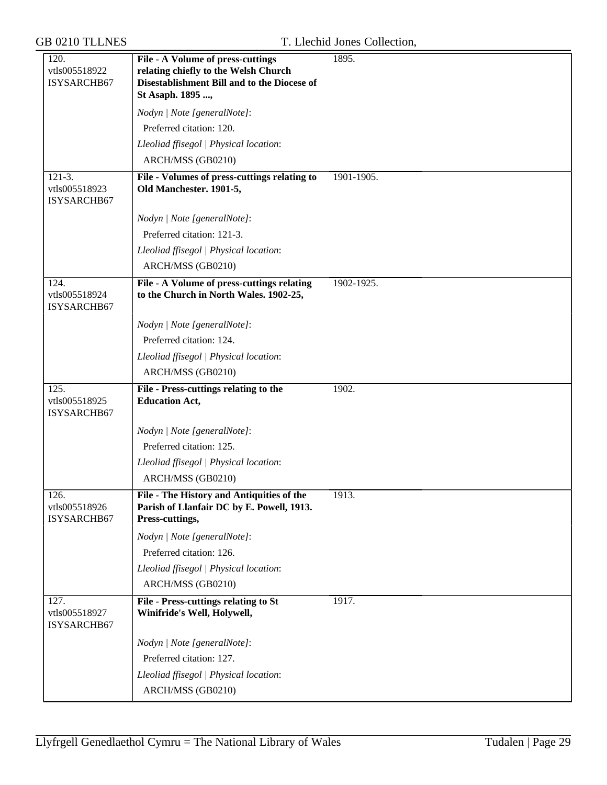| 120.<br>vtls005518922<br>ISYSARCHB67               | File - A Volume of press-cuttings<br>relating chiefly to the Welsh Church<br>Disestablishment Bill and to the Diocese of | 1895.      |
|----------------------------------------------------|--------------------------------------------------------------------------------------------------------------------------|------------|
|                                                    | St Asaph. 1895 ,<br>Nodyn   Note [generalNote]:                                                                          |            |
|                                                    | Preferred citation: 120.                                                                                                 |            |
|                                                    | Lleoliad ffisegol   Physical location:                                                                                   |            |
|                                                    | ARCH/MSS (GB0210)                                                                                                        |            |
| $121-3.$                                           | File - Volumes of press-cuttings relating to                                                                             | 1901-1905. |
| vtls005518923<br>ISYSARCHB67                       | Old Manchester. 1901-5,                                                                                                  |            |
|                                                    | Nodyn   Note [generalNote]:                                                                                              |            |
|                                                    | Preferred citation: 121-3.                                                                                               |            |
|                                                    | Lleoliad ffisegol   Physical location:                                                                                   |            |
|                                                    | ARCH/MSS (GB0210)                                                                                                        |            |
| 124.<br>vtls005518924<br>ISYSARCHB67               | File - A Volume of press-cuttings relating<br>to the Church in North Wales. 1902-25,                                     | 1902-1925. |
|                                                    | Nodyn   Note [generalNote]:                                                                                              |            |
|                                                    | Preferred citation: 124.                                                                                                 |            |
|                                                    | Lleoliad ffisegol   Physical location:                                                                                   |            |
|                                                    | ARCH/MSS (GB0210)                                                                                                        |            |
| $\overline{125}$ .<br>vtls005518925<br>ISYSARCHB67 | File - Press-cuttings relating to the<br><b>Education Act,</b>                                                           | 1902.      |
|                                                    | Nodyn   Note [generalNote]:                                                                                              |            |
|                                                    | Preferred citation: 125.                                                                                                 |            |
|                                                    | Lleoliad ffisegol   Physical location:                                                                                   |            |
|                                                    | ARCH/MSS (GB0210)                                                                                                        |            |
| 126.<br>vtls005518926<br>ISYSARCHB67               | File - The History and Antiquities of the<br>Parish of Llanfair DC by E. Powell, 1913.<br>Press-cuttings,                | 1913.      |
|                                                    | Nodyn   Note [generalNote]:                                                                                              |            |
|                                                    | Preferred citation: 126.                                                                                                 |            |
|                                                    | Lleoliad ffisegol   Physical location:                                                                                   |            |
|                                                    | ARCH/MSS (GB0210)                                                                                                        |            |
| 127.<br>vtls005518927<br>ISYSARCHB67               | <b>File - Press-cuttings relating to St</b><br>Winifride's Well, Holywell,                                               | 1917.      |
|                                                    | Nodyn   Note [generalNote]:                                                                                              |            |
|                                                    | Preferred citation: 127.                                                                                                 |            |
|                                                    | Lleoliad ffisegol   Physical location:                                                                                   |            |
|                                                    | ARCH/MSS (GB0210)                                                                                                        |            |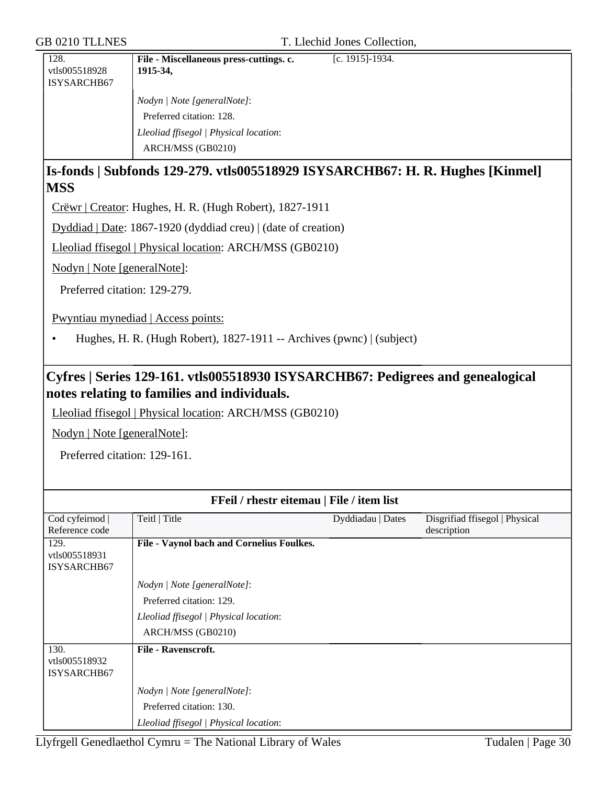| 128.          | File - Miscellaneous press-cuttings. c. | [c. 1915]-1934. |
|---------------|-----------------------------------------|-----------------|
| vtls005518928 | 1915-34,                                |                 |
| ISYSARCHB67   |                                         |                 |
|               | Nodyn   Note [generalNote]:             |                 |
|               | Preferred citation: 128.                |                 |
|               | Lleoliad ffisegol   Physical location:  |                 |
|               | ARCH/MSS (GB0210)                       |                 |
|               |                                         |                 |

## **Is-fonds | Subfonds 129-279. vtls005518929 ISYSARCHB67: H. R. Hughes [Kinmel] MSS**

Crëwr | Creator: Hughes, H. R. (Hugh Robert), 1827-1911

Dyddiad | Date: 1867-1920 (dyddiad creu) | (date of creation)

Lleoliad ffisegol | Physical location: ARCH/MSS (GB0210)

Nodyn | Note [generalNote]:

Preferred citation: 129-279.

Pwyntiau mynediad | Access points:

• Hughes, H. R. (Hugh Robert), 1827-1911 -- Archives (pwnc) | (subject)

## **Cyfres | Series 129-161. vtls005518930 ISYSARCHB67: Pedigrees and genealogical notes relating to families and individuals.**

Lleoliad ffisegol | Physical location: ARCH/MSS (GB0210)

Nodyn | Note [generalNote]:

Preferred citation: 129-161.

| FFeil / rhestr eitemau   File / item list |                                           |                   |                                |
|-------------------------------------------|-------------------------------------------|-------------------|--------------------------------|
| Cod cyfeirnod                             | Teitl   Title                             | Dyddiadau   Dates | Disgrifiad ffisegol   Physical |
| Reference code                            |                                           |                   | description                    |
| 129.                                      | File - Vaynol bach and Cornelius Foulkes. |                   |                                |
| vtls005518931                             |                                           |                   |                                |
| ISYSARCHB67                               |                                           |                   |                                |
|                                           | Nodyn   Note [generalNote]:               |                   |                                |
|                                           | Preferred citation: 129.                  |                   |                                |
|                                           | Lleoliad ffisegol   Physical location:    |                   |                                |
|                                           | ARCH/MSS (GB0210)                         |                   |                                |
| 130.                                      | <b>File - Ravenscroft.</b>                |                   |                                |
| vtls005518932                             |                                           |                   |                                |
| ISYSARCHB67                               |                                           |                   |                                |
|                                           | Nodyn   Note [generalNote]:               |                   |                                |
|                                           | Preferred citation: 130.                  |                   |                                |
|                                           | Lleoliad ffisegol   Physical location:    |                   |                                |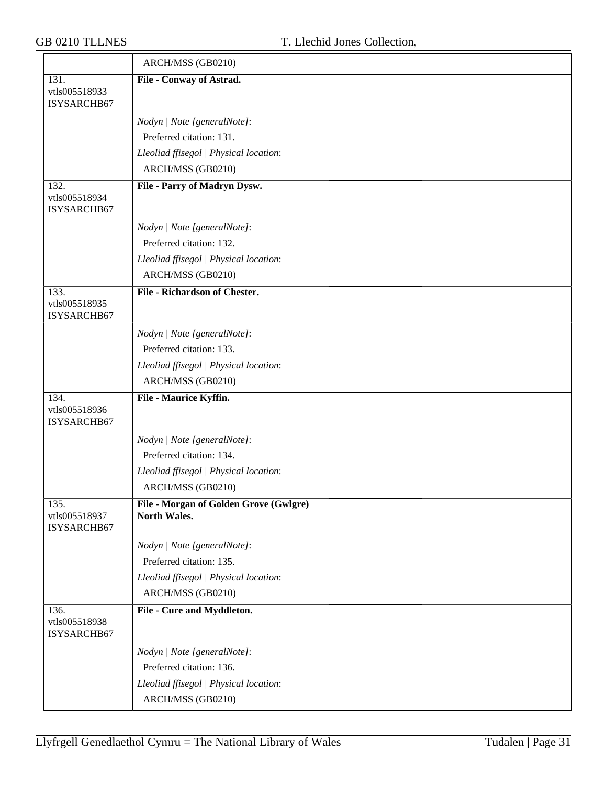| T. Llechid Jones Collection,                           |
|--------------------------------------------------------|
| ARCH/MSS (GB0210)                                      |
| File - Conway of Astrad.                               |
| Nodyn   Note [generalNote]:                            |
| Preferred citation: 131.                               |
| Lleoliad ffisegol   Physical location:                 |
| ARCH/MSS (GB0210)                                      |
| File - Parry of Madryn Dysw.                           |
| Nodyn   Note [generalNote]:                            |
| Preferred citation: 132.                               |
| Lleoliad ffisegol   Physical location:                 |
| ARCH/MSS (GB0210)                                      |
| <b>File - Richardson of Chester.</b>                   |
| Nodyn   Note [generalNote]:                            |
| Preferred citation: 133.                               |
| Lleoliad ffisegol   Physical location:                 |
| ARCH/MSS (GB0210)                                      |
| File - Maurice Kyffin.                                 |
| Nodyn   Note [generalNote]:                            |
| Preferred citation: 134.                               |
| Lleoliad ffisegol   Physical location:                 |
| ARCH/MSS (GB0210)                                      |
| File - Morgan of Golden Grove (Gwlgre)<br>North Wales. |
| Nodyn   Note [generalNote]:                            |
| Preferred citation: 135.                               |
| Lleoliad ffisegol   Physical location:                 |
| ARCH/MSS (GB0210)                                      |
| File - Cure and Myddleton.                             |
| Nodyn   Note [generalNote]:                            |
| Preferred citation: 136.                               |
| Lleoliad ffisegol   Physical location:                 |
| ARCH/MSS (GB0210)                                      |
|                                                        |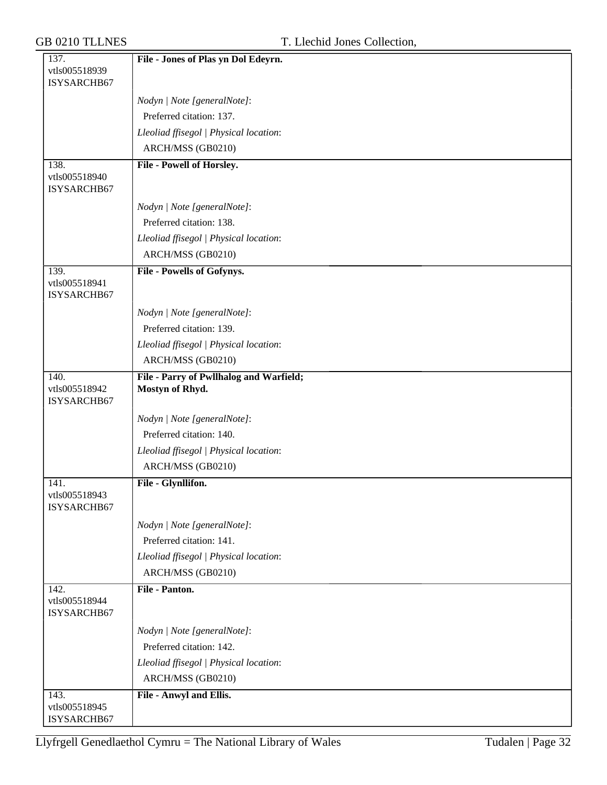| 137.                         | File - Jones of Plas yn Dol Edeyrn.     |
|------------------------------|-----------------------------------------|
| vtls005518939                |                                         |
| ISYSARCHB67                  |                                         |
|                              | Nodyn   Note [generalNote]:             |
|                              | Preferred citation: 137.                |
|                              | Lleoliad ffisegol   Physical location:  |
|                              | ARCH/MSS (GB0210)                       |
| 138.                         | File - Powell of Horsley.               |
| vtls005518940                |                                         |
| ISYSARCHB67                  |                                         |
|                              | Nodyn   Note [generalNote]:             |
|                              | Preferred citation: 138.                |
|                              | Lleoliad ffisegol   Physical location:  |
|                              | ARCH/MSS (GB0210)                       |
| 139.                         | File - Powells of Gofynys.              |
| vtls005518941                |                                         |
| ISYSARCHB67                  |                                         |
|                              | Nodyn   Note [generalNote]:             |
|                              | Preferred citation: 139.                |
|                              | Lleoliad ffisegol   Physical location:  |
|                              | ARCH/MSS (GB0210)                       |
| 140.                         | File - Parry of Pwllhalog and Warfield; |
| vtls005518942<br>ISYSARCHB67 | Mostyn of Rhyd.                         |
|                              | Nodyn   Note [generalNote]:             |
|                              | Preferred citation: 140.                |
|                              | Lleoliad ffisegol   Physical location:  |
|                              | ARCH/MSS (GB0210)                       |
| 141.                         | File - Glynllifon.                      |
| vtls005518943                |                                         |
| ISYSARCHB67                  |                                         |
|                              | Nodyn   Note [generalNote]:             |
|                              | Preferred citation: 141.                |
|                              | Lleoliad ffisegol   Physical location:  |
|                              | ARCH/MSS (GB0210)                       |
| 142.                         | File - Panton.                          |
| vtls005518944<br>ISYSARCHB67 |                                         |
|                              | Nodyn   Note [generalNote]:             |
|                              | Preferred citation: 142.                |
|                              | Lleoliad ffisegol   Physical location:  |
|                              | ARCH/MSS (GB0210)                       |
| 143.                         | File - Anwyl and Ellis.                 |
| vtls005518945                |                                         |
| ISYSARCHB67                  |                                         |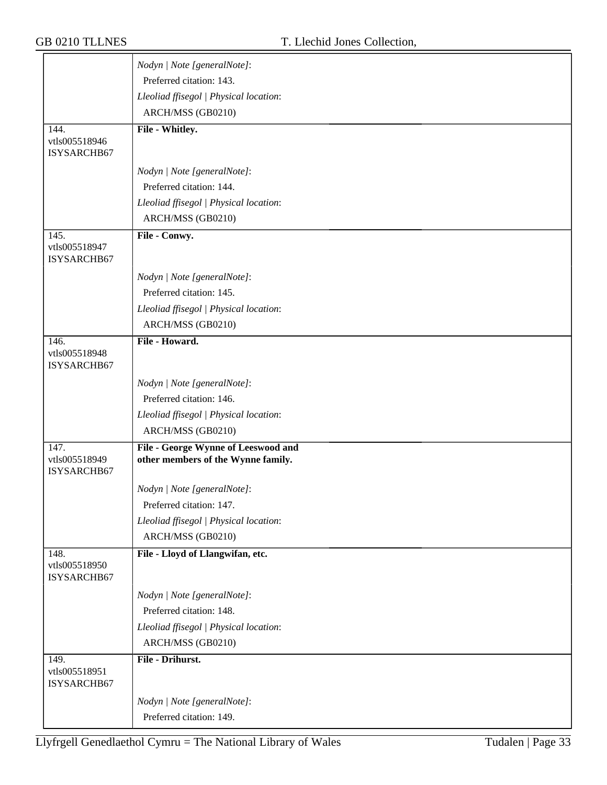|                                      | Nodyn   Note [generalNote]:                                               |
|--------------------------------------|---------------------------------------------------------------------------|
|                                      | Preferred citation: 143.                                                  |
|                                      | Lleoliad ffisegol   Physical location:                                    |
|                                      | ARCH/MSS (GB0210)                                                         |
| 144.                                 | File - Whitley.                                                           |
| vtls005518946                        |                                                                           |
| ISYSARCHB67                          |                                                                           |
|                                      | Nodyn   Note [generalNote]:                                               |
|                                      | Preferred citation: 144.                                                  |
|                                      | Lleoliad ffisegol   Physical location:                                    |
|                                      | ARCH/MSS (GB0210)                                                         |
| 145.                                 | File - Conwy.                                                             |
| vtls005518947<br>ISYSARCHB67         |                                                                           |
|                                      | Nodyn   Note [generalNote]:                                               |
|                                      | Preferred citation: 145.                                                  |
|                                      | Lleoliad ffisegol   Physical location:                                    |
|                                      | ARCH/MSS (GB0210)                                                         |
| 146.                                 | File - Howard.                                                            |
| vtls005518948<br>ISYSARCHB67         |                                                                           |
|                                      | Nodyn   Note [generalNote]:                                               |
|                                      | Preferred citation: 146.                                                  |
|                                      | Lleoliad ffisegol   Physical location:                                    |
|                                      | ARCH/MSS (GB0210)                                                         |
| 147.<br>vtls005518949                | File - George Wynne of Leeswood and<br>other members of the Wynne family. |
| ISYSARCHB67                          |                                                                           |
|                                      | Nodyn   Note [generalNote]:                                               |
|                                      | Preferred citation: 147.                                                  |
|                                      | Lleoliad ffisegol   Physical location:                                    |
|                                      | ARCH/MSS (GB0210)                                                         |
| 148.<br>vtls005518950<br>ISYSARCHB67 | File - Lloyd of Llangwifan, etc.                                          |
|                                      | Nodyn   Note [generalNote]:                                               |
|                                      | Preferred citation: 148.                                                  |
|                                      | Lleoliad ffisegol   Physical location:                                    |
|                                      | ARCH/MSS (GB0210)                                                         |
| 149.                                 | File - Drihurst.                                                          |
| vtls005518951<br>ISYSARCHB67         |                                                                           |
|                                      | Nodyn   Note [generalNote]:                                               |
|                                      | Preferred citation: 149.                                                  |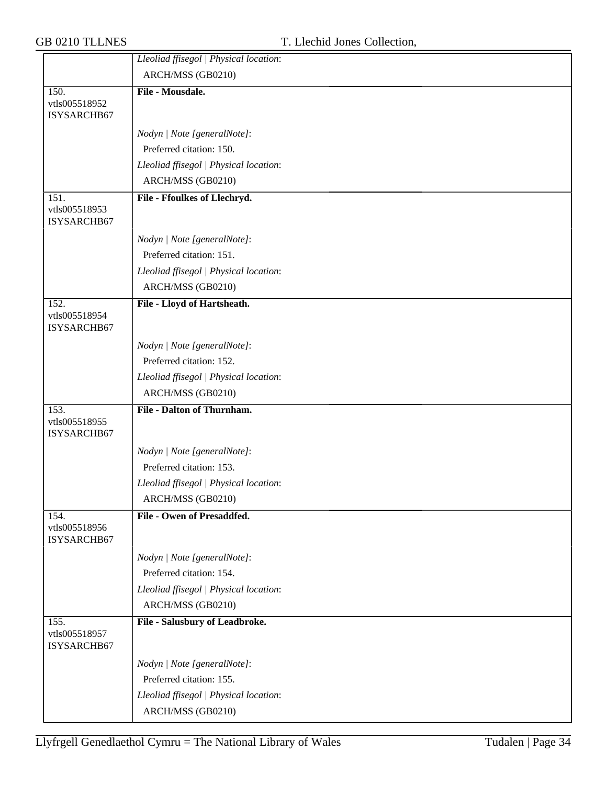|                                      | Lleoliad ffisegol   Physical location: |
|--------------------------------------|----------------------------------------|
|                                      | ARCH/MSS (GB0210)                      |
| 150.                                 | File - Mousdale.                       |
| vtls005518952<br>ISYSARCHB67         |                                        |
|                                      | Nodyn   Note [generalNote]:            |
|                                      | Preferred citation: 150.               |
|                                      | Lleoliad ffisegol   Physical location: |
|                                      | ARCH/MSS (GB0210)                      |
| 151.<br>vtls005518953<br>ISYSARCHB67 | File - Ffoulkes of Llechryd.           |
|                                      | Nodyn   Note [generalNote]:            |
|                                      | Preferred citation: 151.               |
|                                      | Lleoliad ffisegol   Physical location: |
|                                      | ARCH/MSS (GB0210)                      |
| 152.                                 | File - Lloyd of Hartsheath.            |
| vtls005518954<br>ISYSARCHB67         |                                        |
|                                      | Nodyn   Note [generalNote]:            |
|                                      | Preferred citation: 152.               |
|                                      | Lleoliad ffisegol   Physical location: |
|                                      | ARCH/MSS (GB0210)                      |
| 153.<br>vtls005518955<br>ISYSARCHB67 | <b>File - Dalton of Thurnham.</b>      |
|                                      | Nodyn   Note [generalNote]:            |
|                                      | Preferred citation: 153.               |
|                                      | Lleoliad ffisegol   Physical location: |
|                                      | ARCH/MSS (GB0210)                      |
| 154.                                 | File - Owen of Presaddfed.             |
| vtls005518956<br>ISYSARCHB67         |                                        |
|                                      | Nodyn   Note [generalNote]:            |
|                                      | Preferred citation: 154.               |
|                                      | Lleoliad ffisegol   Physical location: |
|                                      | ARCH/MSS (GB0210)                      |
| 155.<br>vtls005518957<br>ISYSARCHB67 | File - Salusbury of Leadbroke.         |
|                                      | Nodyn   Note [generalNote]:            |
|                                      | Preferred citation: 155.               |
|                                      | Lleoliad ffisegol   Physical location: |
|                                      | ARCH/MSS (GB0210)                      |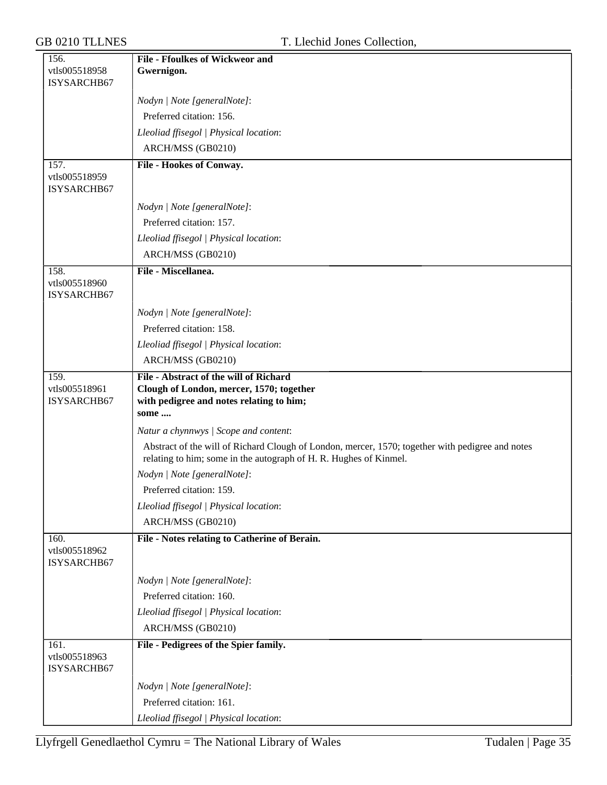| 156.                         | <b>File - Ffoulkes of Wickweor and</b>                                                                                                                                |
|------------------------------|-----------------------------------------------------------------------------------------------------------------------------------------------------------------------|
| vtls005518958                | Gwernigon.                                                                                                                                                            |
| ISYSARCHB67                  |                                                                                                                                                                       |
|                              | Nodyn   Note [generalNote]:                                                                                                                                           |
|                              | Preferred citation: 156.                                                                                                                                              |
|                              | Lleoliad ffisegol   Physical location:                                                                                                                                |
|                              | ARCH/MSS (GB0210)                                                                                                                                                     |
| 157.                         | File - Hookes of Conway.                                                                                                                                              |
| vtls005518959<br>ISYSARCHB67 |                                                                                                                                                                       |
|                              | Nodyn   Note [generalNote]:                                                                                                                                           |
|                              | Preferred citation: 157.                                                                                                                                              |
|                              | Lleoliad ffisegol   Physical location:                                                                                                                                |
|                              | ARCH/MSS (GB0210)                                                                                                                                                     |
| 158.                         | File - Miscellanea.                                                                                                                                                   |
| vtls005518960<br>ISYSARCHB67 |                                                                                                                                                                       |
|                              | Nodyn   Note [generalNote]:                                                                                                                                           |
|                              | Preferred citation: 158.                                                                                                                                              |
|                              | Lleoliad ffisegol   Physical location:                                                                                                                                |
|                              | ARCH/MSS (GB0210)                                                                                                                                                     |
| 159.                         | File - Abstract of the will of Richard                                                                                                                                |
| vtls005518961                | Clough of London, mercer, 1570; together                                                                                                                              |
| ISYSARCHB67                  | with pedigree and notes relating to him;                                                                                                                              |
|                              | some                                                                                                                                                                  |
|                              | Natur a chynnwys / Scope and content:                                                                                                                                 |
|                              | Abstract of the will of Richard Clough of London, mercer, 1570; together with pedigree and notes<br>relating to him; some in the autograph of H. R. Hughes of Kinmel. |
|                              | Nodyn   Note [generalNote]:                                                                                                                                           |
|                              | Preferred citation: 159.                                                                                                                                              |
|                              | Lleoliad ffisegol   Physical location:                                                                                                                                |
|                              | ARCH/MSS (GB0210)                                                                                                                                                     |
| 160.                         | File - Notes relating to Catherine of Berain.                                                                                                                         |
| vtls005518962<br>ISYSARCHB67 |                                                                                                                                                                       |
|                              | Nodyn   Note [generalNote]:                                                                                                                                           |
|                              | Preferred citation: 160.                                                                                                                                              |
|                              | Lleoliad ffisegol   Physical location:                                                                                                                                |
|                              | ARCH/MSS (GB0210)                                                                                                                                                     |
| 161.                         | File - Pedigrees of the Spier family.                                                                                                                                 |
| vtls005518963<br>ISYSARCHB67 |                                                                                                                                                                       |
|                              | Nodyn   Note [generalNote]:                                                                                                                                           |
|                              | Preferred citation: 161.                                                                                                                                              |
|                              | Lleoliad ffisegol   Physical location:                                                                                                                                |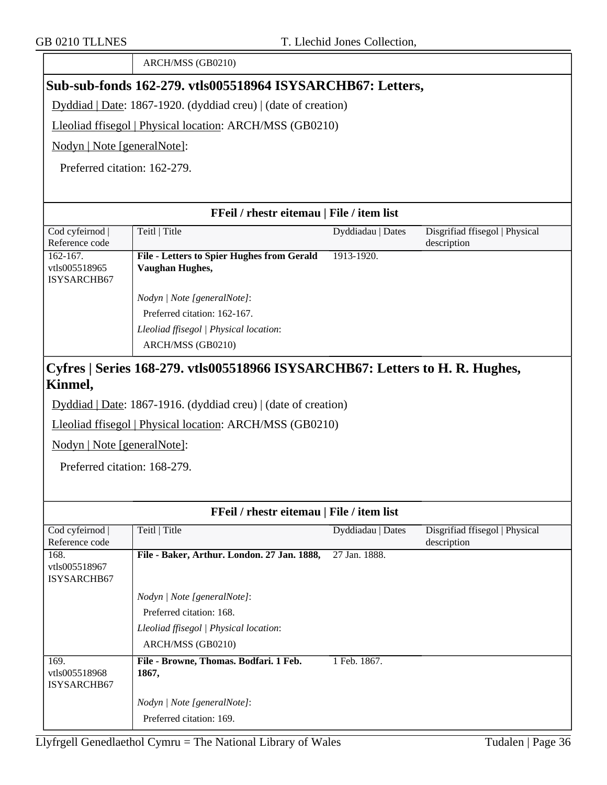|                                                             | ARCH/MSS (GB0210)                                                                                                          |                   |                                               |
|-------------------------------------------------------------|----------------------------------------------------------------------------------------------------------------------------|-------------------|-----------------------------------------------|
|                                                             | Sub-sub-fonds 162-279. vtls005518964 ISYSARCHB67: Letters,                                                                 |                   |                                               |
|                                                             | Dyddiad   Date: 1867-1920. (dyddiad creu)   (date of creation)                                                             |                   |                                               |
|                                                             | Lleoliad ffisegol   Physical location: ARCH/MSS (GB0210)                                                                   |                   |                                               |
| Nodyn   Note [generalNote]:                                 |                                                                                                                            |                   |                                               |
| Preferred citation: 162-279.                                |                                                                                                                            |                   |                                               |
|                                                             |                                                                                                                            |                   |                                               |
|                                                             |                                                                                                                            |                   |                                               |
|                                                             | FFeil / rhestr eitemau   File / item list                                                                                  |                   |                                               |
| Cod cyfeirnod<br>Reference code                             | Teitl   Title                                                                                                              | Dyddiadau   Dates | Disgrifiad ffisegol   Physical<br>description |
| $162 - 167.$<br>vtls005518965<br>ISYSARCHB67                | <b>File - Letters to Spier Hughes from Gerald</b><br><b>Vaughan Hughes,</b>                                                | 1913-1920.        |                                               |
|                                                             | Nodyn   Note [generalNote]:                                                                                                |                   |                                               |
|                                                             | Preferred citation: 162-167.                                                                                               |                   |                                               |
|                                                             | Lleoliad ffisegol   Physical location:                                                                                     |                   |                                               |
|                                                             | ARCH/MSS (GB0210)                                                                                                          |                   |                                               |
| Nodyn   Note [generalNote]:<br>Preferred citation: 168-279. | Dyddiad   Date: 1867-1916. (dyddiad creu)   (date of creation)<br>Lleoliad ffisegol   Physical location: ARCH/MSS (GB0210) |                   |                                               |
|                                                             | FFeil / rhestr eitemau   File / item list                                                                                  |                   |                                               |
| Cod cyfeirnod<br>Reference code                             | Teitl   Title                                                                                                              | Dyddiadau   Dates | Disgrifiad ffisegol   Physical<br>description |
| 168.<br>vtls005518967<br>ISYSARCHB67                        | File - Baker, Arthur. London. 27 Jan. 1888,                                                                                | 27 Jan. 1888.     |                                               |
|                                                             | Nodyn   Note [generalNote]:                                                                                                |                   |                                               |
|                                                             | Preferred citation: 168.                                                                                                   |                   |                                               |
|                                                             | Lleoliad ffisegol   Physical location:                                                                                     |                   |                                               |
|                                                             | ARCH/MSS (GB0210)                                                                                                          |                   |                                               |
| 169.<br>vtls005518968<br>ISYSARCHB67                        | File - Browne, Thomas. Bodfari. 1 Feb.<br>1867,                                                                            | 1 Feb. 1867.      |                                               |
|                                                             | Nodyn   Note [generalNote]:                                                                                                |                   |                                               |
|                                                             | Preferred citation: 169.                                                                                                   |                   |                                               |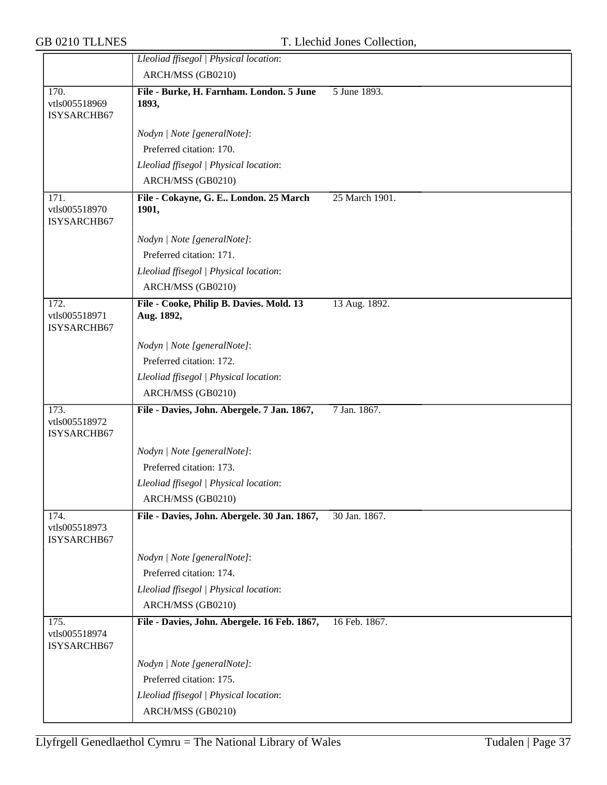|                                      | Lleoliad ffisegol   Physical location:                 |                |
|--------------------------------------|--------------------------------------------------------|----------------|
|                                      | ARCH/MSS (GB0210)                                      |                |
| 170.<br>vtls005518969<br>ISYSARCHB67 | File - Burke, H. Farnham. London. 5 June<br>1893,      | 5 June 1893.   |
|                                      | Nodyn   Note [generalNote]:                            |                |
|                                      | Preferred citation: 170.                               |                |
|                                      | Lleoliad ffisegol   Physical location:                 |                |
|                                      | ARCH/MSS (GB0210)                                      |                |
| 171.<br>vtls005518970<br>ISYSARCHB67 | File - Cokayne, G. E London. 25 March<br>1901,         | 25 March 1901. |
|                                      | Nodyn   Note [generalNote]:                            |                |
|                                      | Preferred citation: 171.                               |                |
|                                      | Lleoliad ffisegol   Physical location:                 |                |
|                                      | ARCH/MSS (GB0210)                                      |                |
| 172.<br>vtls005518971<br>ISYSARCHB67 | File - Cooke, Philip B. Davies. Mold. 13<br>Aug. 1892, | 13 Aug. 1892.  |
|                                      | Nodyn   Note [generalNote]:                            |                |
|                                      | Preferred citation: 172.                               |                |
|                                      | Lleoliad ffisegol   Physical location:                 |                |
|                                      | ARCH/MSS (GB0210)                                      |                |
| 173.<br>vtls005518972<br>ISYSARCHB67 | File - Davies, John. Abergele. 7 Jan. 1867,            | 7 Jan. 1867.   |
|                                      | Nodyn   Note [generalNote]:                            |                |
|                                      | Preferred citation: 173.                               |                |
|                                      | Lleoliad ffisegol   Physical location:                 |                |
|                                      | ARCH/MSS (GB0210)                                      |                |
| 174.<br>vtls005518973<br>ISYSARCHB67 | File - Davies, John. Abergele. 30 Jan. 1867,           | 30 Jan. 1867.  |
|                                      | Nodyn   Note [generalNote]:                            |                |
|                                      | Preferred citation: 174.                               |                |
|                                      | Lleoliad ffisegol   Physical location:                 |                |
|                                      | ARCH/MSS (GB0210)                                      |                |
| 175.<br>vtls005518974<br>ISYSARCHB67 | File - Davies, John. Abergele. 16 Feb. 1867,           | 16 Feb. 1867.  |
|                                      | Nodyn   Note [generalNote]:                            |                |
|                                      | Preferred citation: 175.                               |                |
|                                      | Lleoliad ffisegol   Physical location:                 |                |
|                                      |                                                        |                |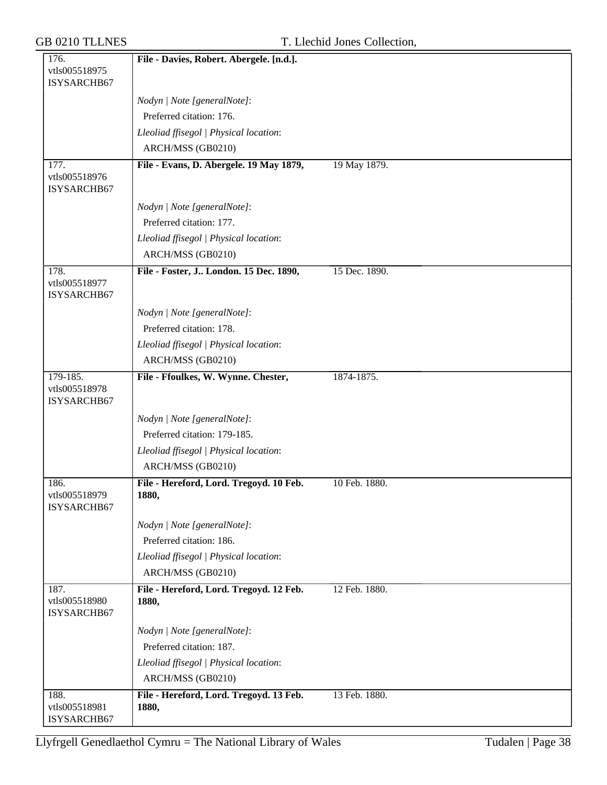| 176.                                 | File - Davies, Robert. Abergele. [n.d.].         |               |
|--------------------------------------|--------------------------------------------------|---------------|
| vtls005518975                        |                                                  |               |
| ISYSARCHB67                          |                                                  |               |
|                                      | Nodyn   Note [generalNote]:                      |               |
|                                      | Preferred citation: 176.                         |               |
|                                      | Lleoliad ffisegol   Physical location:           |               |
|                                      | ARCH/MSS (GB0210)                                |               |
| 177.                                 | File - Evans, D. Abergele. 19 May 1879,          | 19 May 1879.  |
| vtls005518976<br>ISYSARCHB67         |                                                  |               |
|                                      | Nodyn   Note [generalNote]:                      |               |
|                                      | Preferred citation: 177.                         |               |
|                                      | Lleoliad ffisegol   Physical location:           |               |
|                                      | ARCH/MSS (GB0210)                                |               |
| 178.<br>vtls005518977<br>ISYSARCHB67 | File - Foster, J London. 15 Dec. 1890,           | 15 Dec. 1890. |
|                                      | Nodyn   Note [generalNote]:                      |               |
|                                      | Preferred citation: 178.                         |               |
|                                      | Lleoliad ffisegol   Physical location:           |               |
|                                      | ARCH/MSS (GB0210)                                |               |
| 179-185.                             | File - Ffoulkes, W. Wynne. Chester,              | 1874-1875.    |
| vtls005518978<br>ISYSARCHB67         |                                                  |               |
|                                      | Nodyn   Note [generalNote]:                      |               |
|                                      | Preferred citation: 179-185.                     |               |
|                                      | Lleoliad ffisegol   Physical location:           |               |
|                                      | ARCH/MSS (GB0210)                                |               |
| 186.<br>vtls005518979<br>ISYSARCHB67 | File - Hereford, Lord. Tregoyd. 10 Feb.<br>1880, | 10 Feb. 1880. |
|                                      | Nodyn   Note [generalNote]:                      |               |
|                                      | Preferred citation: 186.                         |               |
|                                      | Lleoliad ffisegol   Physical location:           |               |
|                                      | ARCH/MSS (GB0210)                                |               |
| 187.<br>vtls005518980<br>ISYSARCHB67 | File - Hereford, Lord. Tregoyd. 12 Feb.<br>1880, | 12 Feb. 1880. |
|                                      | Nodyn   Note [generalNote]:                      |               |
|                                      | Preferred citation: 187.                         |               |
|                                      | Lleoliad ffisegol   Physical location:           |               |
|                                      | ARCH/MSS (GB0210)                                |               |
| 188.                                 | File - Hereford, Lord. Tregoyd. 13 Feb.          | 13 Feb. 1880. |
| vtls005518981<br>ISYSARCHB67         | 1880,                                            |               |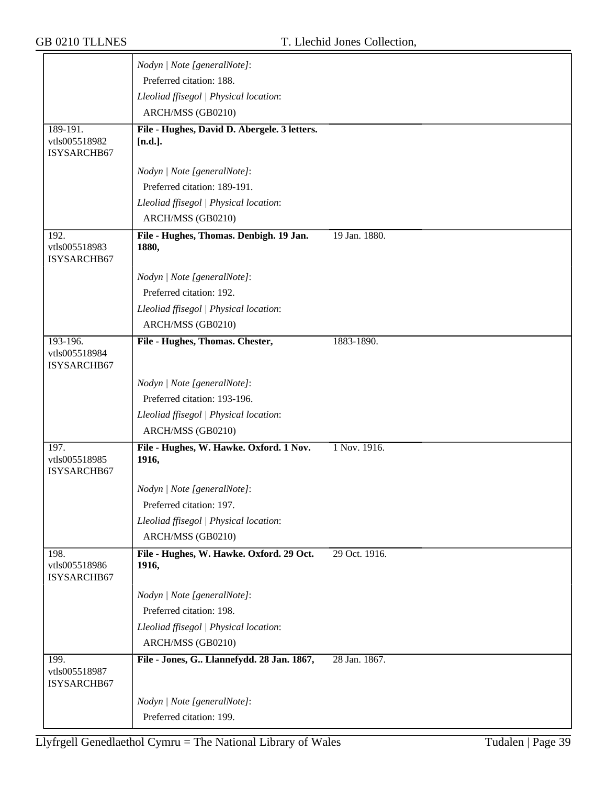|                                      | Nodyn   Note [generalNote]:                      |               |
|--------------------------------------|--------------------------------------------------|---------------|
|                                      | Preferred citation: 188.                         |               |
|                                      | Lleoliad ffisegol   Physical location:           |               |
|                                      | ARCH/MSS (GB0210)                                |               |
| 189-191.                             | File - Hughes, David D. Abergele. 3 letters.     |               |
| vtls005518982<br>ISYSARCHB67         | $[n.d.]$ .                                       |               |
|                                      | Nodyn   Note [generalNote]:                      |               |
|                                      | Preferred citation: 189-191.                     |               |
|                                      | Lleoliad ffisegol   Physical location:           |               |
|                                      | ARCH/MSS (GB0210)                                |               |
| 192.                                 | File - Hughes, Thomas. Denbigh. 19 Jan.          | 19 Jan. 1880. |
| vtls005518983<br>ISYSARCHB67         | 1880,                                            |               |
|                                      | Nodyn   Note [generalNote]:                      |               |
|                                      | Preferred citation: 192.                         |               |
|                                      | Lleoliad ffisegol   Physical location:           |               |
|                                      | ARCH/MSS (GB0210)                                |               |
| 193-196.                             | File - Hughes, Thomas. Chester,                  | 1883-1890.    |
| vtls005518984<br>ISYSARCHB67         |                                                  |               |
|                                      | Nodyn   Note [generalNote]:                      |               |
|                                      | Preferred citation: 193-196.                     |               |
|                                      | Lleoliad ffisegol   Physical location:           |               |
|                                      | ARCH/MSS (GB0210)                                |               |
| 197.<br>vtls005518985<br>ISYSARCHB67 | File - Hughes, W. Hawke. Oxford. 1 Nov.<br>1916, | 1 Nov. 1916.  |
|                                      | Nodyn   Note [generalNote]:                      |               |
|                                      | Preferred citation: 197.                         |               |
|                                      | Lleoliad ffisegol   Physical location:           |               |
|                                      | ARCH/MSS (GB0210)                                |               |
| 198.                                 | File - Hughes, W. Hawke. Oxford. 29 Oct.         | 29 Oct. 1916. |
| vtls005518986<br>ISYSARCHB67         | 1916,                                            |               |
|                                      | Nodyn   Note [generalNote]:                      |               |
|                                      | Preferred citation: 198.                         |               |
|                                      | Lleoliad ffisegol   Physical location:           |               |
|                                      | ARCH/MSS (GB0210)                                |               |
| 199.<br>vtls005518987<br>ISYSARCHB67 | File - Jones, G Llannefydd. 28 Jan. 1867,        | 28 Jan. 1867. |
|                                      | Nodyn   Note [generalNote]:                      |               |
|                                      | Preferred citation: 199.                         |               |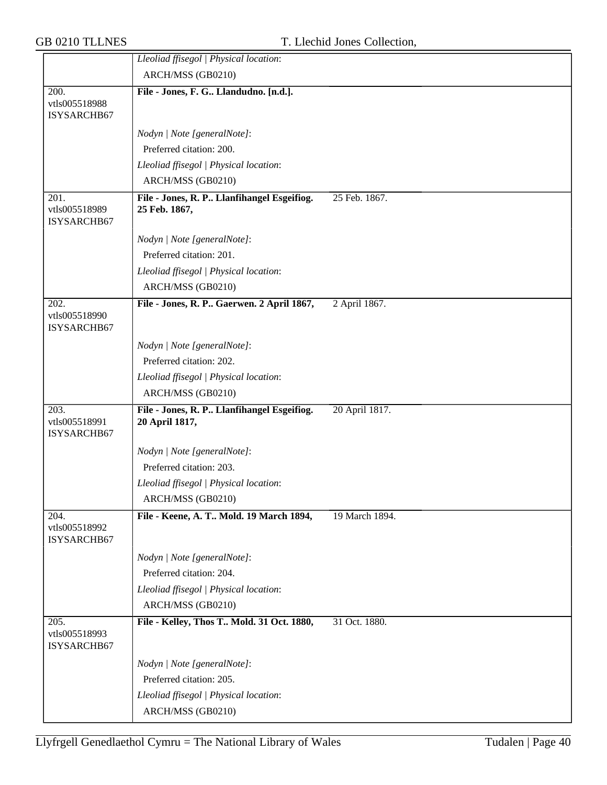|                                      | Lleoliad ffisegol   Physical location:                      |                |
|--------------------------------------|-------------------------------------------------------------|----------------|
|                                      | ARCH/MSS (GB0210)                                           |                |
| 200.                                 | File - Jones, F. G Llandudno. [n.d.].                       |                |
| vtls005518988<br>ISYSARCHB67         |                                                             |                |
|                                      |                                                             |                |
|                                      | Nodyn   Note [generalNote]:                                 |                |
|                                      | Preferred citation: 200.                                    |                |
|                                      | Lleoliad ffisegol   Physical location:                      |                |
|                                      | ARCH/MSS (GB0210)                                           |                |
| 201.<br>vtls005518989<br>ISYSARCHB67 | File - Jones, R. P Llanfihangel Esgeifiog.<br>25 Feb. 1867, | 25 Feb. 1867.  |
|                                      | Nodyn   Note [generalNote]:                                 |                |
|                                      | Preferred citation: 201.                                    |                |
|                                      | Lleoliad ffisegol   Physical location:                      |                |
|                                      | ARCH/MSS (GB0210)                                           |                |
| 202.<br>vtls005518990<br>ISYSARCHB67 | File - Jones, R. P Gaerwen. 2 April 1867,                   | 2 April 1867.  |
|                                      | Nodyn   Note [generalNote]:                                 |                |
|                                      | Preferred citation: 202.                                    |                |
|                                      | Lleoliad ffisegol   Physical location:                      |                |
|                                      | ARCH/MSS (GB0210)                                           |                |
| 203.                                 | File - Jones, R. P Llanfihangel Esgeifiog.                  | 20 April 1817. |
| vtls005518991<br>ISYSARCHB67         | 20 April 1817,                                              |                |
|                                      | Nodyn   Note [generalNote]:                                 |                |
|                                      | Preferred citation: 203.                                    |                |
|                                      | Lleoliad ffisegol   Physical location:                      |                |
|                                      | ARCH/MSS (GB0210)                                           |                |
| 204.<br>vtls005518992<br>ISYSARCHB67 | File - Keene, A. T Mold. 19 March 1894,                     | 19 March 1894. |
|                                      | Nodyn   Note [generalNote]:                                 |                |
|                                      | Preferred citation: 204.                                    |                |
|                                      | Lleoliad ffisegol   Physical location:                      |                |
|                                      | ARCH/MSS (GB0210)                                           |                |
| 205.<br>vtls005518993<br>ISYSARCHB67 | File - Kelley, Thos T Mold. 31 Oct. 1880,                   | 31 Oct. 1880.  |
|                                      | Nodyn   Note [generalNote]:                                 |                |
|                                      | Preferred citation: 205.                                    |                |
|                                      | Lleoliad ffisegol   Physical location:                      |                |
|                                      | ARCH/MSS (GB0210)                                           |                |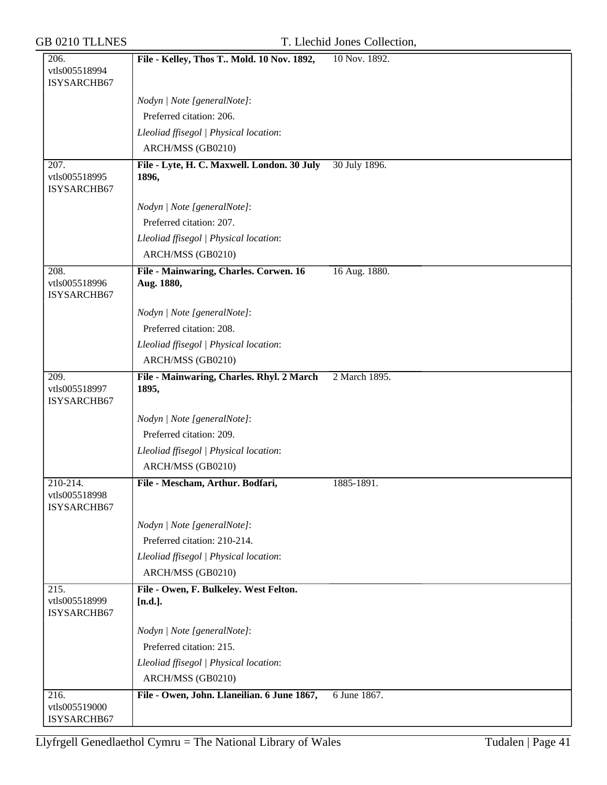| 206.                                 | File - Kelley, Thos T Mold. 10 Nov. 1892,            | 10 Nov. 1892. |
|--------------------------------------|------------------------------------------------------|---------------|
| vtls005518994                        |                                                      |               |
| ISYSARCHB67                          |                                                      |               |
|                                      | Nodyn   Note [generalNote]:                          |               |
|                                      | Preferred citation: 206.                             |               |
|                                      | Lleoliad ffisegol   Physical location:               |               |
|                                      | ARCH/MSS (GB0210)                                    |               |
| 207.<br>vtls005518995<br>ISYSARCHB67 | File - Lyte, H. C. Maxwell. London. 30 July<br>1896, | 30 July 1896. |
|                                      | Nodyn   Note [generalNote]:                          |               |
|                                      | Preferred citation: 207.                             |               |
|                                      | Lleoliad ffisegol   Physical location:               |               |
|                                      | ARCH/MSS (GB0210)                                    |               |
| 208.                                 | File - Mainwaring, Charles. Corwen. 16               | 16 Aug. 1880. |
| vtls005518996<br>ISYSARCHB67         | Aug. 1880,                                           |               |
|                                      | Nodyn   Note [generalNote]:                          |               |
|                                      | Preferred citation: 208.                             |               |
|                                      | Lleoliad ffisegol   Physical location:               |               |
|                                      | ARCH/MSS (GB0210)                                    |               |
| 209.<br>vtls005518997<br>ISYSARCHB67 | File - Mainwaring, Charles. Rhyl. 2 March<br>1895,   | 2 March 1895. |
|                                      | Nodyn   Note [generalNote]:                          |               |
|                                      | Preferred citation: 209.                             |               |
|                                      | Lleoliad ffisegol   Physical location:               |               |
|                                      | ARCH/MSS (GB0210)                                    |               |
| $210-214.$                           | File - Mescham, Arthur. Bodfari,                     | 1885-1891.    |
| vtls005518998<br>ISYSARCHB67         |                                                      |               |
|                                      | Nodyn   Note [generalNote]:                          |               |
|                                      | Preferred citation: 210-214.                         |               |
|                                      | Lleoliad ffisegol   Physical location:               |               |
|                                      | ARCH/MSS (GB0210)                                    |               |
| 215.                                 | File - Owen, F. Bulkeley. West Felton.               |               |
| vtls005518999<br>ISYSARCHB67         | $[n.d.]$ .                                           |               |
|                                      | Nodyn   Note [generalNote]:                          |               |
|                                      | Preferred citation: 215.                             |               |
|                                      | Lleoliad ffisegol   Physical location:               |               |
|                                      | ARCH/MSS (GB0210)                                    |               |
| 216.                                 | File - Owen, John. Llaneilian. 6 June 1867,          | 6 June 1867.  |
| vtls005519000<br>ISYSARCHB67         |                                                      |               |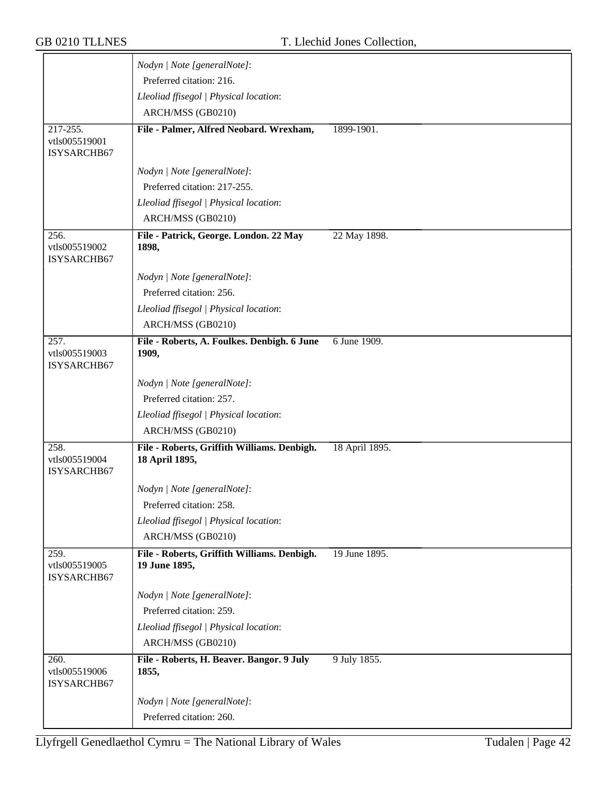|                                      | Nodyn   Note [generalNote]:                                   |                |
|--------------------------------------|---------------------------------------------------------------|----------------|
|                                      | Preferred citation: 216.                                      |                |
|                                      | Lleoliad ffisegol   Physical location:                        |                |
|                                      | ARCH/MSS (GB0210)                                             |                |
| 217-255.                             | File - Palmer, Alfred Neobard. Wrexham,                       | 1899-1901.     |
| vtls005519001                        |                                                               |                |
| ISYSARCHB67                          |                                                               |                |
|                                      | Nodyn   Note [generalNote]:                                   |                |
|                                      | Preferred citation: 217-255.                                  |                |
|                                      | Lleoliad ffisegol   Physical location:                        |                |
|                                      | ARCH/MSS (GB0210)                                             |                |
| 256.<br>vtls005519002<br>ISYSARCHB67 | File - Patrick, George. London. 22 May<br>1898,               | 22 May 1898.   |
|                                      | Nodyn   Note [generalNote]:                                   |                |
|                                      | Preferred citation: 256.                                      |                |
|                                      | Lleoliad ffisegol   Physical location:                        |                |
|                                      | ARCH/MSS (GB0210)                                             |                |
| 257.<br>vtls005519003<br>ISYSARCHB67 | File - Roberts, A. Foulkes. Denbigh. 6 June<br>1909,          | 6 June 1909.   |
|                                      | Nodyn   Note [generalNote]:                                   |                |
|                                      | Preferred citation: 257.                                      |                |
|                                      | Lleoliad ffisegol   Physical location:                        |                |
|                                      | ARCH/MSS (GB0210)                                             |                |
| 258.<br>vtls005519004<br>ISYSARCHB67 | File - Roberts, Griffith Williams. Denbigh.<br>18 April 1895, | 18 April 1895. |
|                                      | Nodyn   Note [generalNote]:                                   |                |
|                                      | Preferred citation: 258.                                      |                |
|                                      | Lleoliad ffisegol   Physical location:                        |                |
|                                      | ARCH/MSS (GB0210)                                             |                |
| 259.<br>vtls005519005<br>ISYSARCHB67 | File - Roberts, Griffith Williams. Denbigh.<br>19 June 1895,  | 19 June 1895.  |
|                                      | Nodyn   Note [generalNote]:                                   |                |
|                                      | Preferred citation: 259.                                      |                |
|                                      | Lleoliad ffisegol   Physical location:                        |                |
|                                      | ARCH/MSS (GB0210)                                             |                |
| 260.<br>vtls005519006<br>ISYSARCHB67 | File - Roberts, H. Beaver. Bangor. 9 July<br>1855,            | 9 July 1855.   |
|                                      | Nodyn   Note [generalNote]:                                   |                |
|                                      | Preferred citation: 260.                                      |                |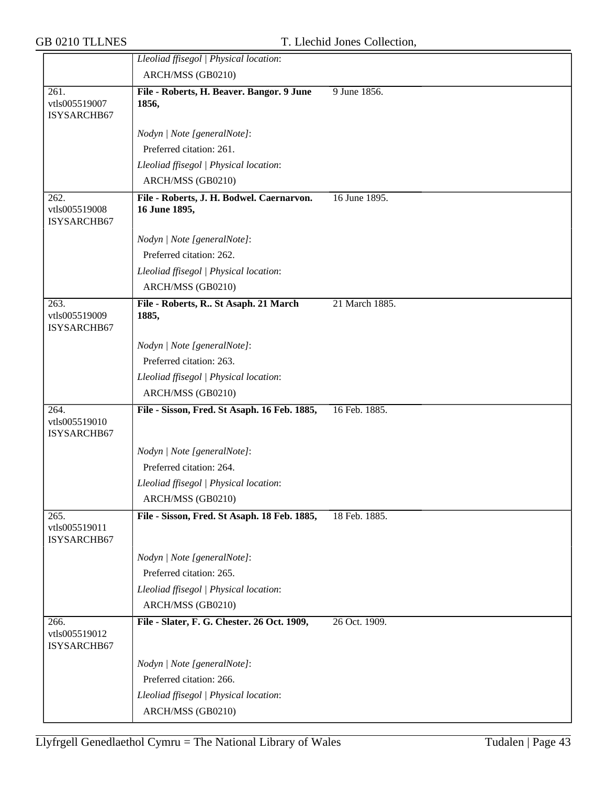|                                                    | Lleoliad ffisegol   Physical location:                     |                |
|----------------------------------------------------|------------------------------------------------------------|----------------|
|                                                    | ARCH/MSS (GB0210)                                          |                |
| 261.<br>vtls005519007<br>ISYSARCHB67               | File - Roberts, H. Beaver. Bangor. 9 June<br>1856,         | 9 June 1856.   |
|                                                    | Nodyn   Note [generalNote]:                                |                |
|                                                    | Preferred citation: 261.                                   |                |
|                                                    | Lleoliad ffisegol   Physical location:                     |                |
|                                                    | ARCH/MSS (GB0210)                                          |                |
| $\overline{262}$ .<br>vtls005519008<br>ISYSARCHB67 | File - Roberts, J. H. Bodwel. Caernarvon.<br>16 June 1895, | 16 June 1895.  |
|                                                    | Nodyn   Note [generalNote]:                                |                |
|                                                    | Preferred citation: 262.                                   |                |
|                                                    | Lleoliad ffisegol   Physical location:                     |                |
|                                                    | ARCH/MSS (GB0210)                                          |                |
| 263.<br>vtls005519009<br>ISYSARCHB67               | File - Roberts, R St Asaph. 21 March<br>1885,              | 21 March 1885. |
|                                                    | Nodyn   Note [generalNote]:                                |                |
|                                                    | Preferred citation: 263.                                   |                |
|                                                    | Lleoliad ffisegol   Physical location:                     |                |
|                                                    | ARCH/MSS (GB0210)                                          |                |
| 264.<br>vtls005519010<br>ISYSARCHB67               | File - Sisson, Fred. St Asaph. 16 Feb. 1885,               | 16 Feb. 1885.  |
|                                                    | Nodyn   Note [generalNote]:                                |                |
|                                                    | Preferred citation: 264.                                   |                |
|                                                    | Lleoliad ffisegol   Physical location:                     |                |
|                                                    | ARCH/MSS (GB0210)                                          |                |
| 265.<br>vtls005519011<br>ISYSARCHB67               | File - Sisson, Fred. St Asaph. 18 Feb. 1885,               | 18 Feb. 1885.  |
|                                                    | Nodyn   Note [generalNote]:                                |                |
|                                                    | Preferred citation: 265.                                   |                |
|                                                    | Lleoliad ffisegol   Physical location:                     |                |
|                                                    | ARCH/MSS (GB0210)                                          |                |
| 266.<br>vtls005519012<br>ISYSARCHB67               | File - Slater, F. G. Chester. 26 Oct. 1909,                | 26 Oct. 1909.  |
|                                                    | Nodyn   Note [generalNote]:                                |                |
|                                                    | Preferred citation: 266.                                   |                |
|                                                    | Lleoliad ffisegol   Physical location:                     |                |
|                                                    | ARCH/MSS (GB0210)                                          |                |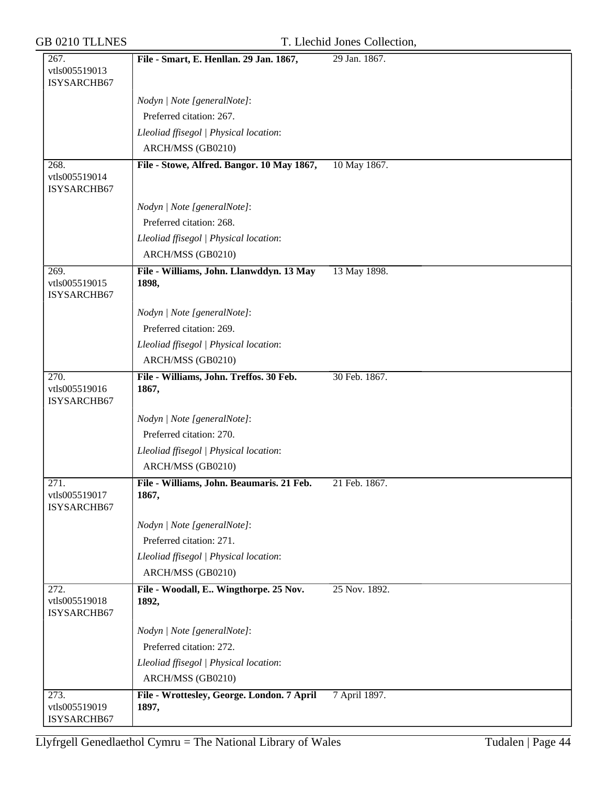| <b>GB 0210 TLLNES</b>                              | T. Llechid Jones Collection,                        |               |  |
|----------------------------------------------------|-----------------------------------------------------|---------------|--|
| 267.<br>vtls005519013<br>ISYSARCHB67               | File - Smart, E. Henllan. 29 Jan. 1867,             | 29 Jan. 1867. |  |
|                                                    | Nodyn   Note [generalNote]:                         |               |  |
|                                                    | Preferred citation: 267.                            |               |  |
|                                                    | Lleoliad ffisegol   Physical location:              |               |  |
|                                                    | ARCH/MSS (GB0210)                                   |               |  |
| 268.<br>vtls005519014<br>ISYSARCHB67               | File - Stowe, Alfred. Bangor. 10 May 1867,          | 10 May 1867.  |  |
|                                                    | Nodyn   Note [generalNote]:                         |               |  |
|                                                    | Preferred citation: 268.                            |               |  |
|                                                    | Lleoliad ffisegol   Physical location:              |               |  |
|                                                    | ARCH/MSS (GB0210)                                   |               |  |
| 269.<br>vtls005519015<br>ISYSARCHB67               | File - Williams, John. Llanwddyn. 13 May<br>1898,   | 13 May 1898.  |  |
|                                                    | Nodyn   Note [generalNote]:                         |               |  |
|                                                    | Preferred citation: 269.                            |               |  |
|                                                    | Lleoliad ffisegol   Physical location:              |               |  |
|                                                    | ARCH/MSS (GB0210)                                   |               |  |
| 270.<br>vtls005519016<br>ISYSARCHB67               | File - Williams, John. Treffos. 30 Feb.<br>1867,    | 30 Feb. 1867. |  |
|                                                    | Nodyn   Note [generalNote]:                         |               |  |
|                                                    | Preferred citation: 270.                            |               |  |
|                                                    | Lleoliad ffisegol   Physical location:              |               |  |
|                                                    | ARCH/MSS (GB0210)                                   |               |  |
| $\overline{271}$ .<br>vtls005519017<br>ISYSARCHB67 | File - Williams, John. Beaumaris. 21 Feb.<br>1867,  | 21 Feb. 1867. |  |
|                                                    | Nodyn   Note [generalNote]:                         |               |  |
|                                                    | Preferred citation: 271.                            |               |  |
|                                                    | Lleoliad ffisegol   Physical location:              |               |  |
|                                                    | ARCH/MSS (GB0210)                                   |               |  |
| 272.<br>vtls005519018<br>ISYSARCHB67               | File - Woodall, E., Wingthorpe. 25 Nov.<br>1892,    | 25 Nov. 1892. |  |
|                                                    | Nodyn   Note [generalNote]:                         |               |  |
|                                                    | Preferred citation: 272.                            |               |  |
|                                                    | Lleoliad ffisegol   Physical location:              |               |  |
|                                                    | ARCH/MSS (GB0210)                                   |               |  |
| 273.<br>vtls005519019<br>ISYSARCHB67               | File - Wrottesley, George. London. 7 April<br>1897, | 7 April 1897. |  |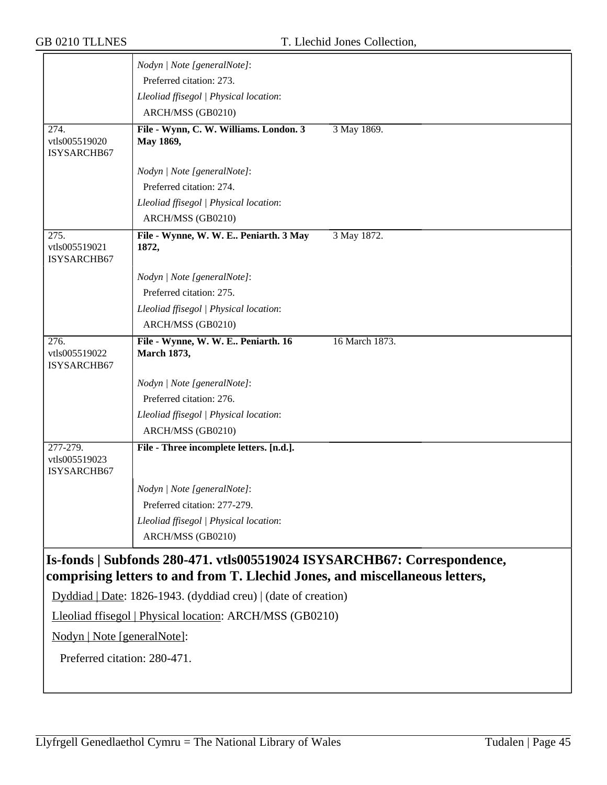|                                          | Nodyn   Note [generalNote]:                                                 |                |
|------------------------------------------|-----------------------------------------------------------------------------|----------------|
|                                          | Preferred citation: 273.                                                    |                |
|                                          | Lleoliad ffisegol   Physical location:                                      |                |
|                                          | ARCH/MSS (GB0210)                                                           |                |
| 274.<br>vtls005519020<br>ISYSARCHB67     | File - Wynn, C. W. Williams. London. 3<br>May 1869,                         | 3 May 1869.    |
|                                          | Nodyn   Note [generalNote]:                                                 |                |
|                                          | Preferred citation: 274.                                                    |                |
|                                          | Lleoliad ffisegol   Physical location:                                      |                |
|                                          | ARCH/MSS (GB0210)                                                           |                |
| 275.<br>vtls005519021<br>ISYSARCHB67     | File - Wynne, W. W. E Peniarth. 3 May<br>1872,                              | 3 May 1872.    |
|                                          | Nodyn   Note [generalNote]:                                                 |                |
|                                          | Preferred citation: 275.                                                    |                |
|                                          | Lleoliad ffisegol   Physical location:                                      |                |
|                                          | ARCH/MSS (GB0210)                                                           |                |
| 276.<br>vtls005519022<br>ISYSARCHB67     | File - Wynne, W. W. E Peniarth. 16<br><b>March 1873,</b>                    | 16 March 1873. |
|                                          | Nodyn   Note [generalNote]:                                                 |                |
|                                          | Preferred citation: 276.                                                    |                |
|                                          | Lleoliad ffisegol   Physical location:                                      |                |
|                                          | ARCH/MSS (GB0210)                                                           |                |
| 277-279.<br>vtls005519023<br>ISYSARCHB67 | File - Three incomplete letters. [n.d.].                                    |                |
|                                          | Nodyn   Note [generalNote]:                                                 |                |
|                                          | Preferred citation: 277-279.                                                |                |
|                                          | Lleoliad ffisegol   Physical location:                                      |                |
|                                          | ARCH/MSS (GB0210)                                                           |                |
|                                          | Is-fonds   Subfonds 280-471. vtls005519024 ISYSARCHB67: Correspondence,     |                |
|                                          | comprising letters to and from T. Llechid Jones, and miscellaneous letters, |                |
|                                          | Dyddiad   Date: 1826-1943. (dyddiad creu)   (date of creation)              |                |
|                                          | Lleoliad ffisegol   Physical location: ARCH/MSS (GB0210)                    |                |
| Nodyn   Note [generalNote]:              |                                                                             |                |
| Preferred citation: 280-471.             |                                                                             |                |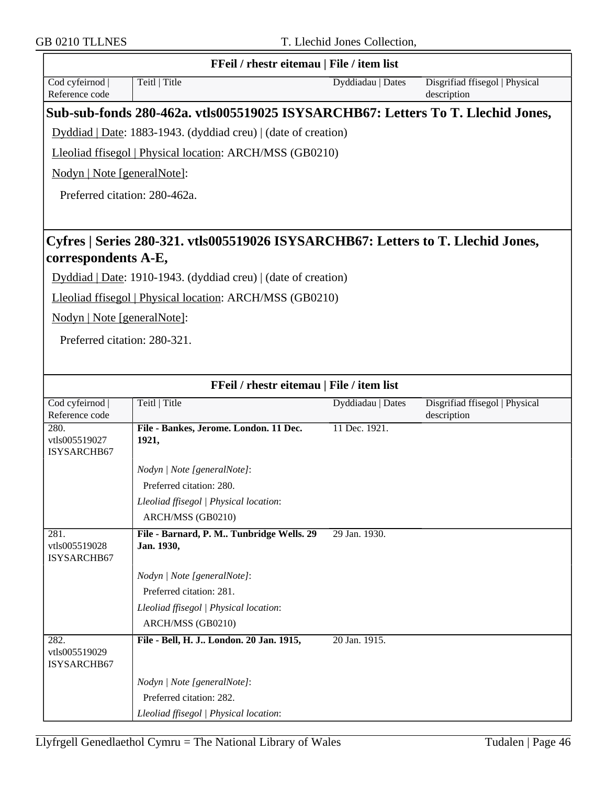|                                      | FFeil / rhestr eitemau   File / item list                                        |                   |                                               |
|--------------------------------------|----------------------------------------------------------------------------------|-------------------|-----------------------------------------------|
| Cod cyfeirnod<br>Reference code      | Teitl   Title                                                                    | Dyddiadau   Dates | Disgrifiad ffisegol   Physical<br>description |
|                                      | Sub-sub-fonds 280-462a. vtls005519025 ISYSARCHB67: Letters To T. Llechid Jones,  |                   |                                               |
|                                      | Dyddiad   Date: 1883-1943. (dyddiad creu)   (date of creation)                   |                   |                                               |
|                                      | Lleoliad ffisegol   Physical location: ARCH/MSS (GB0210)                         |                   |                                               |
| Nodyn   Note [generalNote]:          |                                                                                  |                   |                                               |
|                                      | Preferred citation: 280-462a.                                                    |                   |                                               |
|                                      |                                                                                  |                   |                                               |
|                                      |                                                                                  |                   |                                               |
|                                      | Cyfres   Series 280-321. vtls005519026 ISYSARCHB67: Letters to T. Llechid Jones, |                   |                                               |
| correspondents A-E,                  |                                                                                  |                   |                                               |
|                                      | Dyddiad   Date: 1910-1943. (dyddiad creu)   (date of creation)                   |                   |                                               |
|                                      | Lleoliad ffisegol   Physical location: ARCH/MSS (GB0210)                         |                   |                                               |
| Nodyn   Note [generalNote]:          |                                                                                  |                   |                                               |
| Preferred citation: 280-321.         |                                                                                  |                   |                                               |
|                                      |                                                                                  |                   |                                               |
|                                      |                                                                                  |                   |                                               |
|                                      | FFeil / rhestr eitemau   File / item list                                        |                   |                                               |
| Cod cyfeirnod<br>Reference code      | Teitl   Title                                                                    | Dyddiadau   Dates | Disgrifiad ffisegol   Physical<br>description |
| 280.<br>vtls005519027<br>ISYSARCHB67 | File - Bankes, Jerome. London. 11 Dec.<br>1921,                                  | 11 Dec. 1921.     |                                               |
|                                      | Nodyn   Note [generalNote]:                                                      |                   |                                               |
|                                      | Preferred citation: 280.                                                         |                   |                                               |
|                                      | Lleoliad ffisegol   Physical location:                                           |                   |                                               |
|                                      | ARCH/MSS (GB0210)                                                                |                   |                                               |
| 281.<br>vtls005519028<br>ISYSARCHB67 | File - Barnard, P. M Tunbridge Wells. 29<br>Jan. 1930,                           | 29 Jan. 1930.     |                                               |
|                                      | Nodyn   Note [generalNote]:                                                      |                   |                                               |
|                                      | Preferred citation: 281.                                                         |                   |                                               |
|                                      | Lleoliad ffisegol   Physical location:                                           |                   |                                               |
|                                      | ARCH/MSS (GB0210)                                                                |                   |                                               |
| 282.<br>vtls005519029<br>ISYSARCHB67 | File - Bell, H. J London. 20 Jan. 1915,                                          | 20 Jan. 1915.     |                                               |
|                                      | Nodyn   Note [generalNote]:                                                      |                   |                                               |
|                                      | Preferred citation: 282.                                                         |                   |                                               |
|                                      | Lleoliad ffisegol   Physical location:                                           |                   |                                               |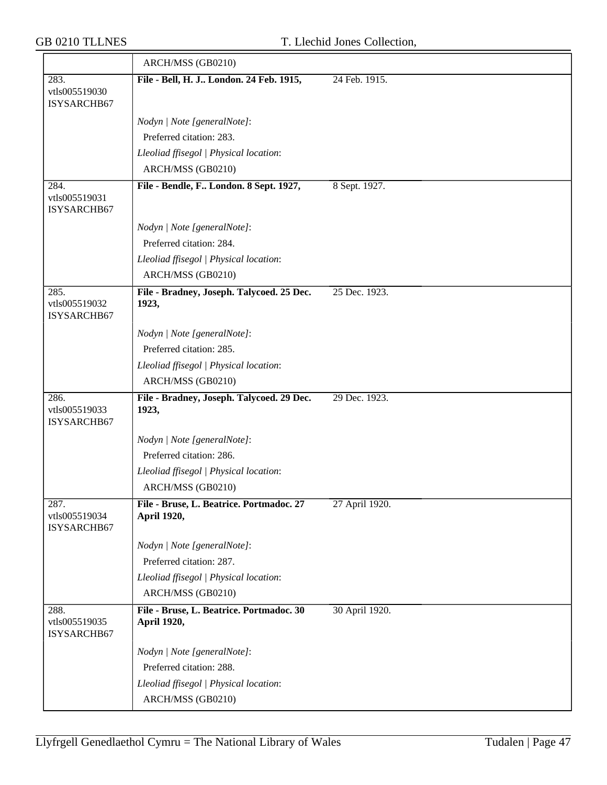|                                      | ARCH/MSS (GB0210)                                       |                |
|--------------------------------------|---------------------------------------------------------|----------------|
| 283.<br>vtls005519030<br>ISYSARCHB67 | File - Bell, H. J London. 24 Feb. 1915,                 | 24 Feb. 1915.  |
|                                      | Nodyn   Note [generalNote]:                             |                |
|                                      | Preferred citation: 283.                                |                |
|                                      | Lleoliad ffisegol   Physical location:                  |                |
|                                      | ARCH/MSS (GB0210)                                       |                |
| 284.<br>vtls005519031<br>ISYSARCHB67 | File - Bendle, F London. 8 Sept. 1927,                  | 8 Sept. 1927.  |
|                                      | Nodyn   Note [generalNote]:                             |                |
|                                      | Preferred citation: 284.                                |                |
|                                      | Lleoliad ffisegol   Physical location:                  |                |
|                                      | ARCH/MSS (GB0210)                                       |                |
| 285.<br>vtls005519032<br>ISYSARCHB67 | File - Bradney, Joseph. Talycoed. 25 Dec.<br>1923,      | 25 Dec. 1923.  |
|                                      | Nodyn   Note [generalNote]:                             |                |
|                                      | Preferred citation: 285.                                |                |
|                                      | Lleoliad ffisegol   Physical location:                  |                |
|                                      | ARCH/MSS (GB0210)                                       |                |
| 286.<br>vtls005519033<br>ISYSARCHB67 | File - Bradney, Joseph. Talycoed. 29 Dec.<br>1923,      | 29 Dec. 1923.  |
|                                      | Nodyn   Note [generalNote]:                             |                |
|                                      | Preferred citation: 286.                                |                |
|                                      | Lleoliad ffisegol   Physical location:                  |                |
|                                      | ARCH/MSS (GB0210)                                       |                |
| 287.<br>vtls005519034<br>ISYSARCHB67 | File - Bruse, L. Beatrice. Portmadoc. 27<br>April 1920, | 27 April 1920. |
|                                      | Nodyn   Note [generalNote]:                             |                |
|                                      | Preferred citation: 287.                                |                |
|                                      | Lleoliad ffisegol   Physical location:                  |                |
|                                      | ARCH/MSS (GB0210)                                       |                |
| 288.<br>vtls005519035<br>ISYSARCHB67 | File - Bruse, L. Beatrice. Portmadoc. 30<br>April 1920, | 30 April 1920. |
|                                      | Nodyn   Note [generalNote]:                             |                |
|                                      | Preferred citation: 288.                                |                |
|                                      | Lleoliad ffisegol   Physical location:                  |                |
|                                      | ARCH/MSS (GB0210)                                       |                |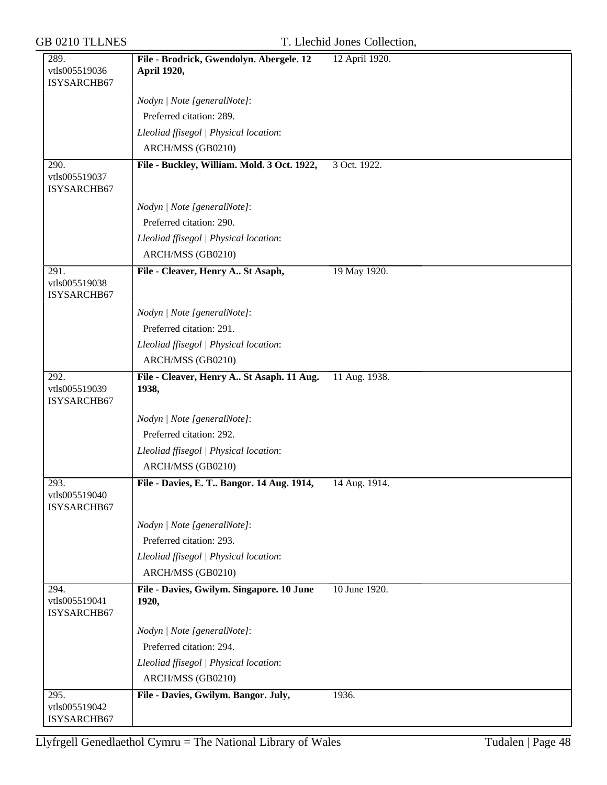| 289.                         | File - Brodrick, Gwendolyn. Abergele. 12    | 12 April 1920. |
|------------------------------|---------------------------------------------|----------------|
| vtls005519036                | April 1920,                                 |                |
| ISYSARCHB67                  |                                             |                |
|                              | Nodyn   Note [generalNote]:                 |                |
|                              | Preferred citation: 289.                    |                |
|                              | Lleoliad ffisegol   Physical location:      |                |
|                              | ARCH/MSS (GB0210)                           |                |
| 290.<br>vtls005519037        | File - Buckley, William. Mold. 3 Oct. 1922, | 3 Oct. 1922.   |
| ISYSARCHB67                  |                                             |                |
|                              | Nodyn   Note [generalNote]:                 |                |
|                              | Preferred citation: 290.                    |                |
|                              | Lleoliad ffisegol   Physical location:      |                |
|                              | ARCH/MSS (GB0210)                           |                |
| 291.                         | File - Cleaver, Henry A St Asaph,           | 19 May 1920.   |
| vtls005519038                |                                             |                |
| ISYSARCHB67                  |                                             |                |
|                              | Nodyn   Note [generalNote]:                 |                |
|                              | Preferred citation: 291.                    |                |
|                              | Lleoliad ffisegol   Physical location:      |                |
|                              | ARCH/MSS (GB0210)                           |                |
| 292.                         | File - Cleaver, Henry A St Asaph. 11 Aug.   | 11 Aug. 1938.  |
| vtls005519039<br>ISYSARCHB67 | 1938,                                       |                |
|                              | Nodyn   Note [generalNote]:                 |                |
|                              | Preferred citation: 292.                    |                |
|                              | Lleoliad ffisegol   Physical location:      |                |
|                              | ARCH/MSS (GB0210)                           |                |
| 293.                         | File - Davies, E. T Bangor. 14 Aug. 1914,   | 14 Aug. 1914.  |
| vtls005519040                |                                             |                |
| ISYSARCHB67                  |                                             |                |
|                              | Nodyn   Note [generalNote]:                 |                |
|                              | Preferred citation: 293.                    |                |
|                              | Lleoliad ffisegol   Physical location:      |                |
|                              | ARCH/MSS (GB0210)                           |                |
| 294.                         | File - Davies, Gwilym. Singapore. 10 June   | 10 June 1920.  |
| vtls005519041<br>ISYSARCHB67 | 1920,                                       |                |
|                              |                                             |                |
|                              | Nodyn   Note [generalNote]:                 |                |
|                              | Preferred citation: 294.                    |                |
|                              | Lleoliad ffisegol   Physical location:      |                |
|                              | ARCH/MSS (GB0210)                           |                |
| 295.<br>vtls005519042        | File - Davies, Gwilym. Bangor. July,        | 1936.          |
| ISYSARCHB67                  |                                             |                |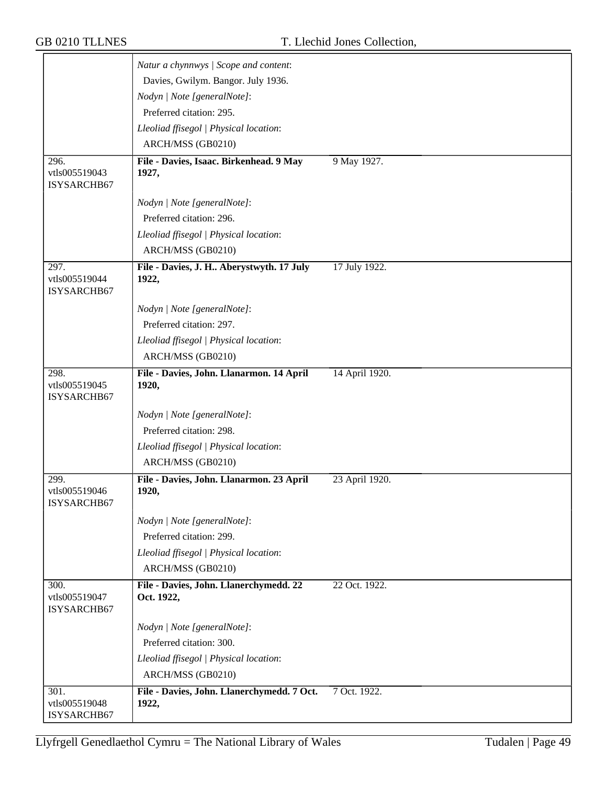|                                      | Natur a chynnwys / Scope and content:                |                |
|--------------------------------------|------------------------------------------------------|----------------|
|                                      | Davies, Gwilym. Bangor. July 1936.                   |                |
|                                      | Nodyn   Note [generalNote]:                          |                |
|                                      | Preferred citation: 295.                             |                |
|                                      | Lleoliad ffisegol   Physical location:               |                |
|                                      | ARCH/MSS (GB0210)                                    |                |
| 296.                                 | File - Davies, Isaac. Birkenhead. 9 May              | 9 May 1927.    |
| vtls005519043<br>ISYSARCHB67         | 1927,                                                |                |
|                                      | Nodyn   Note [generalNote]:                          |                |
|                                      | Preferred citation: 296.                             |                |
|                                      | Lleoliad ffisegol   Physical location:               |                |
|                                      | ARCH/MSS (GB0210)                                    |                |
| 297.<br>vtls005519044<br>ISYSARCHB67 | File - Davies, J. H Aberystwyth. 17 July<br>1922,    | 17 July 1922.  |
|                                      | Nodyn   Note [generalNote]:                          |                |
|                                      | Preferred citation: 297.                             |                |
|                                      | Lleoliad ffisegol   Physical location:               |                |
|                                      | ARCH/MSS (GB0210)                                    |                |
| 298.<br>vtls005519045<br>ISYSARCHB67 | File - Davies, John. Llanarmon. 14 April<br>1920,    | 14 April 1920. |
|                                      | Nodyn   Note [generalNote]:                          |                |
|                                      | Preferred citation: 298.                             |                |
|                                      | Lleoliad ffisegol   Physical location:               |                |
|                                      | ARCH/MSS (GB0210)                                    |                |
| 299.<br>vtls005519046<br>ISYSARCHB67 | File - Davies, John. Llanarmon. 23 April<br>1920,    | 23 April 1920. |
|                                      | Nodyn   Note [generalNote]:                          |                |
|                                      | Preferred citation: 299.                             |                |
|                                      | Lleoliad ffisegol   Physical location:               |                |
|                                      | ARCH/MSS (GB0210)                                    |                |
| 300.<br>vtls005519047<br>ISYSARCHB67 | File - Davies, John. Llanerchymedd. 22<br>Oct. 1922, | 22 Oct. 1922.  |
|                                      | Nodyn   Note [generalNote]:                          |                |
|                                      | Preferred citation: 300.                             |                |
|                                      | Lleoliad ffisegol   Physical location:               |                |
|                                      | ARCH/MSS (GB0210)                                    |                |
| 301.<br>vtls005519048<br>ISYSARCHB67 | File - Davies, John. Llanerchymedd. 7 Oct.<br>1922,  | 7 Oct. 1922.   |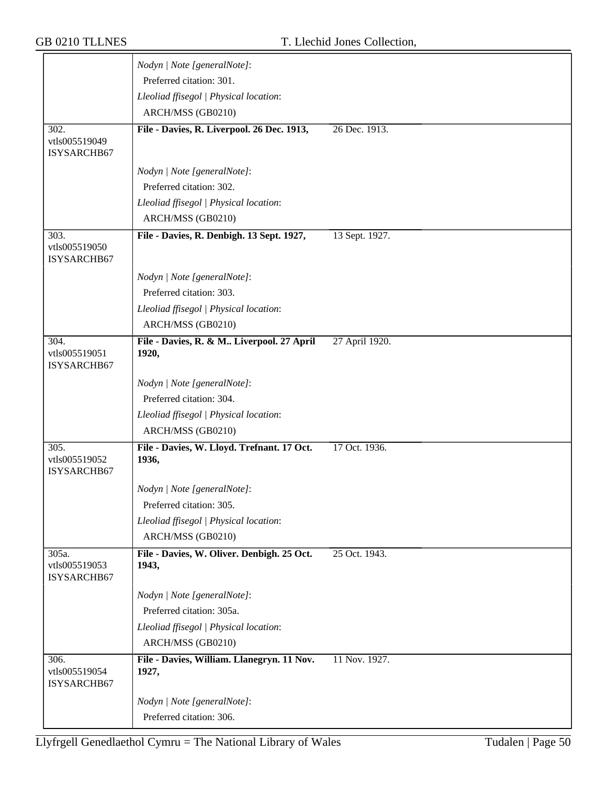|                                      | Nodyn   Note [generalNote]:                         |                |
|--------------------------------------|-----------------------------------------------------|----------------|
|                                      | Preferred citation: 301.                            |                |
|                                      | Lleoliad ffisegol   Physical location:              |                |
|                                      | ARCH/MSS (GB0210)                                   |                |
| 302.                                 | File - Davies, R. Liverpool. 26 Dec. 1913,          | 26 Dec. 1913.  |
| vtls005519049                        |                                                     |                |
| ISYSARCHB67                          |                                                     |                |
|                                      | Nodyn   Note [generalNote]:                         |                |
|                                      | Preferred citation: 302.                            |                |
|                                      | Lleoliad ffisegol   Physical location:              |                |
|                                      | ARCH/MSS (GB0210)                                   |                |
| 303.                                 | File - Davies, R. Denbigh. 13 Sept. 1927,           | 13 Sept. 1927. |
| vtls005519050<br>ISYSARCHB67         |                                                     |                |
|                                      |                                                     |                |
|                                      | Nodyn   Note [generalNote]:                         |                |
|                                      | Preferred citation: 303.                            |                |
|                                      | Lleoliad ffisegol   Physical location:              |                |
|                                      | ARCH/MSS (GB0210)                                   |                |
| 304.<br>vtls005519051<br>ISYSARCHB67 | File - Davies, R. & M Liverpool. 27 April<br>1920,  | 27 April 1920. |
|                                      | Nodyn   Note [generalNote]:                         |                |
|                                      | Preferred citation: 304.                            |                |
|                                      | Lleoliad ffisegol   Physical location:              |                |
|                                      | ARCH/MSS (GB0210)                                   |                |
| 305.<br>vtls005519052<br>ISYSARCHB67 | File - Davies, W. Lloyd. Trefnant. 17 Oct.<br>1936, | 17 Oct. 1936.  |
|                                      | Nodyn   Note [generalNote]:                         |                |
|                                      | Preferred citation: 305.                            |                |
|                                      | Lleoliad ffisegol   Physical location:              |                |
|                                      | ARCH/MSS (GB0210)                                   |                |
| 305a.                                | File - Davies, W. Oliver. Denbigh. 25 Oct.          | 25 Oct. 1943.  |
| vtls005519053<br>ISYSARCHB67         | 1943,                                               |                |
|                                      | Nodyn   Note [generalNote]:                         |                |
|                                      | Preferred citation: 305a.                           |                |
|                                      | Lleoliad ffisegol   Physical location:              |                |
|                                      | ARCH/MSS (GB0210)                                   |                |
| 306.<br>vtls005519054<br>ISYSARCHB67 | File - Davies, William. Llanegryn. 11 Nov.<br>1927, | 11 Nov. 1927.  |
|                                      | Nodyn   Note [generalNote]:                         |                |
|                                      | Preferred citation: 306.                            |                |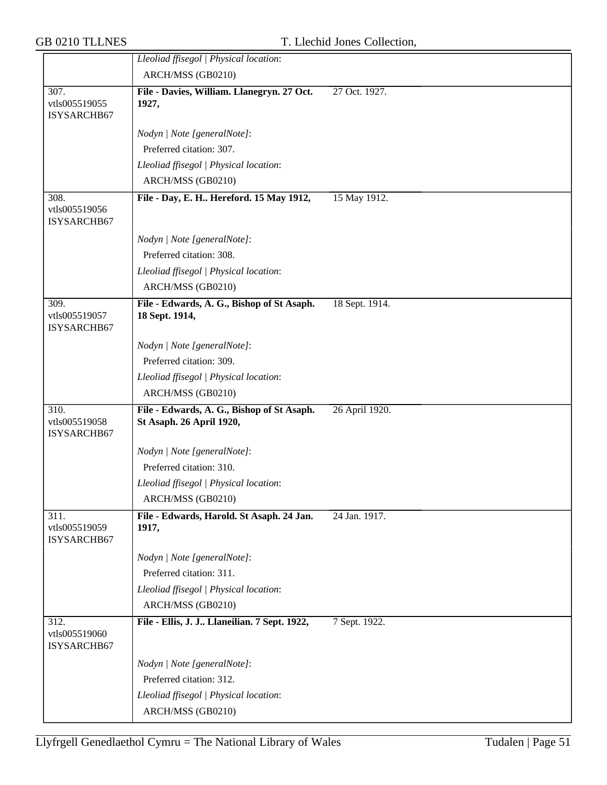|                                      | Lleoliad ffisegol   Physical location:                                 |                |
|--------------------------------------|------------------------------------------------------------------------|----------------|
|                                      | ARCH/MSS (GB0210)                                                      |                |
| 307.<br>vtls005519055                | File - Davies, William. Llanegryn. 27 Oct.<br>1927,                    | 27 Oct. 1927.  |
| ISYSARCHB67                          |                                                                        |                |
|                                      | Nodyn   Note [generalNote]:                                            |                |
|                                      | Preferred citation: 307.                                               |                |
|                                      | Lleoliad ffisegol   Physical location:                                 |                |
|                                      | ARCH/MSS (GB0210)                                                      |                |
| 308.<br>vtls005519056<br>ISYSARCHB67 | File - Day, E. H Hereford. 15 May 1912,                                | 15 May 1912.   |
|                                      | Nodyn   Note [generalNote]:                                            |                |
|                                      | Preferred citation: 308.                                               |                |
|                                      | Lleoliad ffisegol   Physical location:                                 |                |
|                                      | ARCH/MSS (GB0210)                                                      |                |
| 309.<br>vtls005519057<br>ISYSARCHB67 | File - Edwards, A. G., Bishop of St Asaph.<br>18 Sept. 1914,           | 18 Sept. 1914. |
|                                      | Nodyn   Note [generalNote]:                                            |                |
|                                      | Preferred citation: 309.                                               |                |
|                                      | Lleoliad ffisegol   Physical location:                                 |                |
|                                      | ARCH/MSS (GB0210)                                                      |                |
| 310.<br>vtls005519058<br>ISYSARCHB67 | File - Edwards, A. G., Bishop of St Asaph.<br>St Asaph. 26 April 1920, | 26 April 1920. |
|                                      | Nodyn   Note [generalNote]:                                            |                |
|                                      | Preferred citation: 310.                                               |                |
|                                      | Lleoliad ffisegol   Physical location:                                 |                |
|                                      | ARCH/MSS (GB0210)                                                      |                |
| 311.<br>vtls005519059<br>ISYSARCHB67 | File - Edwards, Harold. St Asaph. 24 Jan.<br>1917,                     | 24 Jan. 1917.  |
|                                      | Nodyn   Note [generalNote]:                                            |                |
|                                      | Preferred citation: 311.                                               |                |
|                                      | Lleoliad ffisegol   Physical location:                                 |                |
|                                      | ARCH/MSS (GB0210)                                                      |                |
| 312.<br>vtls005519060<br>ISYSARCHB67 | File - Ellis, J. J Llaneilian. 7 Sept. 1922,                           | 7 Sept. 1922.  |
|                                      | Nodyn   Note [generalNote]:                                            |                |
|                                      | Preferred citation: 312.                                               |                |
|                                      | Lleoliad ffisegol   Physical location:                                 |                |
|                                      |                                                                        |                |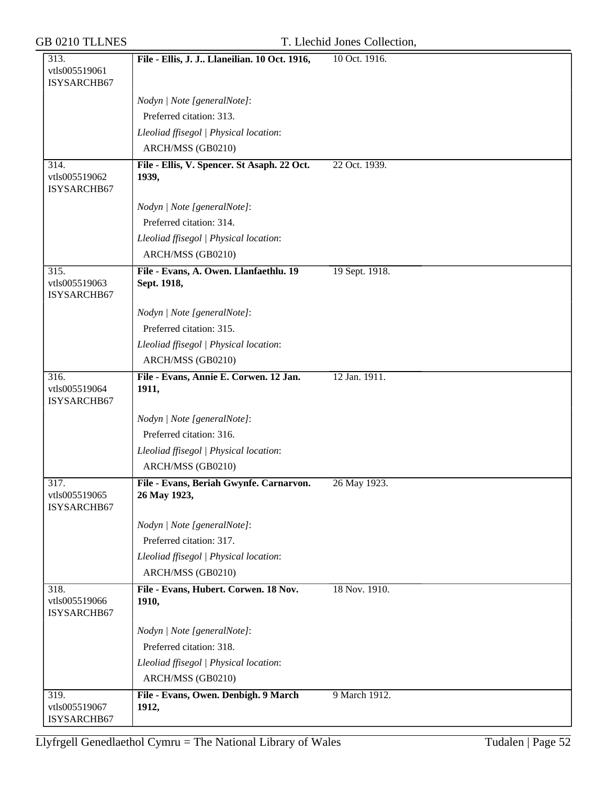|  |  | GB 0210 TLLNES |
|--|--|----------------|
|--|--|----------------|

| 313.                                 | File - Ellis, J. J Llaneilian. 10 Oct. 1916,         | 10 Oct. 1916.  |
|--------------------------------------|------------------------------------------------------|----------------|
| vtls005519061                        |                                                      |                |
| ISYSARCHB67                          |                                                      |                |
|                                      | Nodyn   Note [generalNote]:                          |                |
|                                      | Preferred citation: 313.                             |                |
|                                      | Lleoliad ffisegol   Physical location:               |                |
|                                      | ARCH/MSS (GB0210)                                    |                |
| 314.<br>vtls005519062<br>ISYSARCHB67 | File - Ellis, V. Spencer. St Asaph. 22 Oct.<br>1939, | 22 Oct. 1939.  |
|                                      | Nodyn   Note [generalNote]:                          |                |
|                                      | Preferred citation: 314.                             |                |
|                                      | Lleoliad ffisegol   Physical location:               |                |
|                                      | ARCH/MSS (GB0210)                                    |                |
| 315.                                 | File - Evans, A. Owen. Llanfaethlu. 19               | 19 Sept. 1918. |
| vtls005519063<br>ISYSARCHB67         | Sept. 1918,                                          |                |
|                                      | Nodyn   Note [generalNote]:                          |                |
|                                      | Preferred citation: 315.                             |                |
|                                      | Lleoliad ffisegol   Physical location:               |                |
|                                      | ARCH/MSS (GB0210)                                    |                |
| 316.<br>vtls005519064<br>ISYSARCHB67 | File - Evans, Annie E. Corwen. 12 Jan.<br>1911,      | 12 Jan. 1911.  |
|                                      | Nodyn   Note [generalNote]:                          |                |
|                                      | Preferred citation: 316.                             |                |
|                                      | Lleoliad ffisegol   Physical location:               |                |
|                                      | ARCH/MSS (GB0210)                                    |                |
| 317.                                 | File - Evans, Beriah Gwynfe. Carnarvon.              | 26 May 1923.   |
| vtls005519065<br>ISYSARCHB67         | 26 May 1923,                                         |                |
|                                      | Nodyn   Note [generalNote]:                          |                |
|                                      | Preferred citation: 317.                             |                |
|                                      | Lleoliad ffisegol   Physical location:               |                |
|                                      | ARCH/MSS (GB0210)                                    |                |
| 318.<br>vtls005519066<br>ISYSARCHB67 | File - Evans, Hubert. Corwen. 18 Nov.<br>1910,       | 18 Nov. 1910.  |
|                                      | Nodyn   Note [generalNote]:                          |                |
|                                      | Preferred citation: 318.                             |                |
|                                      | Lleoliad ffisegol   Physical location:               |                |
|                                      | ARCH/MSS (GB0210)                                    |                |
| 319.<br>vtls005519067<br>ISYSARCHB67 | File - Evans, Owen. Denbigh. 9 March<br>1912,        | 9 March 1912.  |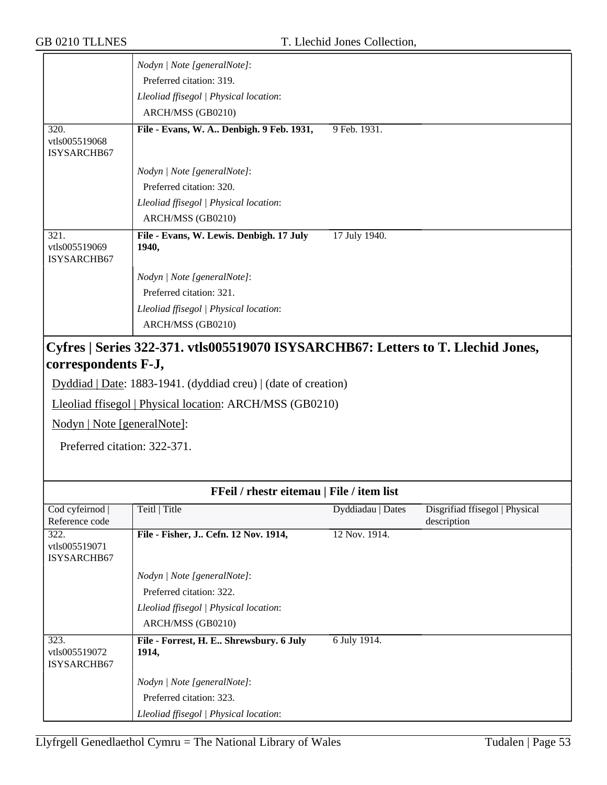|                                             | Nodyn   Note [generalNote]:<br>Preferred citation: 319.<br>Lleoliad ffisegol   Physical location:<br>ARCH/MSS (GB0210) |                                                                                  |
|---------------------------------------------|------------------------------------------------------------------------------------------------------------------------|----------------------------------------------------------------------------------|
| 320.<br>vtls005519068<br><b>ISYSARCHB67</b> | File - Evans, W. A Denbigh. 9 Feb. 1931,                                                                               | 9 Feb. 1931.                                                                     |
|                                             | Nodyn   Note [generalNote]:                                                                                            |                                                                                  |
|                                             | Preferred citation: 320.                                                                                               |                                                                                  |
|                                             | Lleoliad ffisegol   Physical location:                                                                                 |                                                                                  |
|                                             | ARCH/MSS (GB0210)                                                                                                      |                                                                                  |
| 321.<br>vtls005519069<br>ISYSARCHB67        | File - Evans, W. Lewis. Denbigh. 17 July<br>1940,                                                                      | 17 July 1940.                                                                    |
|                                             | Nodyn   Note [generalNote]:                                                                                            |                                                                                  |
|                                             | Preferred citation: 321.                                                                                               |                                                                                  |
|                                             | Lleoliad ffisegol   Physical location:<br>ARCH/MSS (GB0210)                                                            |                                                                                  |
|                                             |                                                                                                                        | Cyfres   Series 322-371. vtls005519070 ISYSARCHB67: Letters to T. Llechid Jones, |

## **correspondents F-J,**

Dyddiad | Date: 1883-1941. (dyddiad creu) | (date of creation)

Lleoliad ffisegol | Physical location: ARCH/MSS (GB0210)

Nodyn | Note [generalNote]:

Preferred citation: 322-371.

| FFeil / rhestr eitemau   File / item list |                                         |                   |                                |
|-------------------------------------------|-----------------------------------------|-------------------|--------------------------------|
| Cod cyfeirnod                             | Teitl   Title                           | Dyddiadau   Dates | Disgrifiad ffisegol   Physical |
| Reference code                            |                                         |                   | description                    |
| 322.                                      | File - Fisher, J Cefn. 12 Nov. 1914,    | 12 Nov. 1914.     |                                |
| vtls005519071                             |                                         |                   |                                |
| ISYSARCHB67                               |                                         |                   |                                |
|                                           | Nodyn   Note [generalNote]:             |                   |                                |
|                                           | Preferred citation: 322.                |                   |                                |
|                                           | Lleoliad ffisegol   Physical location:  |                   |                                |
|                                           | ARCH/MSS (GB0210)                       |                   |                                |
| 323.                                      | File - Forrest, H. E Shrewsbury. 6 July | 6 July 1914.      |                                |
| vtls005519072                             | 1914,                                   |                   |                                |
| ISYSARCHB67                               |                                         |                   |                                |
|                                           | Nodyn   Note [generalNote]:             |                   |                                |
|                                           | Preferred citation: 323.                |                   |                                |
|                                           | Lleoliad ffisegol   Physical location:  |                   |                                |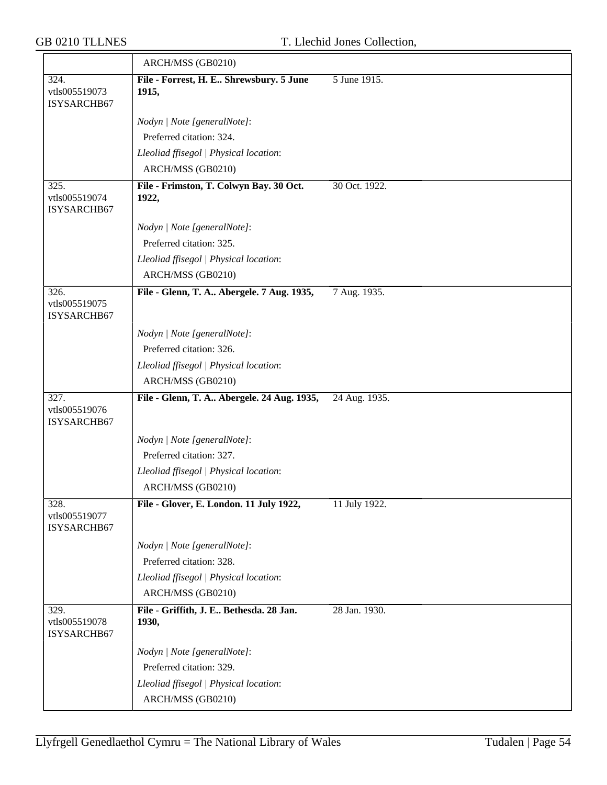|                                      | ARCH/MSS (GB0210)                                |               |
|--------------------------------------|--------------------------------------------------|---------------|
| 324.<br>vtls005519073<br>ISYSARCHB67 | File - Forrest, H. E Shrewsbury. 5 June<br>1915, | 5 June 1915.  |
|                                      | Nodyn   Note [generalNote]:                      |               |
|                                      | Preferred citation: 324.                         |               |
|                                      | Lleoliad ffisegol   Physical location:           |               |
|                                      | ARCH/MSS (GB0210)                                |               |
| 325.<br>vtls005519074<br>ISYSARCHB67 | File - Frimston, T. Colwyn Bay. 30 Oct.<br>1922, | 30 Oct. 1922. |
|                                      | Nodyn   Note [generalNote]:                      |               |
|                                      | Preferred citation: 325.                         |               |
|                                      | Lleoliad ffisegol   Physical location:           |               |
|                                      | ARCH/MSS (GB0210)                                |               |
| 326.<br>vtls005519075<br>ISYSARCHB67 | File - Glenn, T. A Abergele. 7 Aug. 1935,        | 7 Aug. 1935.  |
|                                      | Nodyn   Note [generalNote]:                      |               |
|                                      | Preferred citation: 326.                         |               |
|                                      | Lleoliad ffisegol   Physical location:           |               |
|                                      | ARCH/MSS (GB0210)                                |               |
| 327.<br>vtls005519076<br>ISYSARCHB67 | File - Glenn, T. A Abergele. 24 Aug. 1935,       | 24 Aug. 1935. |
|                                      | Nodyn   Note [generalNote]:                      |               |
|                                      | Preferred citation: 327.                         |               |
|                                      | Lleoliad ffisegol   Physical location:           |               |
|                                      | ARCH/MSS (GB0210)                                |               |
| 328.<br>vtls005519077<br>ISYSARCHB67 | File - Glover, E. London. 11 July 1922,          | 11 July 1922. |
|                                      | Nodyn   Note [generalNote]:                      |               |
|                                      | Preferred citation: 328.                         |               |
|                                      | Lleoliad ffisegol   Physical location:           |               |
|                                      | ARCH/MSS (GB0210)                                |               |
| 329.<br>vtls005519078<br>ISYSARCHB67 | File - Griffith, J. E Bethesda. 28 Jan.<br>1930, | 28 Jan. 1930. |
|                                      | Nodyn   Note [generalNote]:                      |               |
|                                      | Preferred citation: 329.                         |               |
|                                      | Lleoliad ffisegol   Physical location:           |               |
|                                      | ARCH/MSS (GB0210)                                |               |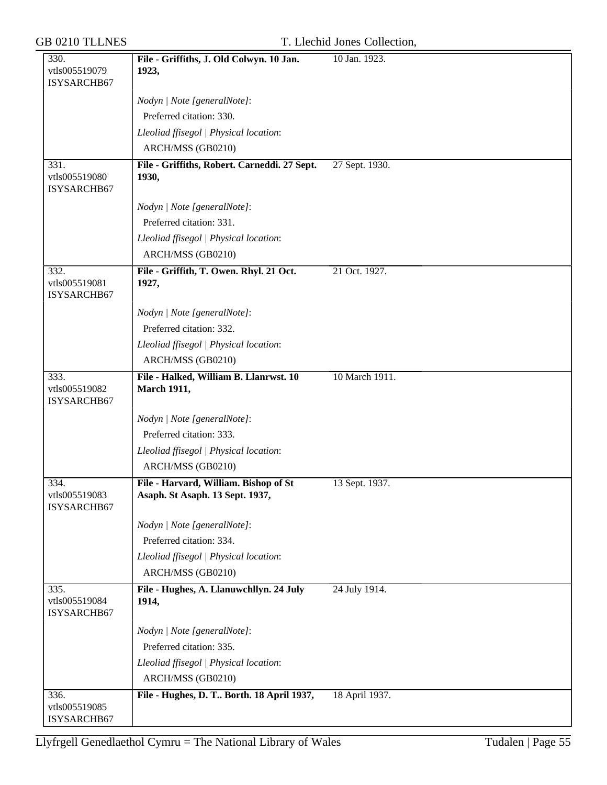### T. Llechid Jones Collection,

| 330.                                 | File - Griffiths, J. Old Colwyn. 10 Jan.                                 | 10 Jan. 1923.  |
|--------------------------------------|--------------------------------------------------------------------------|----------------|
| vtls005519079                        | 1923,                                                                    |                |
| ISYSARCHB67                          |                                                                          |                |
|                                      | Nodyn   Note [generalNote]:                                              |                |
|                                      | Preferred citation: 330.                                                 |                |
|                                      | Lleoliad ffisegol   Physical location:                                   |                |
|                                      | ARCH/MSS (GB0210)                                                        |                |
| 331.<br>vtls005519080<br>ISYSARCHB67 | File - Griffiths, Robert. Carneddi. 27 Sept.<br>1930,                    | 27 Sept. 1930. |
|                                      | Nodyn   Note [generalNote]:                                              |                |
|                                      | Preferred citation: 331.                                                 |                |
|                                      | Lleoliad ffisegol   Physical location:                                   |                |
|                                      | ARCH/MSS (GB0210)                                                        |                |
| 332.<br>vtls005519081<br>ISYSARCHB67 | File - Griffith, T. Owen. Rhyl. 21 Oct.<br>1927,                         | 21 Oct. 1927.  |
|                                      | Nodyn   Note [generalNote]:                                              |                |
|                                      | Preferred citation: 332.                                                 |                |
|                                      | Lleoliad ffisegol   Physical location:                                   |                |
|                                      | ARCH/MSS (GB0210)                                                        |                |
| 333.<br>vtls005519082<br>ISYSARCHB67 | File - Halked, William B. Llanrwst. 10<br><b>March 1911,</b>             | 10 March 1911. |
|                                      | Nodyn   Note [generalNote]:                                              |                |
|                                      | Preferred citation: 333.                                                 |                |
|                                      | Lleoliad ffisegol   Physical location:                                   |                |
|                                      | ARCH/MSS (GB0210)                                                        |                |
| 334.<br>vtls005519083<br>ISYSARCHB67 | File - Harvard, William. Bishop of St<br>Asaph. St Asaph. 13 Sept. 1937, | 13 Sept. 1937. |
|                                      | Nodyn   Note [generalNote]:                                              |                |
|                                      | Preferred citation: 334.                                                 |                |
|                                      | Lleoliad ffisegol   Physical location:                                   |                |
|                                      | ARCH/MSS (GB0210)                                                        |                |
| 335.<br>vtls005519084<br>ISYSARCHB67 | File - Hughes, A. Llanuwchllyn. 24 July<br>1914,                         | 24 July 1914.  |
|                                      | Nodyn   Note [generalNote]:                                              |                |
|                                      | Preferred citation: 335.                                                 |                |
|                                      | Lleoliad ffisegol   Physical location:                                   |                |
|                                      | ARCH/MSS (GB0210)                                                        |                |
| 336.                                 | File - Hughes, D. T Borth. 18 April 1937,                                | 18 April 1937. |
| vtls005519085<br>ISYSARCHB67         |                                                                          |                |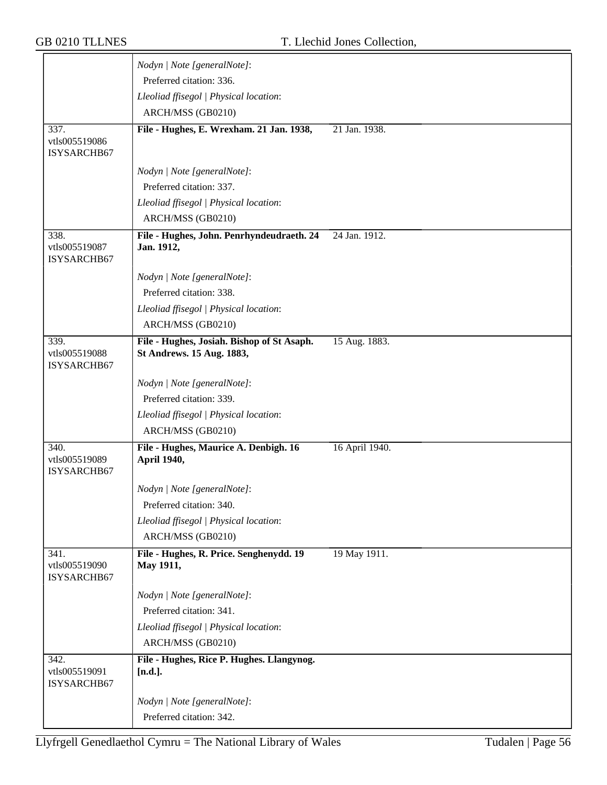|                                      | Nodyn   Note [generalNote]:                             |                |
|--------------------------------------|---------------------------------------------------------|----------------|
|                                      | Preferred citation: 336.                                |                |
|                                      | Lleoliad ffisegol   Physical location:                  |                |
|                                      | ARCH/MSS (GB0210)                                       |                |
| 337.                                 | File - Hughes, E. Wrexham. 21 Jan. 1938,                | 21 Jan. 1938.  |
| vtls005519086                        |                                                         |                |
| ISYSARCHB67                          |                                                         |                |
|                                      | Nodyn   Note [generalNote]:                             |                |
|                                      | Preferred citation: 337.                                |                |
|                                      | Lleoliad ffisegol   Physical location:                  |                |
|                                      | ARCH/MSS (GB0210)                                       |                |
| 338.<br>vtls005519087<br>ISYSARCHB67 | File - Hughes, John. Penrhyndeudraeth. 24<br>Jan. 1912, | 24 Jan. 1912.  |
|                                      | Nodyn   Note [generalNote]:                             |                |
|                                      | Preferred citation: 338.                                |                |
|                                      | Lleoliad ffisegol   Physical location:                  |                |
|                                      | ARCH/MSS (GB0210)                                       |                |
| 339.                                 | File - Hughes, Josiah. Bishop of St Asaph.              | 15 Aug. 1883.  |
| vtls005519088<br>ISYSARCHB67         | St Andrews. 15 Aug. 1883,                               |                |
|                                      | Nodyn   Note [generalNote]:                             |                |
|                                      | Preferred citation: 339.                                |                |
|                                      | Lleoliad ffisegol   Physical location:                  |                |
|                                      | ARCH/MSS (GB0210)                                       |                |
| 340.<br>vtls005519089<br>ISYSARCHB67 | File - Hughes, Maurice A. Denbigh. 16<br>April 1940,    | 16 April 1940. |
|                                      | Nodyn   Note [generalNote]:                             |                |
|                                      | Preferred citation: 340.                                |                |
|                                      | Lleoliad ffisegol   Physical location:                  |                |
|                                      | ARCH/MSS (GB0210)                                       |                |
| 341.                                 | File - Hughes, R. Price. Senghenydd. 19                 | 19 May 1911.   |
| vtls005519090<br>ISYSARCHB67         | May 1911,                                               |                |
|                                      | Nodyn   Note [generalNote]:                             |                |
|                                      | Preferred citation: 341.                                |                |
|                                      | Lleoliad ffisegol   Physical location:                  |                |
|                                      | ARCH/MSS (GB0210)                                       |                |
| 342.<br>vtls005519091<br>ISYSARCHB67 | File - Hughes, Rice P. Hughes. Llangynog.<br>$[n.d.]$ . |                |
|                                      | Nodyn   Note [generalNote]:                             |                |
|                                      | Preferred citation: 342.                                |                |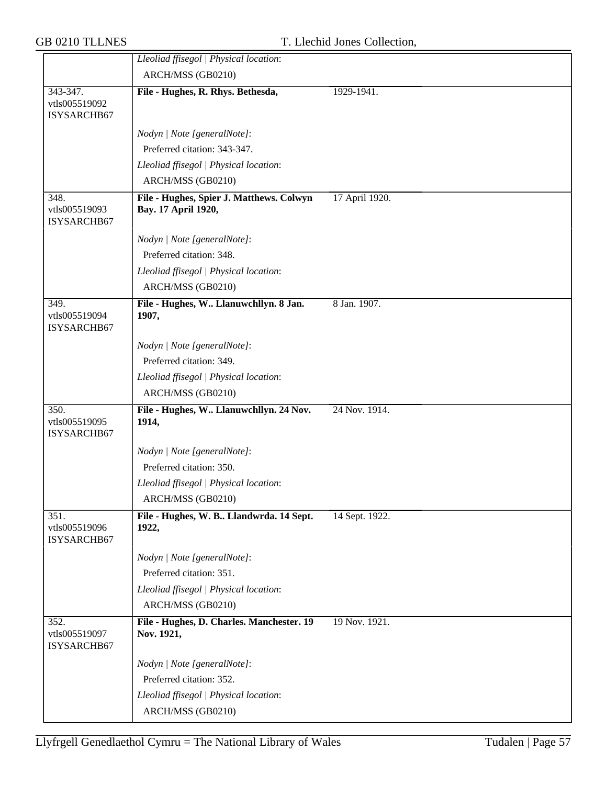|                                      | Lleoliad ffisegol   Physical location:                  |                |
|--------------------------------------|---------------------------------------------------------|----------------|
|                                      | ARCH/MSS (GB0210)                                       |                |
| 343-347.                             | File - Hughes, R. Rhys. Bethesda,                       | 1929-1941.     |
| vtls005519092<br>ISYSARCHB67         |                                                         |                |
|                                      | Nodyn   Note [generalNote]:                             |                |
|                                      | Preferred citation: 343-347.                            |                |
|                                      | Lleoliad ffisegol   Physical location:                  |                |
|                                      | ARCH/MSS (GB0210)                                       |                |
| 348.                                 | File - Hughes, Spier J. Matthews. Colwyn                | 17 April 1920. |
| vtls005519093<br>ISYSARCHB67         | Bay. 17 April 1920,                                     |                |
|                                      | Nodyn   Note [generalNote]:                             |                |
|                                      | Preferred citation: 348.                                |                |
|                                      | Lleoliad ffisegol   Physical location:                  |                |
|                                      | ARCH/MSS (GB0210)                                       |                |
| 349.<br>vtls005519094<br>ISYSARCHB67 | File - Hughes, W Llanuwchllyn. 8 Jan.<br>1907,          | 8 Jan. 1907.   |
|                                      | Nodyn   Note [generalNote]:                             |                |
|                                      | Preferred citation: 349.                                |                |
|                                      | Lleoliad ffisegol   Physical location:                  |                |
|                                      | ARCH/MSS (GB0210)                                       |                |
| 350.<br>vtls005519095<br>ISYSARCHB67 | File - Hughes, W Llanuwchllyn. 24 Nov.<br>1914,         | 24 Nov. 1914.  |
|                                      | Nodyn   Note [generalNote]:                             |                |
|                                      | Preferred citation: 350.                                |                |
|                                      | Lleoliad ffisegol   Physical location:                  |                |
|                                      | ARCH/MSS (GB0210)                                       |                |
| 351.<br>vtls005519096<br>ISYSARCHB67 | File - Hughes, W. B Llandwrda. 14 Sept.<br>1922,        | 14 Sept. 1922. |
|                                      | Nodyn   Note [generalNote]:                             |                |
|                                      | Preferred citation: 351.                                |                |
|                                      | Lleoliad ffisegol   Physical location:                  |                |
|                                      | ARCH/MSS (GB0210)                                       |                |
| 352.<br>vtls005519097<br>ISYSARCHB67 | File - Hughes, D. Charles. Manchester. 19<br>Nov. 1921, | 19 Nov. 1921.  |
|                                      | Nodyn   Note [generalNote]:                             |                |
|                                      | Preferred citation: 352.                                |                |
|                                      | Lleoliad ffisegol   Physical location:                  |                |
|                                      |                                                         |                |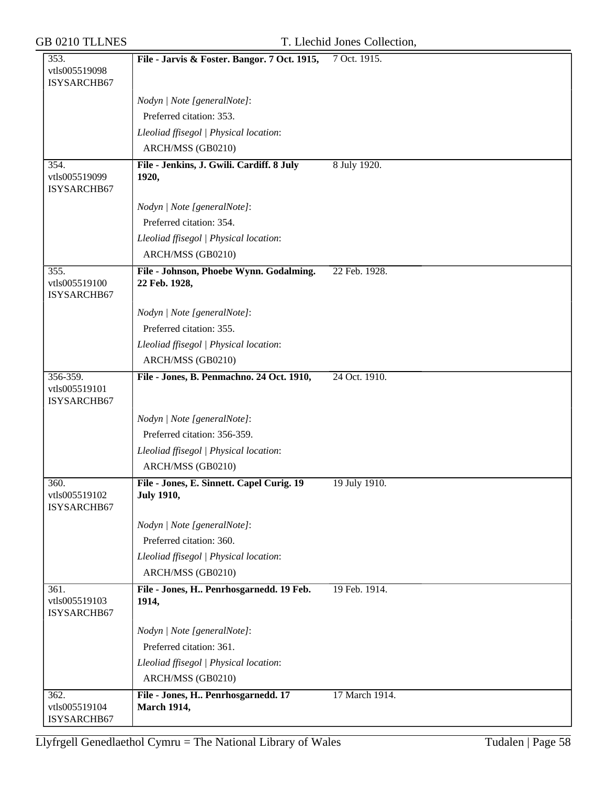| 353.                                     | File - Jarvis & Foster. Bangor. 7 Oct. 1915,                   | 7 Oct. 1915.   |
|------------------------------------------|----------------------------------------------------------------|----------------|
| vtls005519098<br>ISYSARCHB67             |                                                                |                |
|                                          | Nodyn   Note [generalNote]:                                    |                |
|                                          | Preferred citation: 353.                                       |                |
|                                          | Lleoliad ffisegol   Physical location:                         |                |
|                                          | ARCH/MSS (GB0210)                                              |                |
| 354.<br>vtls005519099<br>ISYSARCHB67     | File - Jenkins, J. Gwili. Cardiff. 8 July<br>1920,             | 8 July 1920.   |
|                                          | Nodyn   Note [generalNote]:                                    |                |
|                                          | Preferred citation: 354.                                       |                |
|                                          | Lleoliad ffisegol   Physical location:                         |                |
|                                          | ARCH/MSS (GB0210)                                              |                |
| 355.<br>vtls005519100<br>ISYSARCHB67     | File - Johnson, Phoebe Wynn. Godalming.<br>22 Feb. 1928,       | 22 Feb. 1928.  |
|                                          | Nodyn   Note [generalNote]:                                    |                |
|                                          | Preferred citation: 355.                                       |                |
|                                          | Lleoliad ffisegol   Physical location:                         |                |
|                                          | ARCH/MSS (GB0210)                                              |                |
| 356-359.<br>vtls005519101<br>ISYSARCHB67 | File - Jones, B. Penmachno. 24 Oct. 1910,                      | 24 Oct. 1910.  |
|                                          | Nodyn   Note [generalNote]:                                    |                |
|                                          | Preferred citation: 356-359.                                   |                |
|                                          | Lleoliad ffisegol   Physical location:                         |                |
|                                          | ARCH/MSS (GB0210)                                              |                |
| 360.<br>vtls005519102<br>ISYSARCHB67     | File - Jones, E. Sinnett. Capel Curig. 19<br><b>July 1910,</b> | 19 July 1910.  |
|                                          | Nodyn   Note [generalNote]:                                    |                |
|                                          | Preferred citation: 360.                                       |                |
|                                          | Lleoliad ffisegol   Physical location:                         |                |
|                                          | ARCH/MSS (GB0210)                                              |                |
| 361.<br>vtls005519103<br>ISYSARCHB67     | File - Jones, H Penrhosgarnedd. 19 Feb.<br>1914,               | 19 Feb. 1914.  |
|                                          | Nodyn   Note [generalNote]:                                    |                |
|                                          | Preferred citation: 361.                                       |                |
|                                          | Lleoliad ffisegol   Physical location:                         |                |
|                                          | ARCH/MSS (GB0210)                                              |                |
| 362.<br>vtls005519104<br>ISYSARCHB67     | File - Jones, H Penrhosgarnedd. 17<br><b>March 1914,</b>       | 17 March 1914. |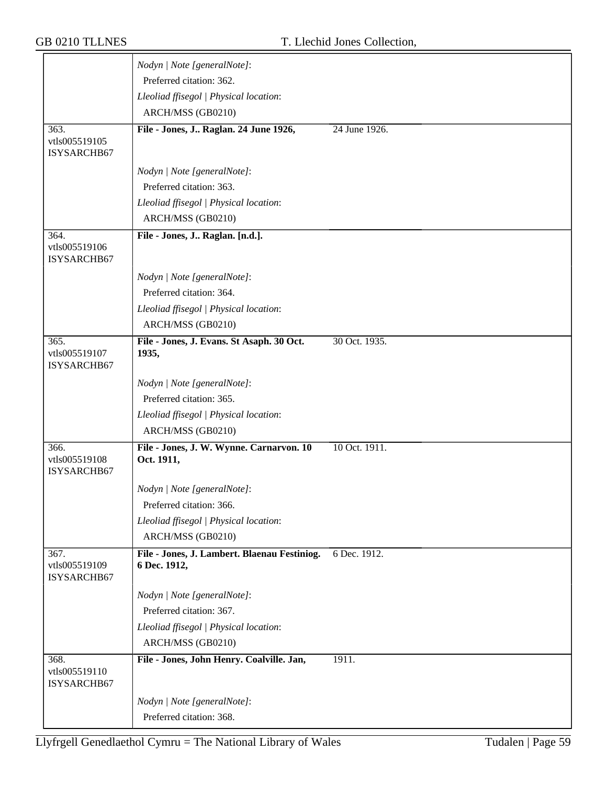|                                      | Nodyn   Note [generalNote]:                            |               |
|--------------------------------------|--------------------------------------------------------|---------------|
|                                      | Preferred citation: 362.                               |               |
|                                      | Lleoliad ffisegol   Physical location:                 |               |
|                                      | ARCH/MSS (GB0210)                                      |               |
| 363.                                 | File - Jones, J Raglan. 24 June 1926,                  | 24 June 1926. |
| vtls005519105<br>ISYSARCHB67         |                                                        |               |
|                                      |                                                        |               |
|                                      | Nodyn   Note [generalNote]:                            |               |
|                                      | Preferred citation: 363.                               |               |
|                                      | Lleoliad ffisegol   Physical location:                 |               |
|                                      | ARCH/MSS (GB0210)                                      |               |
| 364.<br>vtls005519106                | File - Jones, J Raglan. [n.d.].                        |               |
| ISYSARCHB67                          |                                                        |               |
|                                      | Nodyn   Note [generalNote]:                            |               |
|                                      | Preferred citation: 364.                               |               |
|                                      | Lleoliad ffisegol   Physical location:                 |               |
|                                      | ARCH/MSS (GB0210)                                      |               |
| 365.                                 | File - Jones, J. Evans. St Asaph. 30 Oct.              | 30 Oct. 1935. |
| vtls005519107<br>ISYSARCHB67         | 1935,                                                  |               |
|                                      | Nodyn   Note [generalNote]:                            |               |
|                                      | Preferred citation: 365.                               |               |
|                                      | Lleoliad ffisegol   Physical location:                 |               |
|                                      | ARCH/MSS (GB0210)                                      |               |
| 366.<br>vtls005519108<br>ISYSARCHB67 | File - Jones, J. W. Wynne. Carnarvon. 10<br>Oct. 1911, | 10 Oct. 1911. |
|                                      | Nodyn   Note [generalNote]:                            |               |
|                                      | Preferred citation: 366.                               |               |
|                                      | Lleoliad ffisegol   Physical location:                 |               |
|                                      | ARCH/MSS (GB0210)                                      |               |
| 367.                                 | File - Jones, J. Lambert. Blaenau Festiniog.           | 6 Dec. 1912.  |
| vtls005519109<br>ISYSARCHB67         | 6 Dec. 1912,                                           |               |
|                                      | Nodyn   Note [generalNote]:                            |               |
|                                      | Preferred citation: 367.                               |               |
|                                      | Lleoliad ffisegol   Physical location:                 |               |
|                                      | ARCH/MSS (GB0210)                                      |               |
| 368.<br>vtls005519110<br>ISYSARCHB67 | File - Jones, John Henry. Coalville. Jan,              | 1911.         |
|                                      | Nodyn   Note [generalNote]:                            |               |
|                                      | Preferred citation: 368.                               |               |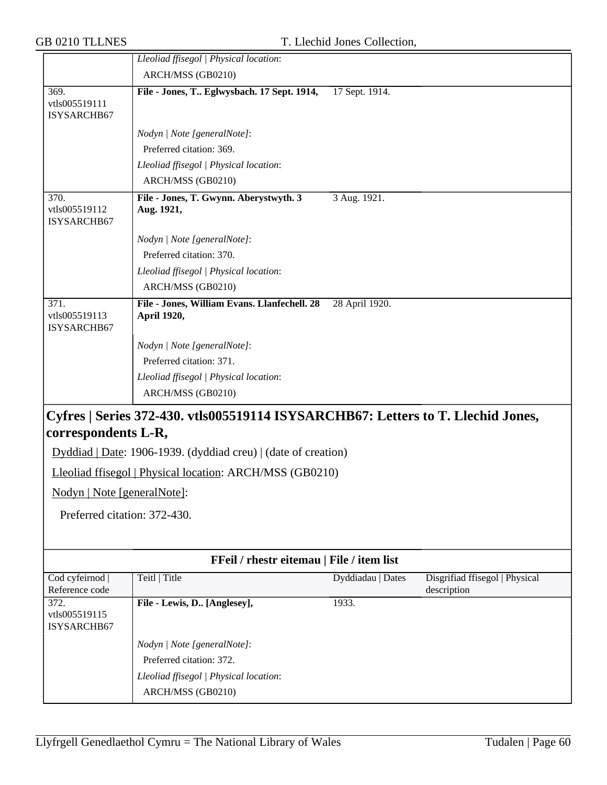| <b>GB 0210 TLLNES</b>                |                                                                                  | T. Llechid Jones Collection, |                                               |
|--------------------------------------|----------------------------------------------------------------------------------|------------------------------|-----------------------------------------------|
|                                      | Lleoliad ffisegol   Physical location:                                           |                              |                                               |
|                                      | ARCH/MSS (GB0210)                                                                |                              |                                               |
| 369.<br>vtls005519111<br>ISYSARCHB67 | File - Jones, T Eglwysbach. 17 Sept. 1914,                                       | 17 Sept. 1914.               |                                               |
|                                      | Nodyn   Note [generalNote]:                                                      |                              |                                               |
|                                      | Preferred citation: 369.                                                         |                              |                                               |
|                                      | Lleoliad ffisegol   Physical location:                                           |                              |                                               |
|                                      | ARCH/MSS (GB0210)                                                                |                              |                                               |
| 370.<br>vtls005519112<br>ISYSARCHB67 | File - Jones, T. Gwynn. Aberystwyth. 3<br>Aug. 1921,                             | 3 Aug. 1921.                 |                                               |
|                                      | Nodyn   Note [generalNote]:                                                      |                              |                                               |
|                                      | Preferred citation: 370.                                                         |                              |                                               |
|                                      | Lleoliad ffisegol   Physical location:                                           |                              |                                               |
|                                      | ARCH/MSS (GB0210)                                                                |                              |                                               |
| 371.<br>vtls005519113<br>ISYSARCHB67 | File - Jones, William Evans. Llanfechell. 28<br>April 1920,                      | 28 April 1920.               |                                               |
|                                      | Nodyn   Note [generalNote]:                                                      |                              |                                               |
|                                      | Preferred citation: 371.                                                         |                              |                                               |
|                                      | Lleoliad ffisegol   Physical location:                                           |                              |                                               |
|                                      | ARCH/MSS (GB0210)                                                                |                              |                                               |
| correspondents L-R,                  | Cyfres   Series 372-430. vtls005519114 ISYSARCHB67: Letters to T. Llechid Jones, |                              |                                               |
|                                      | Dyddiad   Date: 1906-1939. (dyddiad creu)   (date of creation)                   |                              |                                               |
|                                      | Lleoliad ffisegol   Physical location: ARCH/MSS (GB0210)                         |                              |                                               |
| Nodyn   Note [generalNote]:          |                                                                                  |                              |                                               |
| Preferred citation: 372-430.         |                                                                                  |                              |                                               |
|                                      |                                                                                  |                              |                                               |
|                                      | FFeil / rhestr eitemau   File / item list                                        |                              |                                               |
| Cod cyfeirnod<br>Reference code      | Teitl   Title                                                                    | Dyddiadau   Dates            | Disgrifiad ffisegol   Physical<br>description |
| 372.<br>vtls005519115<br>ISYSARCHB67 | File - Lewis, D [Anglesey],                                                      | 1933.                        |                                               |
|                                      | Nodyn   Note [generalNote]:                                                      |                              |                                               |
|                                      | Preferred citation: 372.                                                         |                              |                                               |
|                                      | Lleoliad ffisegol   Physical location:                                           |                              |                                               |
|                                      | ARCH/MSS (GB0210)                                                                |                              |                                               |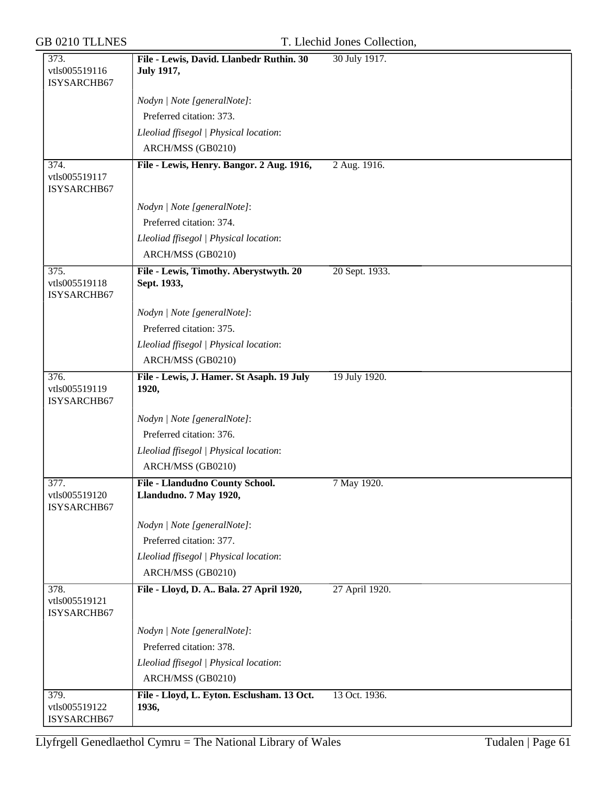| <b>GB 0210 TLLNES</b> |
|-----------------------|
|-----------------------|

### T. Llechid Jones Collection,

| 373.                                 | File - Lewis, David. Llanbedr Ruthin. 30                  | 30 July 1917.  |
|--------------------------------------|-----------------------------------------------------------|----------------|
| vtls005519116<br>ISYSARCHB67         | <b>July 1917,</b>                                         |                |
|                                      |                                                           |                |
|                                      | Nodyn   Note [generalNote]:                               |                |
|                                      | Preferred citation: 373.                                  |                |
|                                      | Lleoliad ffisegol   Physical location:                    |                |
|                                      | ARCH/MSS (GB0210)                                         |                |
| 374.<br>vtls005519117<br>ISYSARCHB67 | File - Lewis, Henry. Bangor. 2 Aug. 1916,                 | 2 Aug. 1916.   |
|                                      | Nodyn   Note [generalNote]:                               |                |
|                                      | Preferred citation: 374.                                  |                |
|                                      | Lleoliad ffisegol   Physical location:                    |                |
|                                      | ARCH/MSS (GB0210)                                         |                |
| 375.<br>vtls005519118<br>ISYSARCHB67 | File - Lewis, Timothy. Aberystwyth. 20<br>Sept. 1933,     | 20 Sept. 1933. |
|                                      | Nodyn   Note [generalNote]:                               |                |
|                                      | Preferred citation: 375.                                  |                |
|                                      | Lleoliad ffisegol   Physical location:                    |                |
|                                      | ARCH/MSS (GB0210)                                         |                |
| 376.<br>vtls005519119<br>ISYSARCHB67 | File - Lewis, J. Hamer. St Asaph. 19 July<br>1920,        | 19 July 1920.  |
|                                      | Nodyn   Note [generalNote]:                               |                |
|                                      | Preferred citation: 376.                                  |                |
|                                      | Lleoliad ffisegol   Physical location:                    |                |
|                                      | ARCH/MSS (GB0210)                                         |                |
| 377.<br>vtls005519120<br>ISYSARCHB67 | File - Llandudno County School.<br>Llandudno. 7 May 1920, | 7 May 1920.    |
|                                      | Nodyn   Note [generalNote]:                               |                |
|                                      | Preferred citation: 377.                                  |                |
|                                      | Lleoliad ffisegol   Physical location:                    |                |
|                                      | ARCH/MSS (GB0210)                                         |                |
| 378.<br>vtls005519121<br>ISYSARCHB67 | File - Lloyd, D. A Bala. 27 April 1920,                   | 27 April 1920. |
|                                      | Nodyn   Note [generalNote]:                               |                |
|                                      | Preferred citation: 378.                                  |                |
|                                      | Lleoliad ffisegol   Physical location:                    |                |
|                                      | ARCH/MSS (GB0210)                                         |                |
| 379.<br>vtls005519122<br>ISYSARCHB67 | File - Lloyd, L. Eyton. Esclusham. 13 Oct.<br>1936,       | 13 Oct. 1936.  |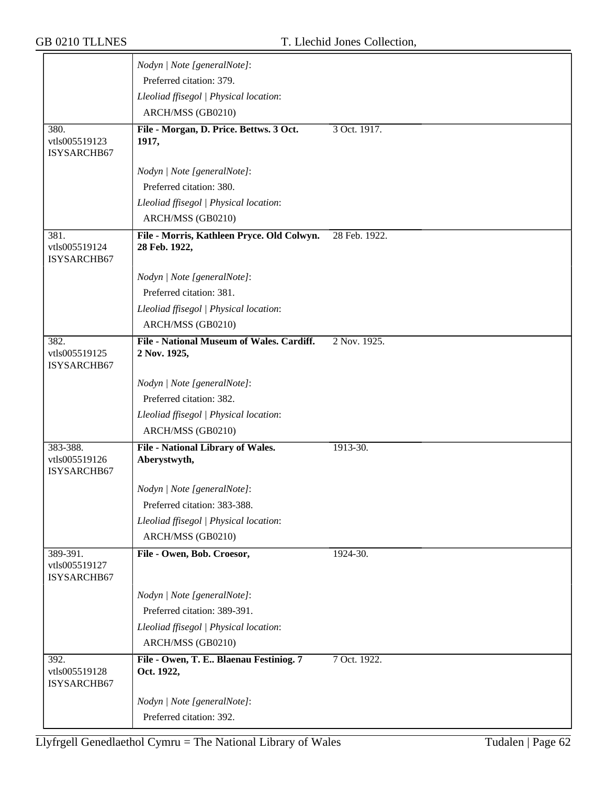|                                          | Nodyn   Note [generalNote]:                                 |               |
|------------------------------------------|-------------------------------------------------------------|---------------|
|                                          | Preferred citation: 379.                                    |               |
|                                          | Lleoliad ffisegol   Physical location:                      |               |
|                                          | ARCH/MSS (GB0210)                                           |               |
| 380.                                     | File - Morgan, D. Price. Bettws. 3 Oct.                     | 3 Oct. 1917.  |
| vtls005519123                            | 1917,                                                       |               |
| ISYSARCHB67                              |                                                             |               |
|                                          | Nodyn   Note [generalNote]:                                 |               |
|                                          | Preferred citation: 380.                                    |               |
|                                          | Lleoliad ffisegol   Physical location:                      |               |
|                                          | ARCH/MSS (GB0210)                                           |               |
| 381.<br>vtls005519124<br>ISYSARCHB67     | File - Morris, Kathleen Pryce. Old Colwyn.<br>28 Feb. 1922, | 28 Feb. 1922. |
|                                          | Nodyn   Note [generalNote]:                                 |               |
|                                          | Preferred citation: 381.                                    |               |
|                                          | Lleoliad ffisegol   Physical location:                      |               |
|                                          | ARCH/MSS (GB0210)                                           |               |
| 382.                                     | File - National Museum of Wales. Cardiff.                   | 2 Nov. 1925.  |
| vtls005519125<br>ISYSARCHB67             | 2 Nov. 1925,                                                |               |
|                                          | Nodyn   Note [generalNote]:                                 |               |
|                                          | Preferred citation: 382.                                    |               |
|                                          | Lleoliad ffisegol   Physical location:                      |               |
|                                          | ARCH/MSS (GB0210)                                           |               |
| 383-388.<br>vtls005519126<br>ISYSARCHB67 | <b>File - National Library of Wales.</b><br>Aberystwyth,    | 1913-30.      |
|                                          | Nodyn   Note [generalNote]:                                 |               |
|                                          | Preferred citation: 383-388.                                |               |
|                                          | Lleoliad ffisegol   Physical location:                      |               |
|                                          | ARCH/MSS (GB0210)                                           |               |
| 389-391.                                 | File - Owen, Bob. Croesor,                                  | 1924-30.      |
| vtls005519127<br>ISYSARCHB67             |                                                             |               |
|                                          | Nodyn   Note [generalNote]:                                 |               |
|                                          | Preferred citation: 389-391.                                |               |
|                                          | Lleoliad ffisegol   Physical location:                      |               |
|                                          | ARCH/MSS (GB0210)                                           |               |
| 392.<br>vtls005519128<br>ISYSARCHB67     | File - Owen, T. E Blaenau Festiniog. 7<br>Oct. 1922,        | 7 Oct. 1922.  |
|                                          | Nodyn   Note [generalNote]:                                 |               |
|                                          | Preferred citation: 392.                                    |               |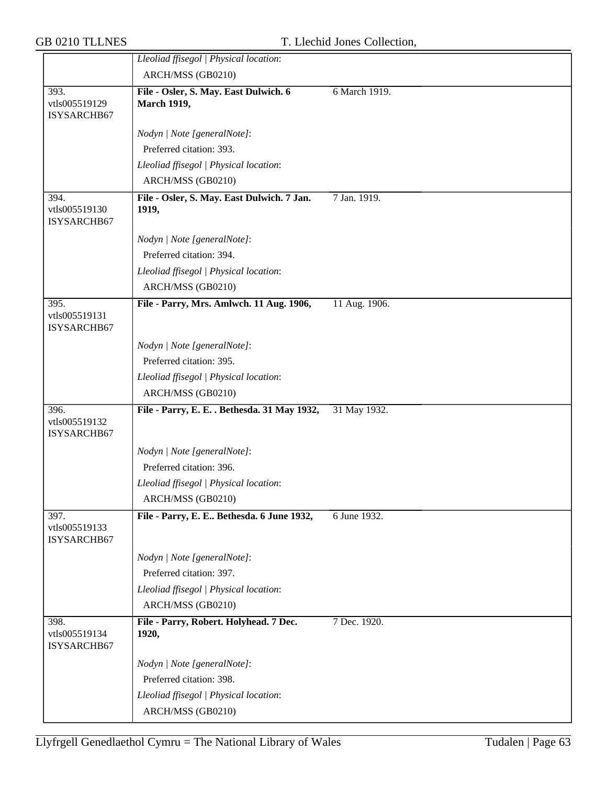|                                      | Lleoliad ffisegol   Physical location:                      |               |
|--------------------------------------|-------------------------------------------------------------|---------------|
|                                      | ARCH/MSS (GB0210)                                           |               |
| 393.<br>vtls005519129<br>ISYSARCHB67 | File - Osler, S. May. East Dulwich. 6<br><b>March 1919,</b> | 6 March 1919. |
|                                      | Nodyn   Note [generalNote]:                                 |               |
|                                      | Preferred citation: 393.                                    |               |
|                                      | Lleoliad ffisegol   Physical location:                      |               |
|                                      | ARCH/MSS (GB0210)                                           |               |
| 394.                                 | File - Osler, S. May. East Dulwich. 7 Jan.                  | 7 Jan. 1919.  |
| vtls005519130<br>ISYSARCHB67         | 1919,                                                       |               |
|                                      | Nodyn   Note [generalNote]:                                 |               |
|                                      | Preferred citation: 394.                                    |               |
|                                      | Lleoliad ffisegol   Physical location:                      |               |
|                                      | ARCH/MSS (GB0210)                                           |               |
| 395.<br>vtls005519131<br>ISYSARCHB67 | File - Parry, Mrs. Amlwch. 11 Aug. 1906,                    | 11 Aug. 1906. |
|                                      | Nodyn   Note [generalNote]:                                 |               |
|                                      | Preferred citation: 395.                                    |               |
|                                      | Lleoliad ffisegol   Physical location:                      |               |
|                                      | ARCH/MSS (GB0210)                                           |               |
| 396.<br>vtls005519132<br>ISYSARCHB67 | File - Parry, E. E. . Bethesda. 31 May 1932,                | 31 May 1932.  |
|                                      | Nodyn   Note [generalNote]:                                 |               |
|                                      | Preferred citation: 396.                                    |               |
|                                      | Lleoliad ffisegol   Physical location:                      |               |
|                                      | ARCH/MSS (GB0210)                                           |               |
| 397.<br>vtls005519133<br>ISYSARCHB67 | File - Parry, E. E Bethesda. 6 June 1932,                   | 6 June 1932.  |
|                                      | Nodyn   Note [generalNote]:                                 |               |
|                                      | Preferred citation: 397.                                    |               |
|                                      | Lleoliad ffisegol   Physical location:                      |               |
|                                      | ARCH/MSS (GB0210)                                           |               |
| 398.<br>vtls005519134<br>ISYSARCHB67 | File - Parry, Robert. Holyhead. 7 Dec.<br>1920,             | 7 Dec. 1920.  |
|                                      | Nodyn   Note [generalNote]:                                 |               |
|                                      | Preferred citation: 398.                                    |               |
|                                      | Lleoliad ffisegol   Physical location:                      |               |
|                                      | ARCH/MSS (GB0210)                                           |               |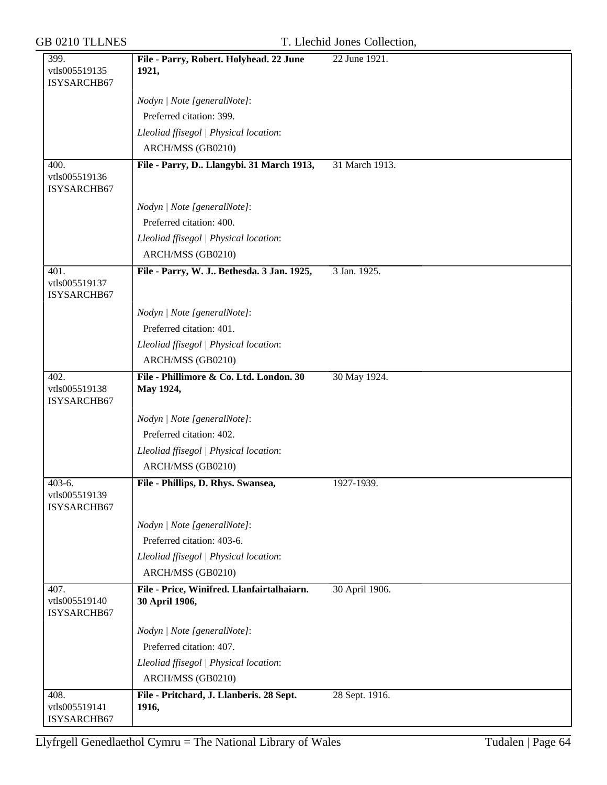| 399.                                     | File - Parry, Robert. Holyhead. 22 June                      | 22 June 1921.  |
|------------------------------------------|--------------------------------------------------------------|----------------|
| vtls005519135<br>ISYSARCHB67             | 1921,                                                        |                |
|                                          | Nodyn   Note [generalNote]:                                  |                |
|                                          | Preferred citation: 399.                                     |                |
|                                          | Lleoliad ffisegol   Physical location:                       |                |
|                                          | ARCH/MSS (GB0210)                                            |                |
| 400.                                     | File - Parry, D Llangybi. 31 March 1913,                     | 31 March 1913. |
| vtls005519136<br>ISYSARCHB67             |                                                              |                |
|                                          | Nodyn   Note [generalNote]:                                  |                |
|                                          | Preferred citation: 400.                                     |                |
|                                          | Lleoliad ffisegol   Physical location:                       |                |
|                                          | ARCH/MSS (GB0210)                                            |                |
| 401.<br>vtls005519137<br>ISYSARCHB67     | File - Parry, W. J Bethesda. 3 Jan. 1925,                    | 3 Jan. 1925.   |
|                                          | Nodyn   Note [generalNote]:                                  |                |
|                                          | Preferred citation: 401.                                     |                |
|                                          | Lleoliad ffisegol   Physical location:                       |                |
|                                          | ARCH/MSS (GB0210)                                            |                |
| 402.<br>vtls005519138<br>ISYSARCHB67     | File - Phillimore & Co. Ltd. London. 30<br>May 1924,         | 30 May 1924.   |
|                                          | Nodyn   Note [generalNote]:                                  |                |
|                                          | Preferred citation: 402.                                     |                |
|                                          | Lleoliad ffisegol   Physical location:                       |                |
|                                          | ARCH/MSS (GB0210)                                            |                |
| $403-6.$<br>vtls005519139<br>ISYSARCHB67 | File - Phillips, D. Rhys. Swansea,                           | 1927-1939.     |
|                                          | Nodyn   Note [generalNote]:                                  |                |
|                                          | Preferred citation: 403-6.                                   |                |
|                                          | Lleoliad ffisegol   Physical location:                       |                |
|                                          | ARCH/MSS (GB0210)                                            |                |
| 407.<br>vtls005519140<br>ISYSARCHB67     | File - Price, Winifred. Llanfairtalhaiarn.<br>30 April 1906, | 30 April 1906. |
|                                          | Nodyn   Note [generalNote]:                                  |                |
|                                          | Preferred citation: 407.                                     |                |
|                                          | Lleoliad ffisegol   Physical location:                       |                |
|                                          | ARCH/MSS (GB0210)                                            |                |
| 408.<br>vtls005519141<br>ISYSARCHB67     | File - Pritchard, J. Llanberis. 28 Sept.<br>1916,            | 28 Sept. 1916. |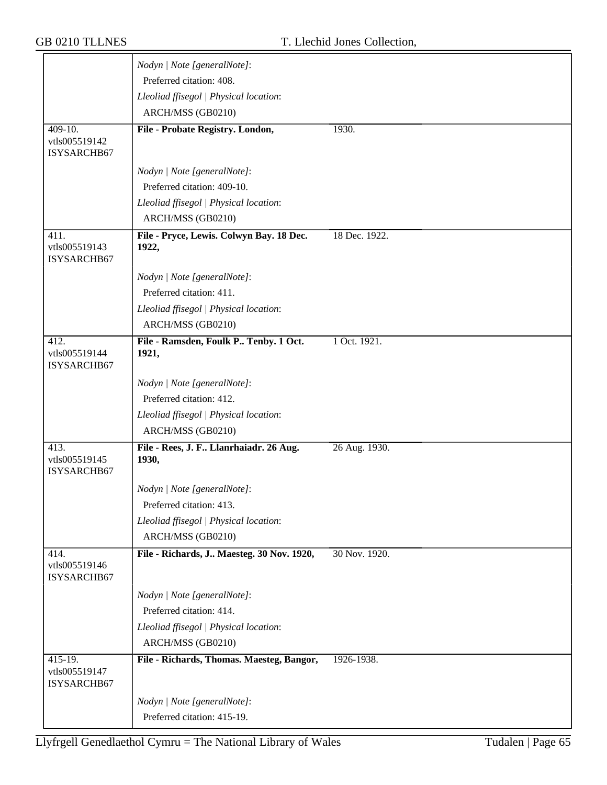| Nodyn   Note [generalNote]:                       |                                                                                                                                                                                                                                                                                                                                                                                                                                                                                                                      |
|---------------------------------------------------|----------------------------------------------------------------------------------------------------------------------------------------------------------------------------------------------------------------------------------------------------------------------------------------------------------------------------------------------------------------------------------------------------------------------------------------------------------------------------------------------------------------------|
|                                                   |                                                                                                                                                                                                                                                                                                                                                                                                                                                                                                                      |
| Lleoliad ffisegol   Physical location:            |                                                                                                                                                                                                                                                                                                                                                                                                                                                                                                                      |
| ARCH/MSS (GB0210)                                 |                                                                                                                                                                                                                                                                                                                                                                                                                                                                                                                      |
| File - Probate Registry. London,                  | 1930.                                                                                                                                                                                                                                                                                                                                                                                                                                                                                                                |
|                                                   |                                                                                                                                                                                                                                                                                                                                                                                                                                                                                                                      |
|                                                   |                                                                                                                                                                                                                                                                                                                                                                                                                                                                                                                      |
|                                                   |                                                                                                                                                                                                                                                                                                                                                                                                                                                                                                                      |
|                                                   |                                                                                                                                                                                                                                                                                                                                                                                                                                                                                                                      |
|                                                   |                                                                                                                                                                                                                                                                                                                                                                                                                                                                                                                      |
| ARCH/MSS (GB0210)                                 |                                                                                                                                                                                                                                                                                                                                                                                                                                                                                                                      |
| File - Pryce, Lewis. Colwyn Bay. 18 Dec.<br>1922, | 18 Dec. 1922.                                                                                                                                                                                                                                                                                                                                                                                                                                                                                                        |
|                                                   |                                                                                                                                                                                                                                                                                                                                                                                                                                                                                                                      |
|                                                   |                                                                                                                                                                                                                                                                                                                                                                                                                                                                                                                      |
|                                                   |                                                                                                                                                                                                                                                                                                                                                                                                                                                                                                                      |
|                                                   |                                                                                                                                                                                                                                                                                                                                                                                                                                                                                                                      |
|                                                   | 1 Oct. 1921.                                                                                                                                                                                                                                                                                                                                                                                                                                                                                                         |
| 1921,                                             |                                                                                                                                                                                                                                                                                                                                                                                                                                                                                                                      |
| Nodyn   Note [generalNote]:                       |                                                                                                                                                                                                                                                                                                                                                                                                                                                                                                                      |
| Preferred citation: 412.                          |                                                                                                                                                                                                                                                                                                                                                                                                                                                                                                                      |
|                                                   |                                                                                                                                                                                                                                                                                                                                                                                                                                                                                                                      |
| ARCH/MSS (GB0210)                                 |                                                                                                                                                                                                                                                                                                                                                                                                                                                                                                                      |
| File - Rees, J. F Llanrhaiadr. 26 Aug.<br>1930,   | 26 Aug. 1930.                                                                                                                                                                                                                                                                                                                                                                                                                                                                                                        |
|                                                   |                                                                                                                                                                                                                                                                                                                                                                                                                                                                                                                      |
|                                                   |                                                                                                                                                                                                                                                                                                                                                                                                                                                                                                                      |
|                                                   |                                                                                                                                                                                                                                                                                                                                                                                                                                                                                                                      |
|                                                   |                                                                                                                                                                                                                                                                                                                                                                                                                                                                                                                      |
|                                                   | 30 Nov. 1920.                                                                                                                                                                                                                                                                                                                                                                                                                                                                                                        |
|                                                   |                                                                                                                                                                                                                                                                                                                                                                                                                                                                                                                      |
| Nodyn   Note [generalNote]:                       |                                                                                                                                                                                                                                                                                                                                                                                                                                                                                                                      |
| Preferred citation: 414.                          |                                                                                                                                                                                                                                                                                                                                                                                                                                                                                                                      |
|                                                   |                                                                                                                                                                                                                                                                                                                                                                                                                                                                                                                      |
| Lleoliad ffisegol   Physical location:            |                                                                                                                                                                                                                                                                                                                                                                                                                                                                                                                      |
| ARCH/MSS (GB0210)                                 |                                                                                                                                                                                                                                                                                                                                                                                                                                                                                                                      |
| File - Richards, Thomas. Maesteg, Bangor,         | 1926-1938.                                                                                                                                                                                                                                                                                                                                                                                                                                                                                                           |
| Nodyn   Note [generalNote]:                       |                                                                                                                                                                                                                                                                                                                                                                                                                                                                                                                      |
|                                                   | Preferred citation: 408.<br>Nodyn   Note [generalNote]:<br>Preferred citation: 409-10.<br>Lleoliad ffisegol   Physical location:<br>Nodyn   Note [generalNote]:<br>Preferred citation: 411.<br>Lleoliad ffisegol   Physical location:<br>ARCH/MSS (GB0210)<br>File - Ramsden, Foulk P Tenby. 1 Oct.<br>Lleoliad ffisegol   Physical location:<br>Nodyn   Note [generalNote]:<br>Preferred citation: 413.<br>Lleoliad ffisegol   Physical location:<br>ARCH/MSS (GB0210)<br>File - Richards, J Maesteg. 30 Nov. 1920, |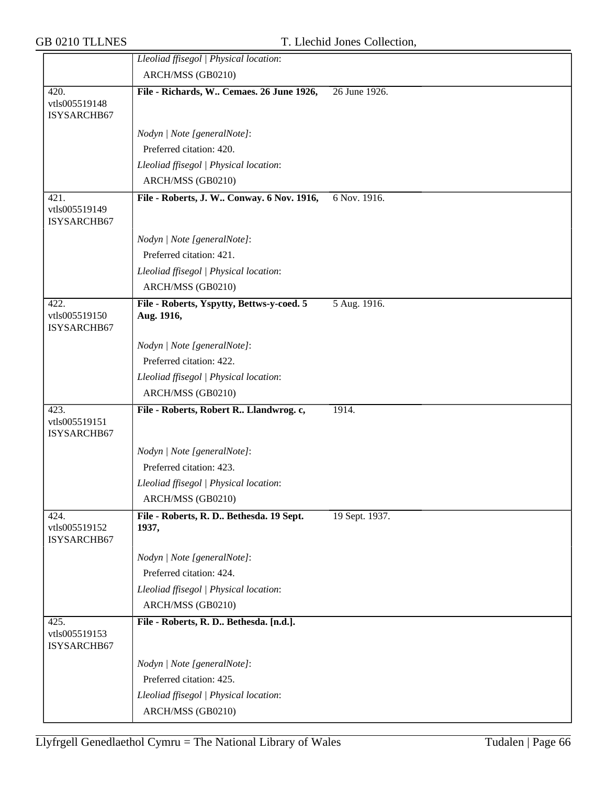|                                      | Lleoliad ffisegol   Physical location:                  |                |
|--------------------------------------|---------------------------------------------------------|----------------|
|                                      | ARCH/MSS (GB0210)                                       |                |
| 420.                                 | File - Richards, W Cemaes. 26 June 1926,                | 26 June 1926.  |
| vtls005519148<br>ISYSARCHB67         |                                                         |                |
|                                      | Nodyn   Note [generalNote]:                             |                |
|                                      | Preferred citation: 420.                                |                |
|                                      | Lleoliad ffisegol   Physical location:                  |                |
|                                      | ARCH/MSS (GB0210)                                       |                |
| 421.<br>vtls005519149<br>ISYSARCHB67 | File - Roberts, J. W Conway. 6 Nov. 1916,               | 6 Nov. 1916.   |
|                                      | Nodyn   Note [generalNote]:                             |                |
|                                      | Preferred citation: 421.                                |                |
|                                      | Lleoliad ffisegol   Physical location:                  |                |
|                                      | ARCH/MSS (GB0210)                                       |                |
| 422.<br>vtls005519150<br>ISYSARCHB67 | File - Roberts, Yspytty, Bettws-y-coed. 5<br>Aug. 1916, | 5 Aug. 1916.   |
|                                      | Nodyn   Note [generalNote]:                             |                |
|                                      | Preferred citation: 422.                                |                |
|                                      | Lleoliad ffisegol   Physical location:                  |                |
|                                      | ARCH/MSS (GB0210)                                       |                |
| 423.<br>vtls005519151<br>ISYSARCHB67 | File - Roberts, Robert R Llandwrog. c,                  | 1914.          |
|                                      | Nodyn   Note [generalNote]:                             |                |
|                                      | Preferred citation: 423.                                |                |
|                                      | Lleoliad ffisegol   Physical location:                  |                |
|                                      | ARCH/MSS (GB0210)                                       |                |
| 424.<br>vtls005519152<br>ISYSARCHB67 | File - Roberts, R. D Bethesda. 19 Sept.<br>1937,        | 19 Sept. 1937. |
|                                      | Nodyn   Note [generalNote]:                             |                |
|                                      | Preferred citation: 424.                                |                |
|                                      | Lleoliad ffisegol   Physical location:                  |                |
|                                      | ARCH/MSS (GB0210)                                       |                |
| 425.<br>vtls005519153<br>ISYSARCHB67 | File - Roberts, R. D Bethesda. [n.d.].                  |                |
|                                      | Nodyn   Note [generalNote]:                             |                |
|                                      | Preferred citation: 425.                                |                |
|                                      | Lleoliad ffisegol   Physical location:                  |                |
|                                      | ARCH/MSS (GB0210)                                       |                |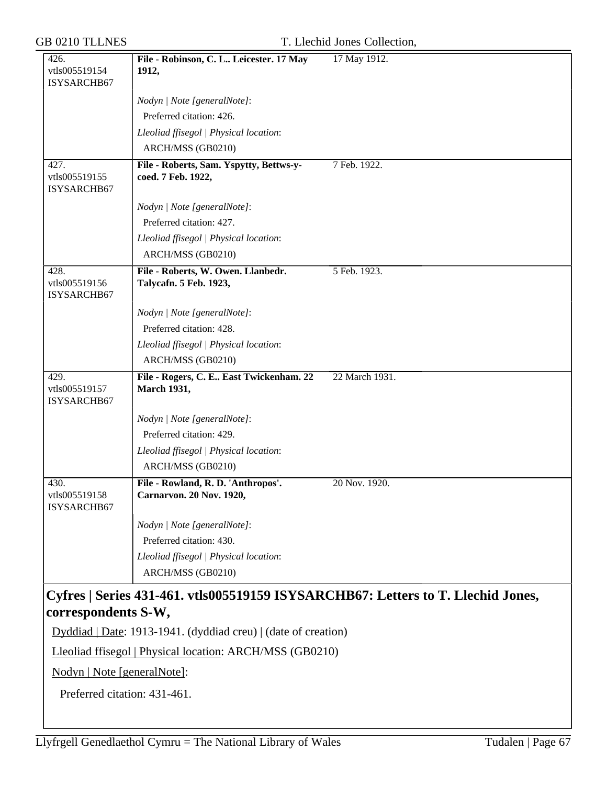| 426.<br>vtls005519154                | File - Robinson, C. L Leicester. 17 May<br>1912,                      | 17 May 1912.                                                                     |
|--------------------------------------|-----------------------------------------------------------------------|----------------------------------------------------------------------------------|
| ISYSARCHB67                          |                                                                       |                                                                                  |
|                                      | Nodyn   Note [generalNote]:                                           |                                                                                  |
|                                      | Preferred citation: 426.                                              |                                                                                  |
|                                      | Lleoliad ffisegol   Physical location:                                |                                                                                  |
|                                      | ARCH/MSS (GB0210)                                                     |                                                                                  |
| 427.                                 | File - Roberts, Sam. Yspytty, Bettws-y-                               | 7 Feb. 1922.                                                                     |
| vtls005519155<br>ISYSARCHB67         | coed. 7 Feb. 1922,                                                    |                                                                                  |
|                                      | Nodyn   Note [generalNote]:                                           |                                                                                  |
|                                      | Preferred citation: 427.                                              |                                                                                  |
|                                      | Lleoliad ffisegol   Physical location:                                |                                                                                  |
|                                      | ARCH/MSS (GB0210)                                                     |                                                                                  |
| 428.<br>vtls005519156<br>ISYSARCHB67 | File - Roberts, W. Owen. Llanbedr.<br>Talycafn. 5 Feb. 1923,          | 5 Feb. 1923.                                                                     |
|                                      | Nodyn   Note [generalNote]:                                           |                                                                                  |
|                                      | Preferred citation: 428.                                              |                                                                                  |
|                                      | Lleoliad ffisegol   Physical location:                                |                                                                                  |
|                                      | ARCH/MSS (GB0210)                                                     |                                                                                  |
| 429.<br>vtls005519157<br>ISYSARCHB67 | File - Rogers, C. E East Twickenham. 22<br><b>March 1931,</b>         | 22 March 1931.                                                                   |
|                                      | Nodyn   Note [generalNote]:                                           |                                                                                  |
|                                      | Preferred citation: 429.                                              |                                                                                  |
|                                      | Lleoliad ffisegol   Physical location:                                |                                                                                  |
|                                      | ARCH/MSS (GB0210)                                                     |                                                                                  |
| 430.<br>vtls005519158<br>ISYSARCHB67 | File - Rowland, R. D. 'Anthropos'.<br><b>Carnarvon. 20 Nov. 1920,</b> | 20 Nov. 1920.                                                                    |
|                                      | Nodyn   Note [generalNote]:                                           |                                                                                  |
|                                      | Preferred citation: 430.                                              |                                                                                  |
|                                      | Lleoliad ffisegol   Physical location:                                |                                                                                  |
|                                      | ARCH/MSS (GB0210)                                                     |                                                                                  |
| correspondents S-W,                  |                                                                       | Cyfres   Series 431-461. vtls005519159 ISYSARCHB67: Letters to T. Llechid Jones, |

Dyddiad | Date: 1913-1941. (dyddiad creu) | (date of creation)

Lleoliad ffisegol | Physical location: ARCH/MSS (GB0210)

Nodyn | Note [generalNote]:

Preferred citation: 431-461.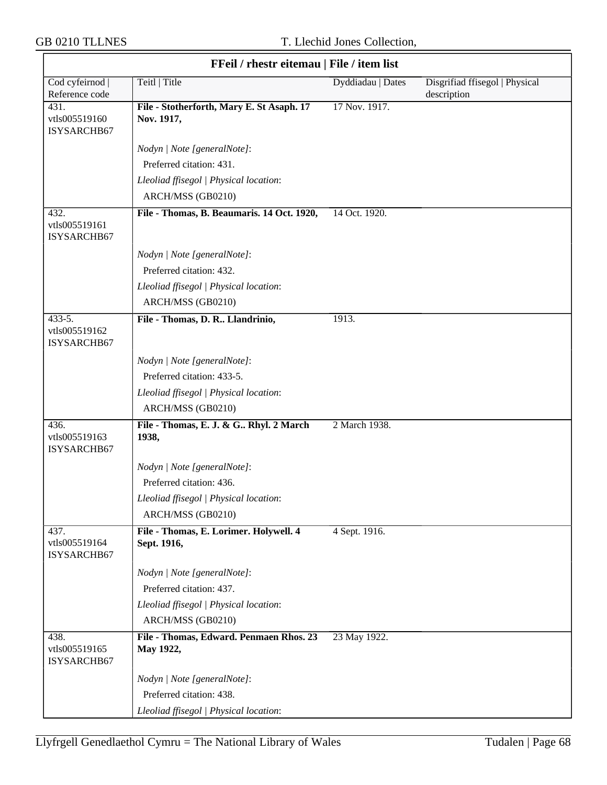| FFeil / rhestr eitemau   File / item list |                                                         |                   |                                               |
|-------------------------------------------|---------------------------------------------------------|-------------------|-----------------------------------------------|
| Cod cyfeirnod  <br>Reference code         | Teitl   Title                                           | Dyddiadau   Dates | Disgrifiad ffisegol   Physical<br>description |
| 431.<br>vtls005519160<br>ISYSARCHB67      | File - Stotherforth, Mary E. St Asaph. 17<br>Nov. 1917, | 17 Nov. 1917.     |                                               |
|                                           | Nodyn   Note [generalNote]:                             |                   |                                               |
|                                           | Preferred citation: 431.                                |                   |                                               |
|                                           | Lleoliad ffisegol   Physical location:                  |                   |                                               |
|                                           | ARCH/MSS (GB0210)                                       |                   |                                               |
| 432.<br>vtls005519161<br>ISYSARCHB67      | File - Thomas, B. Beaumaris. 14 Oct. 1920,              | 14 Oct. 1920.     |                                               |
|                                           | Nodyn   Note [generalNote]:                             |                   |                                               |
|                                           | Preferred citation: 432.                                |                   |                                               |
|                                           | Lleoliad ffisegol   Physical location:                  |                   |                                               |
|                                           | ARCH/MSS (GB0210)                                       |                   |                                               |
| 433-5.<br>vtls005519162<br>ISYSARCHB67    | File - Thomas, D. R Llandrinio,                         | 1913.             |                                               |
|                                           | Nodyn   Note [generalNote]:                             |                   |                                               |
|                                           | Preferred citation: 433-5.                              |                   |                                               |
|                                           | Lleoliad ffisegol   Physical location:                  |                   |                                               |
|                                           | ARCH/MSS (GB0210)                                       |                   |                                               |
| 436.<br>vtls005519163<br>ISYSARCHB67      | File - Thomas, E. J. & G Rhyl. 2 March<br>1938,         | 2 March 1938.     |                                               |
|                                           | Nodyn   Note [generalNote]:                             |                   |                                               |
|                                           | Preferred citation: 436.                                |                   |                                               |
|                                           | Lleoliad ffisegol   Physical location:                  |                   |                                               |
|                                           | ARCH/MSS (GB0210)                                       |                   |                                               |
| 437.<br>vtls005519164<br>ISYSARCHB67      | File - Thomas, E. Lorimer. Holywell. 4<br>Sept. 1916,   | 4 Sept. 1916.     |                                               |
|                                           | Nodyn   Note [generalNote]:                             |                   |                                               |
|                                           | Preferred citation: 437.                                |                   |                                               |
|                                           | Lleoliad ffisegol   Physical location:                  |                   |                                               |
|                                           | ARCH/MSS (GB0210)                                       |                   |                                               |
| 438.<br>vtls005519165<br>ISYSARCHB67      | File - Thomas, Edward. Penmaen Rhos. 23<br>May 1922,    | 23 May 1922.      |                                               |
|                                           | Nodyn   Note [generalNote]:                             |                   |                                               |
|                                           | Preferred citation: 438.                                |                   |                                               |
|                                           | Lleoliad ffisegol   Physical location:                  |                   |                                               |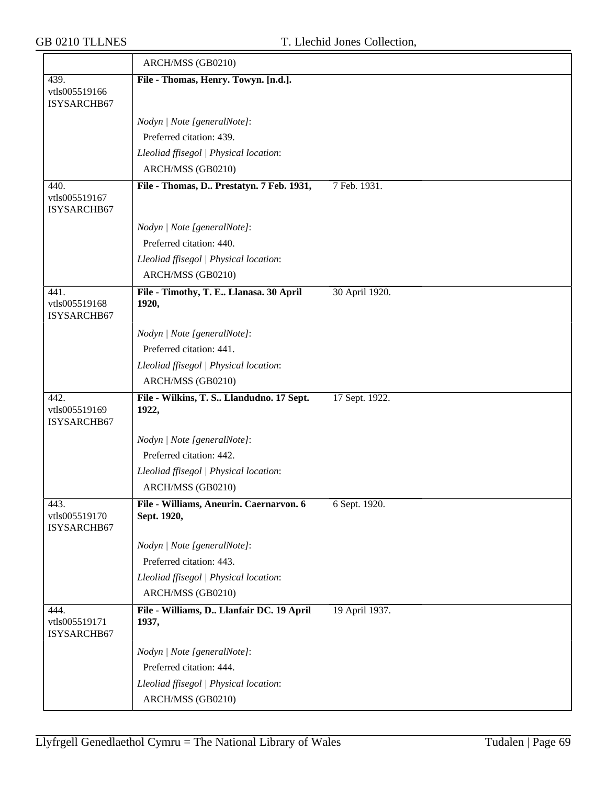|                                      | ARCH/MSS (GB0210)                                      |                |
|--------------------------------------|--------------------------------------------------------|----------------|
| 439.<br>vtls005519166<br>ISYSARCHB67 | File - Thomas, Henry. Towyn. [n.d.].                   |                |
|                                      | Nodyn   Note [generalNote]:                            |                |
|                                      | Preferred citation: 439.                               |                |
|                                      | Lleoliad ffisegol   Physical location:                 |                |
|                                      | ARCH/MSS (GB0210)                                      |                |
| 440.                                 | File - Thomas, D Prestatyn. 7 Feb. 1931,               | 7 Feb. 1931.   |
| vtls005519167<br>ISYSARCHB67         |                                                        |                |
|                                      | Nodyn   Note [generalNote]:                            |                |
|                                      | Preferred citation: 440.                               |                |
|                                      | Lleoliad ffisegol   Physical location:                 |                |
|                                      | ARCH/MSS (GB0210)                                      |                |
| 441.<br>vtls005519168<br>ISYSARCHB67 | File - Timothy, T. E Llanasa. 30 April<br>1920,        | 30 April 1920. |
|                                      | Nodyn   Note [generalNote]:                            |                |
|                                      | Preferred citation: 441.                               |                |
|                                      | Lleoliad ffisegol   Physical location:                 |                |
|                                      | ARCH/MSS (GB0210)                                      |                |
| 442.<br>vtls005519169<br>ISYSARCHB67 | File - Wilkins, T. S Llandudno. 17 Sept.<br>1922,      | 17 Sept. 1922. |
|                                      | Nodyn   Note [generalNote]:                            |                |
|                                      | Preferred citation: 442.                               |                |
|                                      | Lleoliad ffisegol   Physical location:                 |                |
|                                      | ARCH/MSS (GB0210)                                      |                |
| 443.<br>vtls005519170<br>ISYSARCHB67 | File - Williams, Aneurin. Caernarvon. 6<br>Sept. 1920, | 6 Sept. 1920.  |
|                                      | Nodyn   Note [generalNote]:                            |                |
|                                      | Preferred citation: 443.                               |                |
|                                      | Lleoliad ffisegol   Physical location:                 |                |
|                                      | ARCH/MSS (GB0210)                                      |                |
| 444.<br>vtls005519171<br>ISYSARCHB67 | File - Williams, D Llanfair DC. 19 April<br>1937,      | 19 April 1937. |
|                                      | Nodyn   Note [generalNote]:                            |                |
|                                      | Preferred citation: 444.                               |                |
|                                      | Lleoliad ffisegol   Physical location:                 |                |
|                                      | ARCH/MSS (GB0210)                                      |                |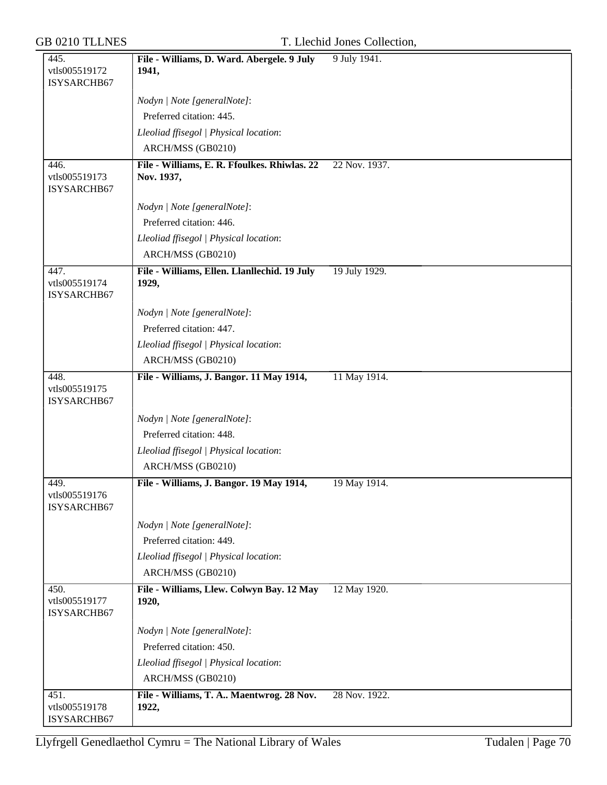| 445.                                 | File - Williams, D. Ward. Abergele. 9 July                 | 9 July 1941.  |
|--------------------------------------|------------------------------------------------------------|---------------|
| vtls005519172<br>ISYSARCHB67         | 1941,                                                      |               |
|                                      | Nodyn   Note [generalNote]:                                |               |
|                                      | Preferred citation: 445.                                   |               |
|                                      | Lleoliad ffisegol   Physical location:                     |               |
|                                      | ARCH/MSS (GB0210)                                          |               |
| 446.<br>vtls005519173<br>ISYSARCHB67 | File - Williams, E. R. Ffoulkes. Rhiwlas. 22<br>Nov. 1937, | 22 Nov. 1937. |
|                                      | Nodyn   Note [generalNote]:                                |               |
|                                      | Preferred citation: 446.                                   |               |
|                                      | Lleoliad ffisegol   Physical location:                     |               |
|                                      | ARCH/MSS (GB0210)                                          |               |
| 447.<br>vtls005519174<br>ISYSARCHB67 | File - Williams, Ellen. Llanllechid. 19 July<br>1929,      | 19 July 1929. |
|                                      | Nodyn   Note [generalNote]:                                |               |
|                                      | Preferred citation: 447.                                   |               |
|                                      | Lleoliad ffisegol   Physical location:                     |               |
|                                      | ARCH/MSS (GB0210)                                          |               |
| 448.<br>vtls005519175<br>ISYSARCHB67 | File - Williams, J. Bangor. 11 May 1914,                   | 11 May 1914.  |
|                                      | Nodyn   Note [generalNote]:                                |               |
|                                      | Preferred citation: 448.                                   |               |
|                                      | Lleoliad ffisegol   Physical location:                     |               |
|                                      | ARCH/MSS (GB0210)                                          |               |
| 449.<br>vtls005519176<br>ISYSARCHB67 | File - Williams, J. Bangor. 19 May 1914,                   | 19 May 1914.  |
|                                      | Nodyn   Note [generalNote]:                                |               |
|                                      | Preferred citation: 449.                                   |               |
|                                      | Lleoliad ffisegol   Physical location:                     |               |
|                                      | ARCH/MSS (GB0210)                                          |               |
| 450.<br>vtls005519177<br>ISYSARCHB67 | File - Williams, Llew. Colwyn Bay. 12 May<br>1920,         | 12 May 1920.  |
|                                      | Nodyn   Note [generalNote]:                                |               |
|                                      | Preferred citation: 450.                                   |               |
|                                      | Lleoliad ffisegol   Physical location:                     |               |
|                                      | ARCH/MSS (GB0210)                                          |               |
| 451.<br>vtls005519178<br>ISYSARCHB67 | File - Williams, T. A Maentwrog. 28 Nov.<br>1922,          | 28 Nov. 1922. |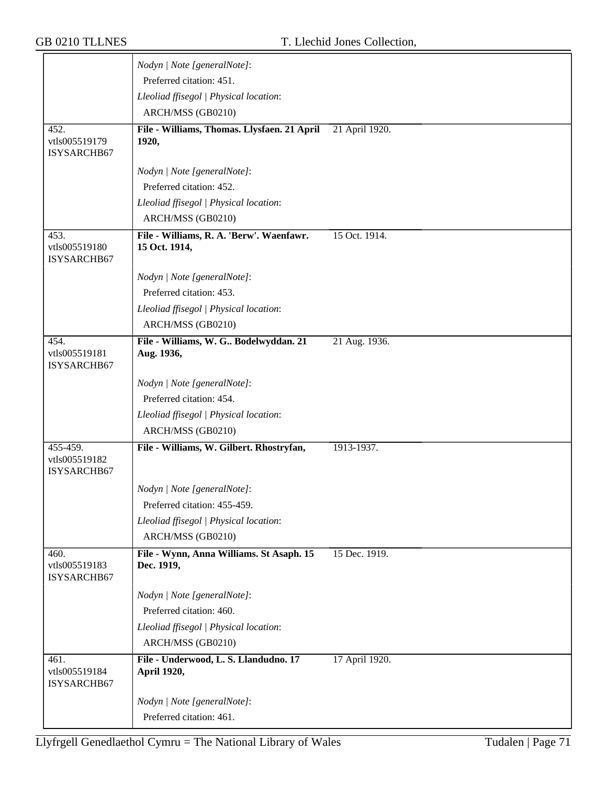|                                      | Nodyn   Note [generalNote]:                               |                |
|--------------------------------------|-----------------------------------------------------------|----------------|
|                                      | Preferred citation: 451.                                  |                |
|                                      | Lleoliad ffisegol   Physical location:                    |                |
|                                      | ARCH/MSS (GB0210)                                         |                |
| 452.                                 | File - Williams, Thomas. Llysfaen. 21 April               | 21 April 1920. |
| vtls005519179<br>ISYSARCHB67         | 1920,                                                     |                |
|                                      | Nodyn   Note [generalNote]:                               |                |
|                                      | Preferred citation: 452.                                  |                |
|                                      |                                                           |                |
|                                      | Lleoliad ffisegol   Physical location:                    |                |
|                                      | ARCH/MSS (GB0210)                                         |                |
| 453.<br>vtls005519180<br>ISYSARCHB67 | File - Williams, R. A. 'Berw'. Waenfawr.<br>15 Oct. 1914, | 15 Oct. 1914.  |
|                                      | Nodyn   Note [generalNote]:                               |                |
|                                      | Preferred citation: 453.                                  |                |
|                                      | Lleoliad ffisegol   Physical location:                    |                |
|                                      | ARCH/MSS (GB0210)                                         |                |
| 454.                                 | File - Williams, W. G Bodelwyddan. 21                     | 21 Aug. 1936.  |
| vtls005519181<br>ISYSARCHB67         | Aug. 1936,                                                |                |
|                                      | Nodyn   Note [generalNote]:                               |                |
|                                      | Preferred citation: 454.                                  |                |
|                                      | Lleoliad ffisegol   Physical location:                    |                |
|                                      | ARCH/MSS (GB0210)                                         |                |
| 455-459.                             | File - Williams, W. Gilbert. Rhostryfan,                  | 1913-1937.     |
| vtls005519182<br>ISYSARCHB67         |                                                           |                |
|                                      | Nodyn   Note [generalNote]:                               |                |
|                                      | Preferred citation: 455-459.                              |                |
|                                      | Lleoliad ffisegol   Physical location:                    |                |
|                                      | ARCH/MSS (GB0210)                                         |                |
| 460.                                 | File - Wynn, Anna Williams. St Asaph. 15                  | 15 Dec. 1919.  |
| vtls005519183<br>ISYSARCHB67         | Dec. 1919,                                                |                |
|                                      | Nodyn   Note [generalNote]:                               |                |
|                                      | Preferred citation: 460.                                  |                |
|                                      | Lleoliad ffisegol   Physical location:                    |                |
|                                      | ARCH/MSS (GB0210)                                         |                |
| 461.<br>vtls005519184<br>ISYSARCHB67 | File - Underwood, L. S. Llandudno. 17<br>April 1920,      | 17 April 1920. |
|                                      | Nodyn   Note [generalNote]:                               |                |
|                                      | Preferred citation: 461.                                  |                |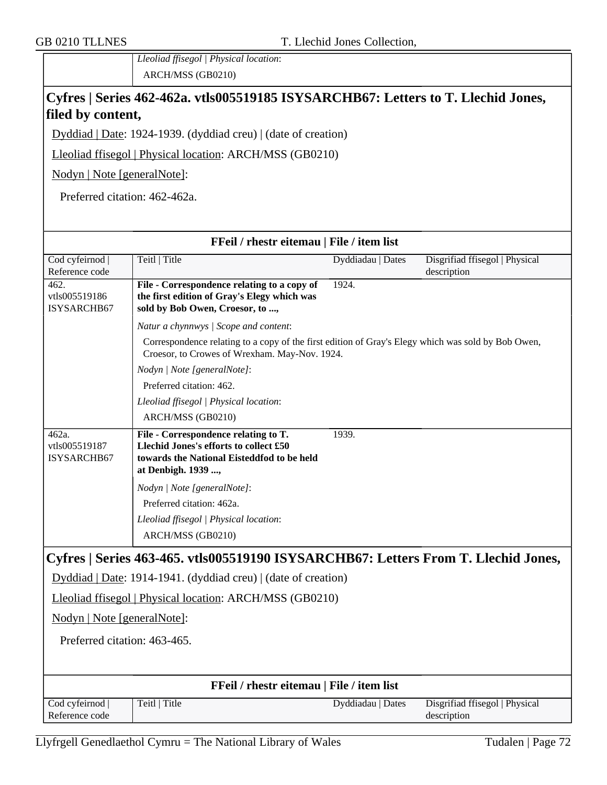*Lleoliad ffisegol | Physical location*: ARCH/MSS (GB0210)

### **Cyfres | Series 462-462a. vtls005519185 ISYSARCHB67: Letters to T. Llechid Jones, filed by content,**

Dyddiad | Date: 1924-1939. (dyddiad creu) | (date of creation)

Lleoliad ffisegol | Physical location: ARCH/MSS (GB0210)

Nodyn | Note [generalNote]:

Preferred citation: 462-462a.

| Cod cyfeirnod  <br>Teitl   Title<br>Dyddiadau   Dates<br>Disgrifiad ffisegol   Physical<br>Reference code<br>description<br>1924.<br>462.<br>File - Correspondence relating to a copy of<br>vtls005519186<br>the first edition of Gray's Elegy which was<br>ISYSARCHB67<br>sold by Bob Owen, Croesor, to ,<br>Natur a chynnwys / Scope and content:<br>Correspondence relating to a copy of the first edition of Gray's Elegy which was sold by Bob Owen,<br>Croesor, to Crowes of Wrexham. May-Nov. 1924.<br>Nodyn   Note [generalNote]:<br>Preferred citation: 462.<br>Lleoliad ffisegol   Physical location:<br>ARCH/MSS (GB0210)<br>File - Correspondence relating to T.<br>462a.<br>1939.<br>Llechid Jones's efforts to collect £50<br>vtls005519187<br>towards the National Eisteddfod to be held<br><b>ISYSARCHB67</b><br>at Denbigh. 1939 ,<br>Nodyn   Note [generalNote]:<br>Preferred citation: 462a.<br>Lleoliad ffisegol   Physical location:<br>ARCH/MSS (GB0210)<br>Cyfres   Series 463-465. vtls005519190 ISYSARCHB67: Letters From T. Llechid Jones,<br>Dyddiad   Date: 1914-1941. (dyddiad creu)   (date of creation)<br>Lleoliad ffisegol   Physical location: ARCH/MSS (GB0210)<br>Nodyn   Note [generalNote]:<br>Preferred citation: 463-465.<br>FFeil / rhestr eitemau   File / item list<br>Cod cyfeirnod  <br>Teitl   Title<br>Dyddiadau   Dates<br>Disgrifiad ffisegol   Physical<br>Reference code<br>description | FFeil / rhestr eitemau   File / item list |  |  |  |  |  |  |
|--------------------------------------------------------------------------------------------------------------------------------------------------------------------------------------------------------------------------------------------------------------------------------------------------------------------------------------------------------------------------------------------------------------------------------------------------------------------------------------------------------------------------------------------------------------------------------------------------------------------------------------------------------------------------------------------------------------------------------------------------------------------------------------------------------------------------------------------------------------------------------------------------------------------------------------------------------------------------------------------------------------------------------------------------------------------------------------------------------------------------------------------------------------------------------------------------------------------------------------------------------------------------------------------------------------------------------------------------------------------------------------------------------------------------------------------|-------------------------------------------|--|--|--|--|--|--|
|                                                                                                                                                                                                                                                                                                                                                                                                                                                                                                                                                                                                                                                                                                                                                                                                                                                                                                                                                                                                                                                                                                                                                                                                                                                                                                                                                                                                                                            |                                           |  |  |  |  |  |  |
|                                                                                                                                                                                                                                                                                                                                                                                                                                                                                                                                                                                                                                                                                                                                                                                                                                                                                                                                                                                                                                                                                                                                                                                                                                                                                                                                                                                                                                            |                                           |  |  |  |  |  |  |
|                                                                                                                                                                                                                                                                                                                                                                                                                                                                                                                                                                                                                                                                                                                                                                                                                                                                                                                                                                                                                                                                                                                                                                                                                                                                                                                                                                                                                                            |                                           |  |  |  |  |  |  |
|                                                                                                                                                                                                                                                                                                                                                                                                                                                                                                                                                                                                                                                                                                                                                                                                                                                                                                                                                                                                                                                                                                                                                                                                                                                                                                                                                                                                                                            |                                           |  |  |  |  |  |  |
|                                                                                                                                                                                                                                                                                                                                                                                                                                                                                                                                                                                                                                                                                                                                                                                                                                                                                                                                                                                                                                                                                                                                                                                                                                                                                                                                                                                                                                            |                                           |  |  |  |  |  |  |
|                                                                                                                                                                                                                                                                                                                                                                                                                                                                                                                                                                                                                                                                                                                                                                                                                                                                                                                                                                                                                                                                                                                                                                                                                                                                                                                                                                                                                                            |                                           |  |  |  |  |  |  |
|                                                                                                                                                                                                                                                                                                                                                                                                                                                                                                                                                                                                                                                                                                                                                                                                                                                                                                                                                                                                                                                                                                                                                                                                                                                                                                                                                                                                                                            |                                           |  |  |  |  |  |  |
|                                                                                                                                                                                                                                                                                                                                                                                                                                                                                                                                                                                                                                                                                                                                                                                                                                                                                                                                                                                                                                                                                                                                                                                                                                                                                                                                                                                                                                            |                                           |  |  |  |  |  |  |
|                                                                                                                                                                                                                                                                                                                                                                                                                                                                                                                                                                                                                                                                                                                                                                                                                                                                                                                                                                                                                                                                                                                                                                                                                                                                                                                                                                                                                                            |                                           |  |  |  |  |  |  |
|                                                                                                                                                                                                                                                                                                                                                                                                                                                                                                                                                                                                                                                                                                                                                                                                                                                                                                                                                                                                                                                                                                                                                                                                                                                                                                                                                                                                                                            |                                           |  |  |  |  |  |  |
|                                                                                                                                                                                                                                                                                                                                                                                                                                                                                                                                                                                                                                                                                                                                                                                                                                                                                                                                                                                                                                                                                                                                                                                                                                                                                                                                                                                                                                            |                                           |  |  |  |  |  |  |
|                                                                                                                                                                                                                                                                                                                                                                                                                                                                                                                                                                                                                                                                                                                                                                                                                                                                                                                                                                                                                                                                                                                                                                                                                                                                                                                                                                                                                                            |                                           |  |  |  |  |  |  |
|                                                                                                                                                                                                                                                                                                                                                                                                                                                                                                                                                                                                                                                                                                                                                                                                                                                                                                                                                                                                                                                                                                                                                                                                                                                                                                                                                                                                                                            |                                           |  |  |  |  |  |  |
|                                                                                                                                                                                                                                                                                                                                                                                                                                                                                                                                                                                                                                                                                                                                                                                                                                                                                                                                                                                                                                                                                                                                                                                                                                                                                                                                                                                                                                            |                                           |  |  |  |  |  |  |
|                                                                                                                                                                                                                                                                                                                                                                                                                                                                                                                                                                                                                                                                                                                                                                                                                                                                                                                                                                                                                                                                                                                                                                                                                                                                                                                                                                                                                                            |                                           |  |  |  |  |  |  |
|                                                                                                                                                                                                                                                                                                                                                                                                                                                                                                                                                                                                                                                                                                                                                                                                                                                                                                                                                                                                                                                                                                                                                                                                                                                                                                                                                                                                                                            |                                           |  |  |  |  |  |  |
|                                                                                                                                                                                                                                                                                                                                                                                                                                                                                                                                                                                                                                                                                                                                                                                                                                                                                                                                                                                                                                                                                                                                                                                                                                                                                                                                                                                                                                            |                                           |  |  |  |  |  |  |
|                                                                                                                                                                                                                                                                                                                                                                                                                                                                                                                                                                                                                                                                                                                                                                                                                                                                                                                                                                                                                                                                                                                                                                                                                                                                                                                                                                                                                                            |                                           |  |  |  |  |  |  |
|                                                                                                                                                                                                                                                                                                                                                                                                                                                                                                                                                                                                                                                                                                                                                                                                                                                                                                                                                                                                                                                                                                                                                                                                                                                                                                                                                                                                                                            |                                           |  |  |  |  |  |  |
|                                                                                                                                                                                                                                                                                                                                                                                                                                                                                                                                                                                                                                                                                                                                                                                                                                                                                                                                                                                                                                                                                                                                                                                                                                                                                                                                                                                                                                            |                                           |  |  |  |  |  |  |
|                                                                                                                                                                                                                                                                                                                                                                                                                                                                                                                                                                                                                                                                                                                                                                                                                                                                                                                                                                                                                                                                                                                                                                                                                                                                                                                                                                                                                                            |                                           |  |  |  |  |  |  |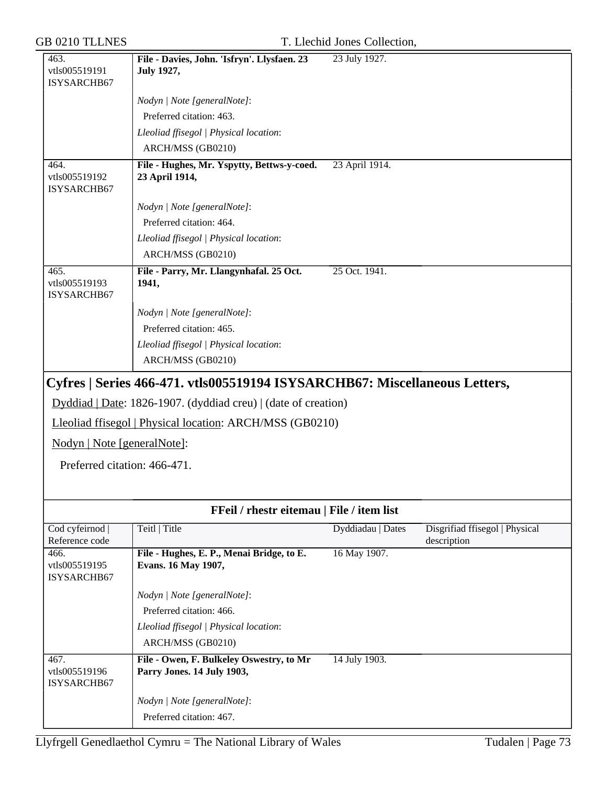| 463.                                 | File - Davies, John. 'Isfryn'. Llysfaen. 23                                | 23 July 1927.     |                                               |
|--------------------------------------|----------------------------------------------------------------------------|-------------------|-----------------------------------------------|
| vtls005519191<br>ISYSARCHB67         | <b>July 1927,</b>                                                          |                   |                                               |
|                                      | Nodyn   Note [generalNote]:                                                |                   |                                               |
|                                      | Preferred citation: 463.                                                   |                   |                                               |
|                                      | Lleoliad ffisegol   Physical location:                                     |                   |                                               |
|                                      | ARCH/MSS (GB0210)                                                          |                   |                                               |
| 464.                                 | File - Hughes, Mr. Yspytty, Bettws-y-coed.                                 | 23 April 1914.    |                                               |
| vtls005519192<br>ISYSARCHB67         | 23 April 1914,                                                             |                   |                                               |
|                                      | Nodyn   Note [generalNote]:                                                |                   |                                               |
|                                      | Preferred citation: 464.                                                   |                   |                                               |
|                                      | Lleoliad ffisegol   Physical location:                                     |                   |                                               |
|                                      | ARCH/MSS (GB0210)                                                          |                   |                                               |
| 465.<br>vtls005519193<br>ISYSARCHB67 | File - Parry, Mr. Llangynhafal. 25 Oct.<br>1941,                           | 25 Oct. 1941.     |                                               |
|                                      | Nodyn   Note [generalNote]:                                                |                   |                                               |
|                                      | Preferred citation: 465.                                                   |                   |                                               |
|                                      | Lleoliad ffisegol   Physical location:                                     |                   |                                               |
|                                      | ARCH/MSS (GB0210)                                                          |                   |                                               |
|                                      | Cyfres   Series 466-471. vtls005519194 ISYSARCHB67: Miscellaneous Letters, |                   |                                               |
|                                      | Dyddiad   Date: 1826-1907. (dyddiad creu)   (date of creation)             |                   |                                               |
|                                      | Lleoliad ffisegol   Physical location: ARCH/MSS (GB0210)                   |                   |                                               |
| Nodyn   Note [generalNote]:          |                                                                            |                   |                                               |
| Preferred citation: 466-471.         |                                                                            |                   |                                               |
|                                      |                                                                            |                   |                                               |
|                                      | FFeil / rhestr eitemau   File / item list                                  |                   |                                               |
| Cod cyfeirnod<br>Reference code      | Teitl   Title                                                              | Dyddiadau   Dates | Disgrifiad ffisegol   Physical<br>description |
| 466.<br>vtls005519195<br>ISYSARCHB67 | File - Hughes, E. P., Menai Bridge, to E.<br>Evans. 16 May 1907,           | 16 May 1907.      |                                               |
|                                      | Nodyn   Note [generalNote]:                                                |                   |                                               |
|                                      | Preferred citation: 466.                                                   |                   |                                               |
|                                      | Lleoliad ffisegol   Physical location:                                     |                   |                                               |
|                                      | ARCH/MSS (GB0210)                                                          |                   |                                               |
| 467.<br>vtls005519196<br>ISYSARCHB67 | File - Owen, F. Bulkeley Oswestry, to Mr<br>Parry Jones. 14 July 1903,     | 14 July 1903.     |                                               |
|                                      | Nodyn   Note [generalNote]:                                                |                   |                                               |
|                                      | Preferred citation: 467.                                                   |                   |                                               |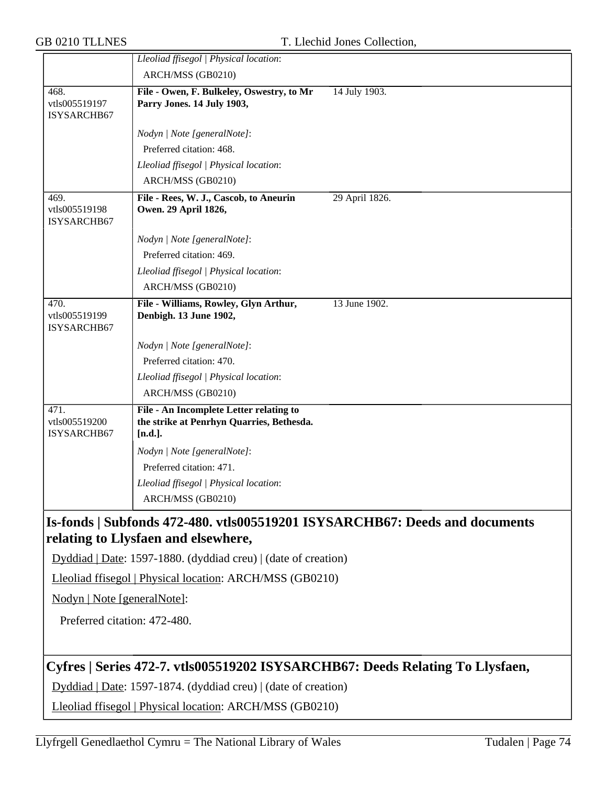|                                                          | Lleoliad ffisegol   Physical location:                                                                             |
|----------------------------------------------------------|--------------------------------------------------------------------------------------------------------------------|
|                                                          | ARCH/MSS (GB0210)                                                                                                  |
| 468.<br>vtls005519197<br>ISYSARCHB67                     | 14 July 1903.<br>File - Owen, F. Bulkeley, Oswestry, to Mr<br>Parry Jones. 14 July 1903,                           |
|                                                          | Nodyn   Note [generalNote]:                                                                                        |
|                                                          | Preferred citation: 468.                                                                                           |
|                                                          | Lleoliad ffisegol   Physical location:                                                                             |
|                                                          | ARCH/MSS (GB0210)                                                                                                  |
| 469.<br>vtls005519198<br>ISYSARCHB67                     | File - Rees, W. J., Cascob, to Aneurin<br>29 April 1826.<br>Owen. 29 April 1826,                                   |
|                                                          | Nodyn   Note [generalNote]:                                                                                        |
|                                                          | Preferred citation: 469.                                                                                           |
|                                                          | Lleoliad ffisegol   Physical location:                                                                             |
|                                                          | ARCH/MSS (GB0210)                                                                                                  |
| 470.<br>vtls005519199<br>ISYSARCHB67                     | File - Williams, Rowley, Glyn Arthur,<br>13 June 1902.<br>Denbigh. 13 June 1902,                                   |
|                                                          | Nodyn   Note [generalNote]:                                                                                        |
|                                                          | Preferred citation: 470.                                                                                           |
|                                                          | Lleoliad ffisegol   Physical location:                                                                             |
|                                                          | ARCH/MSS (GB0210)                                                                                                  |
| 471.<br>vtls005519200<br>ISYSARCHB67                     | File - An Incomplete Letter relating to<br>the strike at Penrhyn Quarries, Bethesda.<br>$[n.d.]$ .                 |
|                                                          | Nodyn   Note [generalNote]:                                                                                        |
|                                                          | Preferred citation: 471.                                                                                           |
|                                                          | Lleoliad ffisegol   Physical location:                                                                             |
|                                                          | ARCH/MSS (GB0210)                                                                                                  |
|                                                          | Is-fonds   Subfonds 472-480. vtls005519201 ISYSARCHB67: Deeds and documents<br>relating to Llysfaen and elsewhere, |
|                                                          | Dyddiad   Date: 1597-1880. (dyddiad creu)   (date of creation)                                                     |
| Lleoliad ffisegol   Physical location: ARCH/MSS (GB0210) |                                                                                                                    |
| Nodyn   Note [generalNote]:                              |                                                                                                                    |
| Preferred citation: 472-480.                             |                                                                                                                    |
|                                                          | Cyfres   Series 472-7. vtls005519202 ISYSARCHB67: Deeds Relating To Llysfaen,                                      |
|                                                          | Dyddiad   Date: 1597-1874. (dyddiad creu)   (date of creation)                                                     |
|                                                          | Lleoliad ffisegol   Physical location: ARCH/MSS (GB0210)                                                           |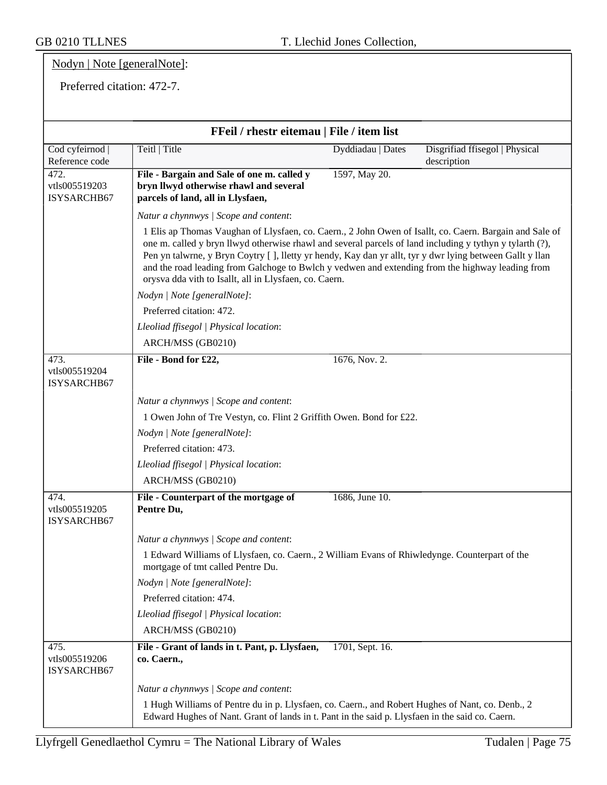## Nodyn | Note [generalNote]:

#### Preferred citation: 472-7.

| FFeil / rhestr eitemau   File / item list |                                                                                                                                                                                                                                                                                                                                                                                                                                                                                               |                   |                                               |
|-------------------------------------------|-----------------------------------------------------------------------------------------------------------------------------------------------------------------------------------------------------------------------------------------------------------------------------------------------------------------------------------------------------------------------------------------------------------------------------------------------------------------------------------------------|-------------------|-----------------------------------------------|
| Cod cyfeirnod  <br>Reference code         | Teitl   Title                                                                                                                                                                                                                                                                                                                                                                                                                                                                                 | Dyddiadau   Dates | Disgrifiad ffisegol   Physical<br>description |
| 472.<br>vtls005519203<br>ISYSARCHB67      | File - Bargain and Sale of one m. called y<br>bryn llwyd otherwise rhawl and several<br>parcels of land, all in Llysfaen,                                                                                                                                                                                                                                                                                                                                                                     | 1597, May 20.     |                                               |
|                                           | Natur a chynnwys / Scope and content:                                                                                                                                                                                                                                                                                                                                                                                                                                                         |                   |                                               |
|                                           | 1 Elis ap Thomas Vaughan of Llysfaen, co. Caern., 2 John Owen of Isallt, co. Caern. Bargain and Sale of<br>one m. called y bryn llwyd otherwise rhawl and several parcels of land including y tythyn y tylarth (?),<br>Pen yn talwrne, y Bryn Coytry [], lletty yr hendy, Kay dan yr allt, tyr y dwr lying between Gallt y llan<br>and the road leading from Galchoge to Bwlch y vedwen and extending from the highway leading from<br>orysva dda vith to Isallt, all in Llysfaen, co. Caern. |                   |                                               |
|                                           | Nodyn   Note [generalNote]:                                                                                                                                                                                                                                                                                                                                                                                                                                                                   |                   |                                               |
|                                           | Preferred citation: 472.                                                                                                                                                                                                                                                                                                                                                                                                                                                                      |                   |                                               |
|                                           | Lleoliad ffisegol   Physical location:                                                                                                                                                                                                                                                                                                                                                                                                                                                        |                   |                                               |
|                                           | ARCH/MSS (GB0210)                                                                                                                                                                                                                                                                                                                                                                                                                                                                             |                   |                                               |
| 473.<br>vtls005519204<br>ISYSARCHB67      | File - Bond for £22,                                                                                                                                                                                                                                                                                                                                                                                                                                                                          | 1676, Nov. 2.     |                                               |
|                                           | Natur a chynnwys / Scope and content:                                                                                                                                                                                                                                                                                                                                                                                                                                                         |                   |                                               |
|                                           | 1 Owen John of Tre Vestyn, co. Flint 2 Griffith Owen. Bond for £22.                                                                                                                                                                                                                                                                                                                                                                                                                           |                   |                                               |
|                                           | Nodyn   Note [generalNote]:                                                                                                                                                                                                                                                                                                                                                                                                                                                                   |                   |                                               |
|                                           | Preferred citation: 473.                                                                                                                                                                                                                                                                                                                                                                                                                                                                      |                   |                                               |
|                                           | Lleoliad ffisegol   Physical location:                                                                                                                                                                                                                                                                                                                                                                                                                                                        |                   |                                               |
|                                           | ARCH/MSS (GB0210)                                                                                                                                                                                                                                                                                                                                                                                                                                                                             |                   |                                               |
| 474.<br>vtls005519205<br>ISYSARCHB67      | File - Counterpart of the mortgage of<br>Pentre Du,                                                                                                                                                                                                                                                                                                                                                                                                                                           | 1686, June 10.    |                                               |
|                                           | Natur a chynnwys / Scope and content:                                                                                                                                                                                                                                                                                                                                                                                                                                                         |                   |                                               |
|                                           | 1 Edward Williams of Llysfaen, co. Caern., 2 William Evans of Rhiwledynge. Counterpart of the<br>mortgage of tmt called Pentre Du.                                                                                                                                                                                                                                                                                                                                                            |                   |                                               |
|                                           | Nodyn   Note [generalNote]:                                                                                                                                                                                                                                                                                                                                                                                                                                                                   |                   |                                               |
|                                           | Preferred citation: 474.                                                                                                                                                                                                                                                                                                                                                                                                                                                                      |                   |                                               |
|                                           | Lleoliad ffisegol   Physical location:                                                                                                                                                                                                                                                                                                                                                                                                                                                        |                   |                                               |
|                                           | ARCH/MSS (GB0210)                                                                                                                                                                                                                                                                                                                                                                                                                                                                             |                   |                                               |
| 475.<br>vtls005519206<br>ISYSARCHB67      | File - Grant of lands in t. Pant, p. Llysfaen,<br>co. Caern.,                                                                                                                                                                                                                                                                                                                                                                                                                                 | 1701, Sept. 16.   |                                               |
|                                           | Natur a chynnwys / Scope and content:                                                                                                                                                                                                                                                                                                                                                                                                                                                         |                   |                                               |
|                                           | 1 Hugh Williams of Pentre du in p. Llysfaen, co. Caern., and Robert Hughes of Nant, co. Denb., 2<br>Edward Hughes of Nant. Grant of lands in t. Pant in the said p. Llysfaen in the said co. Caern.                                                                                                                                                                                                                                                                                           |                   |                                               |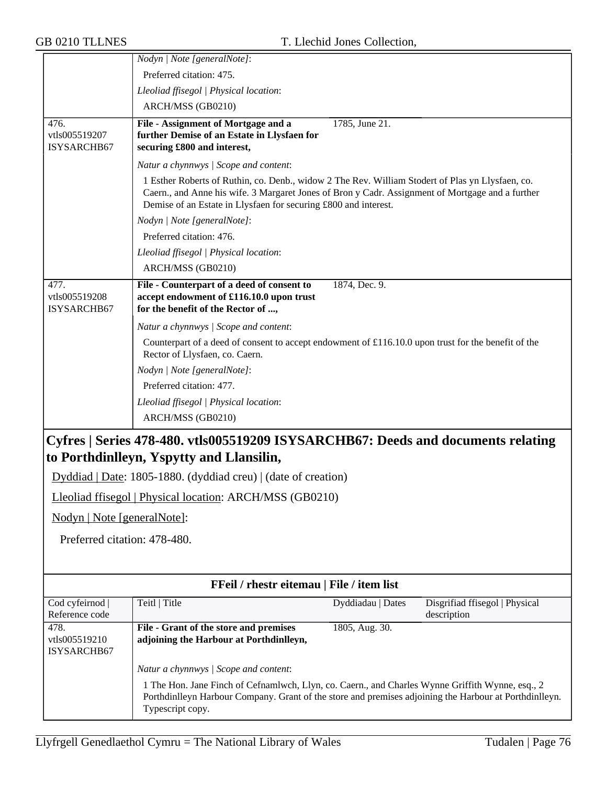|                                      | Nodyn   Note [generalNote]:                                                                                                                                                                                                                                             |
|--------------------------------------|-------------------------------------------------------------------------------------------------------------------------------------------------------------------------------------------------------------------------------------------------------------------------|
|                                      | Preferred citation: 475.                                                                                                                                                                                                                                                |
|                                      | Lleoliad ffisegol   Physical location:                                                                                                                                                                                                                                  |
|                                      | ARCH/MSS (GB0210)                                                                                                                                                                                                                                                       |
| 476.<br>vtls005519207<br>ISYSARCHB67 | File - Assignment of Mortgage and a<br>1785, June 21.<br>further Demise of an Estate in Llysfaen for<br>securing £800 and interest,                                                                                                                                     |
|                                      | Natur a chynnwys / Scope and content:                                                                                                                                                                                                                                   |
|                                      | 1 Esther Roberts of Ruthin, co. Denb., widow 2 The Rev. William Stodert of Plas yn Llysfaen, co.<br>Caern., and Anne his wife. 3 Margaret Jones of Bron y Cadr. Assignment of Mortgage and a further<br>Demise of an Estate in Llysfaen for securing £800 and interest. |
|                                      | Nodyn   Note [generalNote]:                                                                                                                                                                                                                                             |
|                                      | Preferred citation: 476.                                                                                                                                                                                                                                                |
|                                      | Lleoliad ffisegol   Physical location:                                                                                                                                                                                                                                  |
|                                      | ARCH/MSS (GB0210)                                                                                                                                                                                                                                                       |
| 477.<br>vtls005519208<br>ISYSARCHB67 | File - Counterpart of a deed of consent to<br>1874, Dec. 9.<br>accept endowment of £116.10.0 upon trust<br>for the benefit of the Rector of ,                                                                                                                           |
|                                      | Natur a chynnwys / Scope and content:                                                                                                                                                                                                                                   |
|                                      | Counterpart of a deed of consent to accept endowment of £116.10.0 upon trust for the benefit of the<br>Rector of Llysfaen, co. Caern.                                                                                                                                   |
|                                      | Nodyn   Note [generalNote]:                                                                                                                                                                                                                                             |
|                                      | Preferred citation: 477.                                                                                                                                                                                                                                                |
|                                      | Lleoliad ffisegol   Physical location:                                                                                                                                                                                                                                  |
|                                      | ARCH/MSS (GB0210)                                                                                                                                                                                                                                                       |
|                                      | Cyfres   Series 478-480. vtls005519209 ISYSARCHB67: Deeds and documents relating<br>to Porthdinlleyn, Yspytty and Llansilin,                                                                                                                                            |

Dyddiad | Date: 1805-1880. (dyddiad creu) | (date of creation)

Lleoliad ffisegol | Physical location: ARCH/MSS (GB0210)

Nodyn | Note [generalNote]:

Preferred citation: 478-480.

| FFeil / rhestr eitemau   File / item list |                                                                                                                                                                                                                                                                         |                   |                                |
|-------------------------------------------|-------------------------------------------------------------------------------------------------------------------------------------------------------------------------------------------------------------------------------------------------------------------------|-------------------|--------------------------------|
| Cod cyfeirnod                             | Teitl   Title                                                                                                                                                                                                                                                           | Dyddiadau   Dates | Disgrifiad ffisegol   Physical |
| Reference code                            |                                                                                                                                                                                                                                                                         |                   | description                    |
| 478.                                      | File - Grant of the store and premises                                                                                                                                                                                                                                  | 1805, Aug. 30.    |                                |
| vtls005519210                             | adjoining the Harbour at Porthdinlleyn,                                                                                                                                                                                                                                 |                   |                                |
| ISYSARCHB67                               |                                                                                                                                                                                                                                                                         |                   |                                |
|                                           | Natur a chynnwys / Scope and content:<br>1 The Hon. Jane Finch of Cefnamlwch, Llyn, co. Caern., and Charles Wynne Griffith Wynne, esq., 2<br>Porthdinlleyn Harbour Company. Grant of the store and premises adjoining the Harbour at Porthdinlleyn.<br>Typescript copy. |                   |                                |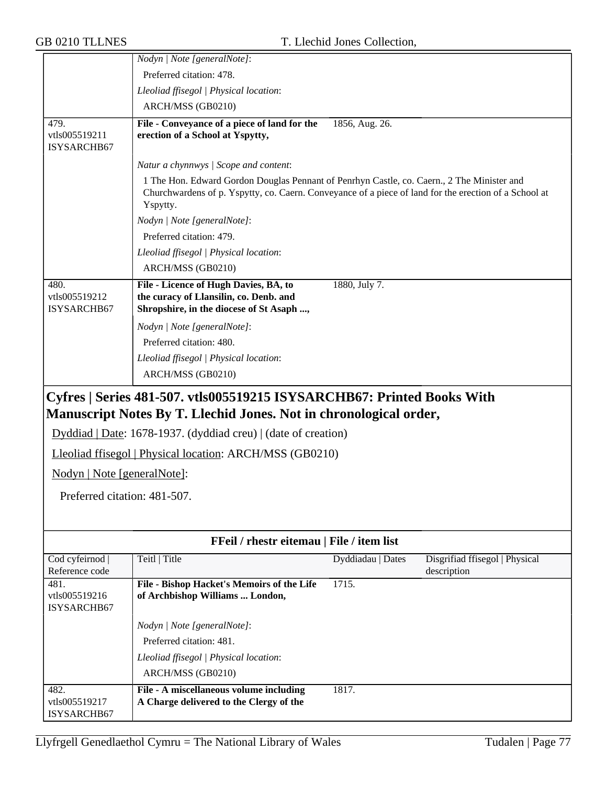|                                      | Nodyn   Note [generalNote]:                                                                                                                                                                                     |                   |                                               |
|--------------------------------------|-----------------------------------------------------------------------------------------------------------------------------------------------------------------------------------------------------------------|-------------------|-----------------------------------------------|
|                                      | Preferred citation: 478.                                                                                                                                                                                        |                   |                                               |
|                                      | Lleoliad ffisegol   Physical location:                                                                                                                                                                          |                   |                                               |
|                                      | ARCH/MSS (GB0210)                                                                                                                                                                                               |                   |                                               |
| 479.<br>vtls005519211<br>ISYSARCHB67 | File - Conveyance of a piece of land for the<br>erection of a School at Yspytty,                                                                                                                                | 1856, Aug. 26.    |                                               |
|                                      | Natur a chynnwys / Scope and content:                                                                                                                                                                           |                   |                                               |
|                                      | 1 The Hon. Edward Gordon Douglas Pennant of Penrhyn Castle, co. Caern., 2 The Minister and<br>Churchwardens of p. Yspytty, co. Caern. Conveyance of a piece of land for the erection of a School at<br>Yspytty. |                   |                                               |
|                                      | Nodyn   Note [generalNote]:                                                                                                                                                                                     |                   |                                               |
|                                      | Preferred citation: 479.                                                                                                                                                                                        |                   |                                               |
|                                      | Lleoliad ffisegol   Physical location:                                                                                                                                                                          |                   |                                               |
|                                      | ARCH/MSS (GB0210)                                                                                                                                                                                               |                   |                                               |
| 480.<br>vtls005519212<br>ISYSARCHB67 | File - Licence of Hugh Davies, BA, to<br>the curacy of Llansilin, co. Denb. and<br>Shropshire, in the diocese of St Asaph ,                                                                                     | 1880, July 7.     |                                               |
|                                      | Nodyn   Note [generalNote]:                                                                                                                                                                                     |                   |                                               |
|                                      | Preferred citation: 480.                                                                                                                                                                                        |                   |                                               |
|                                      | Lleoliad ffisegol   Physical location:                                                                                                                                                                          |                   |                                               |
|                                      | ARCH/MSS (GB0210)                                                                                                                                                                                               |                   |                                               |
|                                      | Cyfres   Series 481-507. vtls005519215 ISYSARCHB67: Printed Books With<br>Manuscript Notes By T. Llechid Jones. Not in chronological order,<br>Dyddiad   Date: 1678-1937. (dyddiad creu)   (date of creation)   |                   |                                               |
|                                      | Lleoliad ffisegol   Physical location: ARCH/MSS (GB0210)                                                                                                                                                        |                   |                                               |
| Nodyn   Note [generalNote]:          |                                                                                                                                                                                                                 |                   |                                               |
| Preferred citation: 481-507.         |                                                                                                                                                                                                                 |                   |                                               |
|                                      |                                                                                                                                                                                                                 |                   |                                               |
|                                      |                                                                                                                                                                                                                 |                   |                                               |
|                                      | FFeil / rhestr eitemau   File / item list                                                                                                                                                                       |                   |                                               |
| Cod cyfeirnod<br>Reference code      | Teitl   Title                                                                                                                                                                                                   | Dyddiadau   Dates | Disgrifiad ffisegol   Physical<br>description |
| 481.                                 | File - Bishop Hacket's Memoirs of the Life                                                                                                                                                                      | 1715.             |                                               |
| vtls005519216                        | of Archbishop Williams  London,                                                                                                                                                                                 |                   |                                               |
| ISYSARCHB67                          |                                                                                                                                                                                                                 |                   |                                               |
|                                      | Nodyn   Note [generalNote]:                                                                                                                                                                                     |                   |                                               |
|                                      | Preferred citation: 481.                                                                                                                                                                                        |                   |                                               |
|                                      | Lleoliad ffisegol   Physical location:                                                                                                                                                                          |                   |                                               |
|                                      | ARCH/MSS (GB0210)                                                                                                                                                                                               |                   |                                               |
| 482.<br>vtls005519217<br>ISYSARCHB67 | File - A miscellaneous volume including<br>A Charge delivered to the Clergy of the                                                                                                                              | 1817.             |                                               |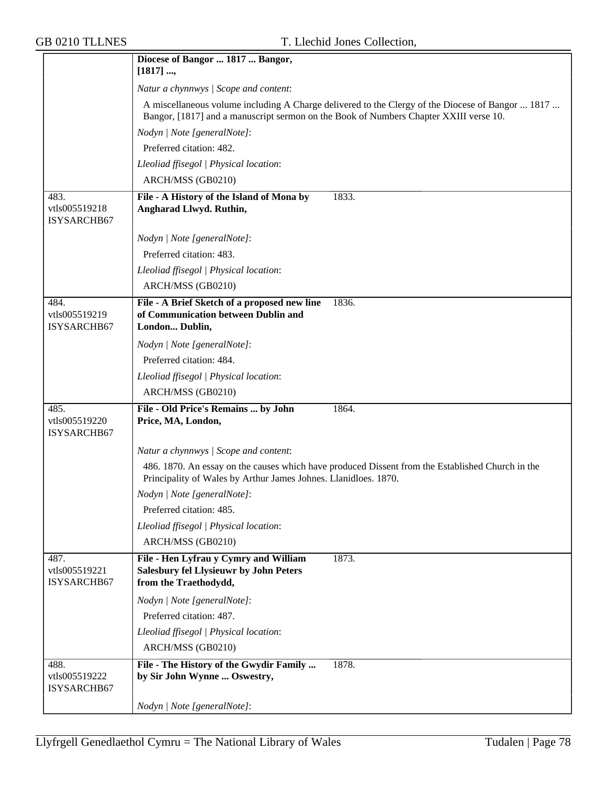|                                      | Diocese of Bangor  1817  Bangor,<br>[1817]                                                                                                                          |
|--------------------------------------|---------------------------------------------------------------------------------------------------------------------------------------------------------------------|
|                                      | Natur a chynnwys / Scope and content:                                                                                                                               |
|                                      | A miscellaneous volume including A Charge delivered to the Clergy of the Diocese of Bangor  1817                                                                    |
|                                      | Bangor, [1817] and a manuscript sermon on the Book of Numbers Chapter XXIII verse 10.                                                                               |
|                                      | Nodyn   Note [generalNote]:                                                                                                                                         |
|                                      | Preferred citation: 482.                                                                                                                                            |
|                                      | Lleoliad ffisegol   Physical location:                                                                                                                              |
|                                      | ARCH/MSS (GB0210)                                                                                                                                                   |
| 483.                                 | File - A History of the Island of Mona by<br>1833.                                                                                                                  |
| vtls005519218<br>ISYSARCHB67         | Angharad Llwyd. Ruthin,                                                                                                                                             |
|                                      | Nodyn   Note [generalNote]:                                                                                                                                         |
|                                      | Preferred citation: 483.                                                                                                                                            |
|                                      | Lleoliad ffisegol   Physical location:                                                                                                                              |
|                                      | ARCH/MSS (GB0210)                                                                                                                                                   |
| 484.<br>vtls005519219<br>ISYSARCHB67 | File - A Brief Sketch of a proposed new line<br>1836.<br>of Communication between Dublin and<br>London Dublin,                                                      |
|                                      | Nodyn   Note [generalNote]:                                                                                                                                         |
|                                      | Preferred citation: 484.                                                                                                                                            |
|                                      | Lleoliad ffisegol   Physical location:                                                                                                                              |
|                                      | ARCH/MSS (GB0210)                                                                                                                                                   |
| 485.<br>vtls005519220<br>ISYSARCHB67 | File - Old Price's Remains  by John<br>1864.<br>Price, MA, London,                                                                                                  |
|                                      | Natur a chynnwys / Scope and content:                                                                                                                               |
|                                      | 486. 1870. An essay on the causes which have produced Dissent from the Established Church in the<br>Principality of Wales by Arthur James Johnes. Llanidloes. 1870. |
|                                      | Nodyn   Note [generalNote]:                                                                                                                                         |
|                                      | Preferred citation: 485.                                                                                                                                            |
|                                      | Lleoliad ffisegol   Physical location:                                                                                                                              |
|                                      | ARCH/MSS (GB0210)                                                                                                                                                   |
| 487.<br>vtls005519221<br>ISYSARCHB67 | File - Hen Lyfrau y Cymry and William<br>1873.<br><b>Salesbury fel Llysieuwr by John Peters</b><br>from the Traethodydd,                                            |
|                                      | Nodyn   Note [generalNote]:                                                                                                                                         |
|                                      | Preferred citation: 487.                                                                                                                                            |
|                                      | Lleoliad ffisegol   Physical location:                                                                                                                              |
|                                      | ARCH/MSS (GB0210)                                                                                                                                                   |
| 488.<br>vtls005519222<br>ISYSARCHB67 | File - The History of the Gwydir Family<br>1878.<br>by Sir John Wynne  Oswestry,                                                                                    |
|                                      | Nodyn   Note [generalNote]:                                                                                                                                         |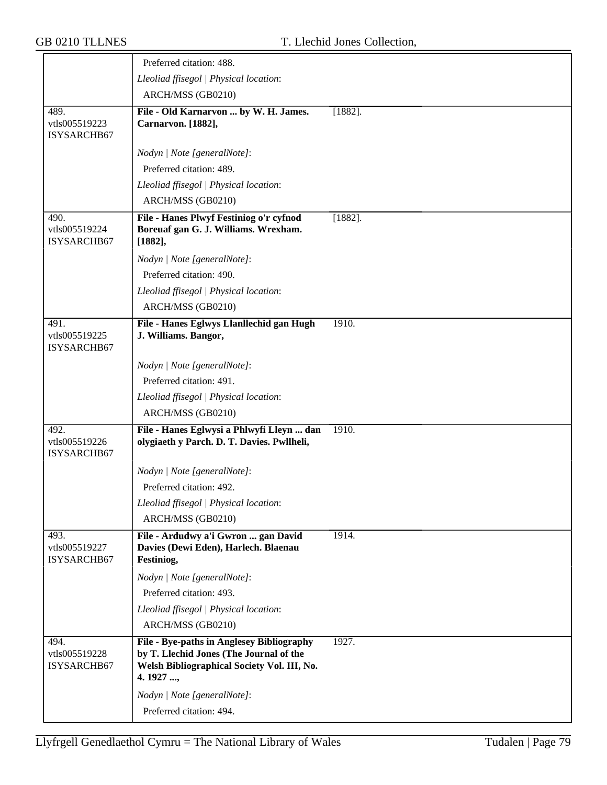|                                      | Preferred citation: 488.                                                                                                                      |            |
|--------------------------------------|-----------------------------------------------------------------------------------------------------------------------------------------------|------------|
|                                      | Lleoliad ffisegol   Physical location:                                                                                                        |            |
|                                      |                                                                                                                                               |            |
|                                      | ARCH/MSS (GB0210)                                                                                                                             |            |
| 489.<br>vtls005519223<br>ISYSARCHB67 | File - Old Karnarvon  by W. H. James.<br>Carnarvon. [1882],                                                                                   | $[1882]$ . |
|                                      | Nodyn   Note [generalNote]:                                                                                                                   |            |
|                                      | Preferred citation: 489.                                                                                                                      |            |
|                                      | Lleoliad ffisegol   Physical location:                                                                                                        |            |
|                                      | ARCH/MSS (GB0210)                                                                                                                             |            |
| 490.<br>vtls005519224<br>ISYSARCHB67 | File - Hanes Plwyf Festiniog o'r cyfnod<br>Boreuaf gan G. J. Williams. Wrexham.<br>[1882],                                                    | $[1882]$ . |
|                                      | Nodyn   Note [generalNote]:                                                                                                                   |            |
|                                      | Preferred citation: 490.                                                                                                                      |            |
|                                      | Lleoliad ffisegol   Physical location:                                                                                                        |            |
|                                      | ARCH/MSS (GB0210)                                                                                                                             |            |
| 491.                                 | File - Hanes Eglwys Llanllechid gan Hugh                                                                                                      | 1910.      |
| vtls005519225<br>ISYSARCHB67         | J. Williams. Bangor,                                                                                                                          |            |
|                                      | Nodyn   Note [generalNote]:                                                                                                                   |            |
|                                      | Preferred citation: 491.                                                                                                                      |            |
|                                      | Lleoliad ffisegol   Physical location:                                                                                                        |            |
|                                      | ARCH/MSS (GB0210)                                                                                                                             |            |
| 492.<br>vtls005519226<br>ISYSARCHB67 | File - Hanes Eglwysi a Phlwyfi Lleyn  dan<br>olygiaeth y Parch. D. T. Davies. Pwllheli,                                                       | 1910.      |
|                                      | Nodyn   Note [generalNote]:                                                                                                                   |            |
|                                      | Preferred citation: 492.                                                                                                                      |            |
|                                      | Lleoliad ffisegol   Physical location:                                                                                                        |            |
|                                      | ARCH/MSS (GB0210)                                                                                                                             |            |
| 493.<br>vtls005519227<br>ISYSARCHB67 | File - Ardudwy a'i Gwron  gan David<br>Davies (Dewi Eden), Harlech. Blaenau<br>Festiniog,                                                     | 1914.      |
|                                      | Nodyn   Note [generalNote]:                                                                                                                   |            |
|                                      | Preferred citation: 493.                                                                                                                      |            |
|                                      | Lleoliad ffisegol   Physical location:                                                                                                        |            |
|                                      | ARCH/MSS (GB0210)                                                                                                                             |            |
| 494.<br>vtls005519228<br>ISYSARCHB67 | File - Bye-paths in Anglesey Bibliography<br>by T. Llechid Jones (The Journal of the<br>Welsh Bibliographical Society Vol. III, No.<br>4.1927 | 1927.      |
|                                      | Nodyn   Note [generalNote]:                                                                                                                   |            |
|                                      | Preferred citation: 494.                                                                                                                      |            |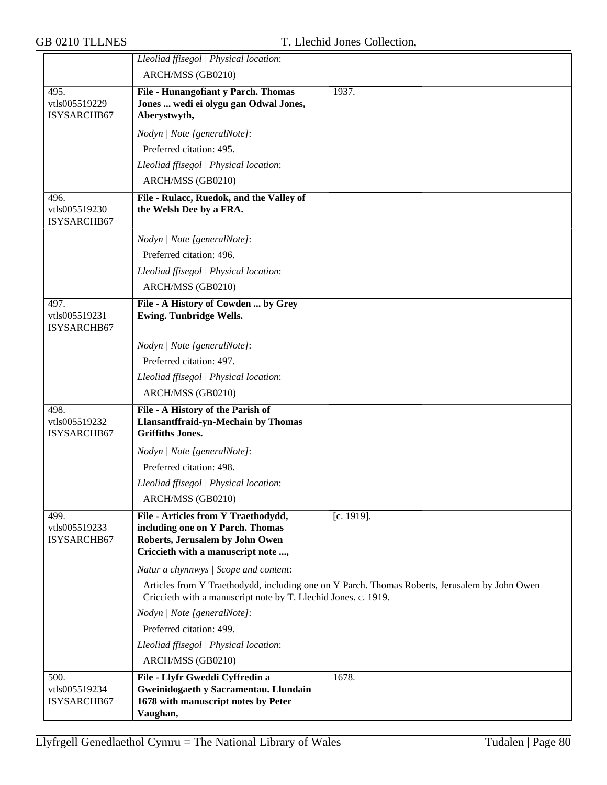|                                      | Lleoliad ffisegol   Physical location:                                                                                                                            |
|--------------------------------------|-------------------------------------------------------------------------------------------------------------------------------------------------------------------|
|                                      | ARCH/MSS (GB0210)                                                                                                                                                 |
| 495.                                 | File - Hunangofiant y Parch. Thomas<br>1937.                                                                                                                      |
| vtls005519229                        | Jones  wedi ei olygu gan Odwal Jones,                                                                                                                             |
| ISYSARCHB67                          | Aberystwyth,                                                                                                                                                      |
|                                      | Nodyn   Note [generalNote]:                                                                                                                                       |
|                                      | Preferred citation: 495.                                                                                                                                          |
|                                      | Lleoliad ffisegol   Physical location:                                                                                                                            |
|                                      | ARCH/MSS (GB0210)                                                                                                                                                 |
| 496.                                 | File - Rulacc, Ruedok, and the Valley of                                                                                                                          |
| vtls005519230<br><b>ISYSARCHB67</b>  | the Welsh Dee by a FRA.                                                                                                                                           |
|                                      | Nodyn   Note [generalNote]:                                                                                                                                       |
|                                      | Preferred citation: 496.                                                                                                                                          |
|                                      | Lleoliad ffisegol   Physical location:                                                                                                                            |
|                                      | ARCH/MSS (GB0210)                                                                                                                                                 |
| 497.<br>vtls005519231<br>ISYSARCHB67 | File - A History of Cowden  by Grey<br><b>Ewing. Tunbridge Wells.</b>                                                                                             |
|                                      | Nodyn   Note [generalNote]:                                                                                                                                       |
|                                      | Preferred citation: 497.                                                                                                                                          |
|                                      | Lleoliad ffisegol   Physical location:                                                                                                                            |
|                                      | ARCH/MSS (GB0210)                                                                                                                                                 |
| 498.                                 | File - A History of the Parish of                                                                                                                                 |
| vtls005519232<br>ISYSARCHB67         | Llansantffraid-yn-Mechain by Thomas<br><b>Griffiths Jones.</b>                                                                                                    |
|                                      | Nodyn   Note [generalNote]:                                                                                                                                       |
|                                      | Preferred citation: 498.                                                                                                                                          |
|                                      | Lleoliad ffisegol   Physical location:                                                                                                                            |
|                                      | ARCH/MSS (GB0210)                                                                                                                                                 |
| 499.<br>vtls005519233<br>ISYSARCHB67 | File - Articles from Y Traethodydd,<br>$[c. 1919]$ .<br>including one on Y Parch. Thomas<br>Roberts, Jerusalem by John Owen<br>Criccieth with a manuscript note , |
|                                      | Natur a chynnwys / Scope and content:                                                                                                                             |
|                                      | Articles from Y Traethodydd, including one on Y Parch. Thomas Roberts, Jerusalem by John Owen<br>Criccieth with a manuscript note by T. Llechid Jones. c. 1919.   |
|                                      | Nodyn   Note [generalNote]:                                                                                                                                       |
|                                      | Preferred citation: 499.                                                                                                                                          |
|                                      | Lleoliad ffisegol   Physical location:                                                                                                                            |
|                                      | ARCH/MSS (GB0210)                                                                                                                                                 |
| 500.                                 | File - Llyfr Gweddi Cyffredin a<br>1678.                                                                                                                          |
| vtls005519234                        | Gweinidogaeth y Sacramentau. Llundain                                                                                                                             |
| <b>ISYSARCHB67</b>                   | 1678 with manuscript notes by Peter<br>Vaughan,                                                                                                                   |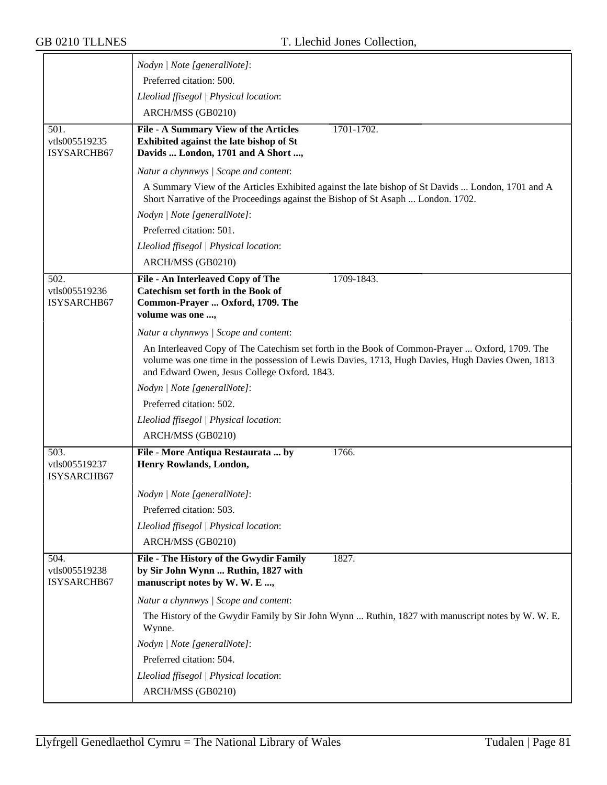|                              | Nodyn   Note [generalNote]:                                                                                                                                                           |
|------------------------------|---------------------------------------------------------------------------------------------------------------------------------------------------------------------------------------|
|                              | Preferred citation: 500.                                                                                                                                                              |
|                              | Lleoliad ffisegol   Physical location:                                                                                                                                                |
|                              | ARCH/MSS (GB0210)                                                                                                                                                                     |
| 501.                         | File - A Summary View of the Articles<br>1701-1702.                                                                                                                                   |
| vtls005519235                | Exhibited against the late bishop of St                                                                                                                                               |
| ISYSARCHB67                  | Davids  London, 1701 and A Short ,                                                                                                                                                    |
|                              | Natur a chynnwys / Scope and content:                                                                                                                                                 |
|                              | A Summary View of the Articles Exhibited against the late bishop of St Davids  London, 1701 and A<br>Short Narrative of the Proceedings against the Bishop of St Asaph  London. 1702. |
|                              | Nodyn   Note [generalNote]:                                                                                                                                                           |
|                              | Preferred citation: 501.                                                                                                                                                              |
|                              | Lleoliad ffisegol   Physical location:                                                                                                                                                |
|                              | ARCH/MSS (GB0210)                                                                                                                                                                     |
| 502.                         | File - An Interleaved Copy of The<br>1709-1843.                                                                                                                                       |
| vtls005519236                | <b>Catechism set forth in the Book of</b>                                                                                                                                             |
| ISYSARCHB67                  | Common-Prayer  Oxford, 1709. The<br>volume was one ,                                                                                                                                  |
|                              | Natur a chynnwys / Scope and content:                                                                                                                                                 |
|                              | An Interleaved Copy of The Catechism set forth in the Book of Common-Prayer  Oxford, 1709. The                                                                                        |
|                              | volume was one time in the possession of Lewis Davies, 1713, Hugh Davies, Hugh Davies Owen, 1813<br>and Edward Owen, Jesus College Oxford. 1843.                                      |
|                              | Nodyn   Note [generalNote]:                                                                                                                                                           |
|                              | Preferred citation: 502.                                                                                                                                                              |
|                              | Lleoliad ffisegol   Physical location:                                                                                                                                                |
|                              | ARCH/MSS (GB0210)                                                                                                                                                                     |
| 503.                         | 1766.<br>File - More Antiqua Restaurata  by                                                                                                                                           |
| vtls005519237<br>ISYSARCHB67 | Henry Rowlands, London,                                                                                                                                                               |
|                              | Nodyn   Note [generalNote]:                                                                                                                                                           |
|                              | Preferred citation: 503.                                                                                                                                                              |
|                              | Lleoliad ffisegol   Physical location:                                                                                                                                                |
|                              | ARCH/MSS (GB0210)                                                                                                                                                                     |
| 504.                         | File - The History of the Gwydir Family<br>1827.                                                                                                                                      |
| vtls005519238<br>ISYSARCHB67 | by Sir John Wynn  Ruthin, 1827 with<br>manuscript notes by W. W. E ,                                                                                                                  |
|                              | Natur a chynnwys / Scope and content:                                                                                                                                                 |
|                              | The History of the Gwydir Family by Sir John Wynn  Ruthin, 1827 with manuscript notes by W. W. E.                                                                                     |
|                              | Wynne.                                                                                                                                                                                |
|                              | Nodyn   Note [generalNote]:                                                                                                                                                           |
|                              | Preferred citation: 504.                                                                                                                                                              |
|                              | Lleoliad ffisegol   Physical location:                                                                                                                                                |
|                              | ARCH/MSS (GB0210)                                                                                                                                                                     |